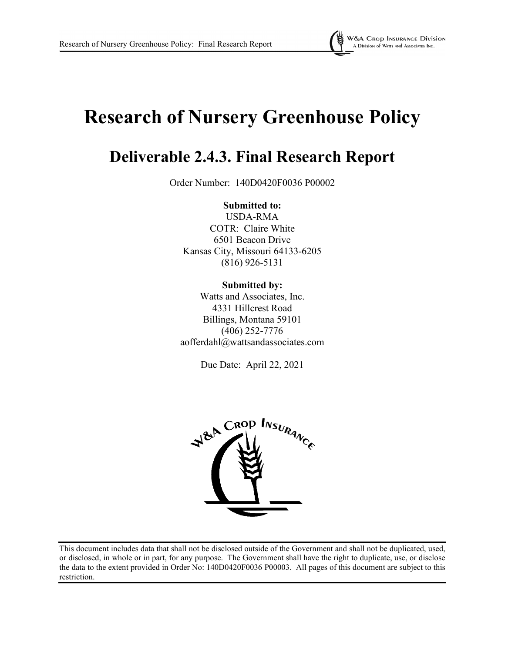

# **Research of Nursery Greenhouse Policy**

## **Deliverable 2.4.3. Final Research Report**

Order Number: 140D0420F0036 P00002

**Submitted to:** USDA-RMA COTR: Claire White 6501 Beacon Drive Kansas City, Missouri 64133-6205 (816) 926-5131

**Submitted by:** Watts and Associates, Inc. 4331 Hillcrest Road Billings, Montana 59101 (406) 252-7776 aofferdahl@wattsandassociates.com

Due Date: April 22, 2021



This document includes data that shall not be disclosed outside of the Government and shall not be duplicated, used, or disclosed, in whole or in part, for any purpose. The Government shall have the right to duplicate, use, or disclose the data to the extent provided in Order No: 140D0420F0036 P00003. All pages of this document are subject to this restriction.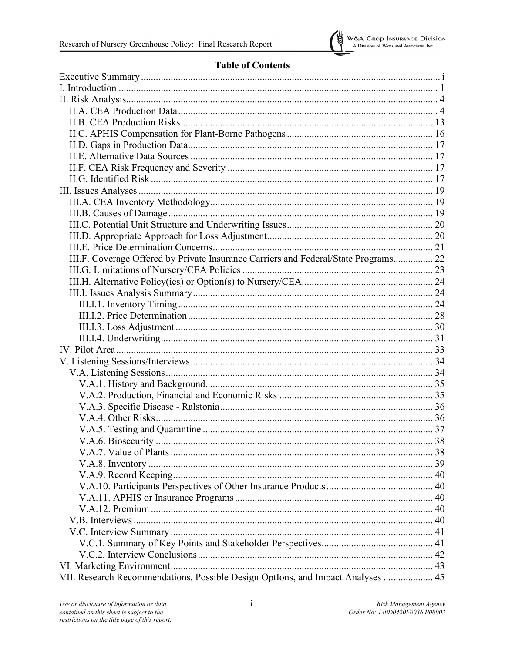

## **Table of Contents**

| III.F. Coverage Offered by Private Insurance Carriers and Federal/State Programs 22 |  |
|-------------------------------------------------------------------------------------|--|
|                                                                                     |  |
|                                                                                     |  |
|                                                                                     |  |
|                                                                                     |  |
|                                                                                     |  |
|                                                                                     |  |
|                                                                                     |  |
|                                                                                     |  |
|                                                                                     |  |
|                                                                                     |  |
|                                                                                     |  |
|                                                                                     |  |
|                                                                                     |  |
|                                                                                     |  |
|                                                                                     |  |
| V.A.6. Biosecurity<br>38                                                            |  |
|                                                                                     |  |
|                                                                                     |  |
|                                                                                     |  |
|                                                                                     |  |
|                                                                                     |  |
|                                                                                     |  |
|                                                                                     |  |
|                                                                                     |  |
|                                                                                     |  |
|                                                                                     |  |
|                                                                                     |  |
|                                                                                     |  |
| VII. Research Recommendations, Possible Design OptIons, and Impact Analyses  45     |  |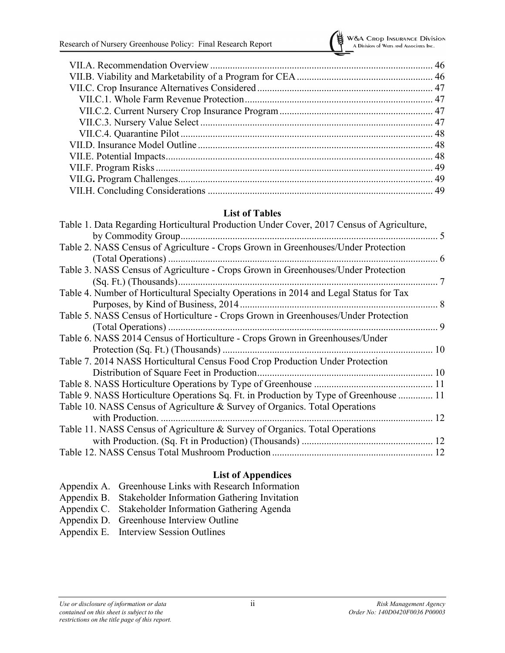

#### **List of Tables**

| Table 1. Data Regarding Horticultural Production Under Cover, 2017 Census of Agriculture, |
|-------------------------------------------------------------------------------------------|
|                                                                                           |
| Table 2. NASS Census of Agriculture - Crops Grown in Greenhouses/Under Protection         |
|                                                                                           |
| Table 3. NASS Census of Agriculture - Crops Grown in Greenhouses/Under Protection         |
|                                                                                           |
| Table 4. Number of Horticultural Specialty Operations in 2014 and Legal Status for Tax    |
|                                                                                           |
| Table 5. NASS Census of Horticulture - Crops Grown in Greenhouses/Under Protection        |
|                                                                                           |
| Table 6. NASS 2014 Census of Horticulture - Crops Grown in Greenhouses/Under              |
|                                                                                           |
| Table 7. 2014 NASS Horticultural Census Food Crop Production Under Protection             |
|                                                                                           |
|                                                                                           |
| Table 9. NASS Horticulture Operations Sq. Ft. in Production by Type of Greenhouse  11     |
| Table 10. NASS Census of Agriculture & Survey of Organics. Total Operations               |
|                                                                                           |
| Table 11. NASS Census of Agriculture & Survey of Organics. Total Operations               |
|                                                                                           |
|                                                                                           |

#### **List of Appendices**

| Appendix A. Greenhouse Links with Research Information   |
|----------------------------------------------------------|
| Appendix B. Stakeholder Information Gathering Invitation |
| Appendix C. Stakeholder Information Gathering Agenda     |
| Appendix D. Greenhouse Interview Outline                 |
| Appendix E. Interview Session Outlines                   |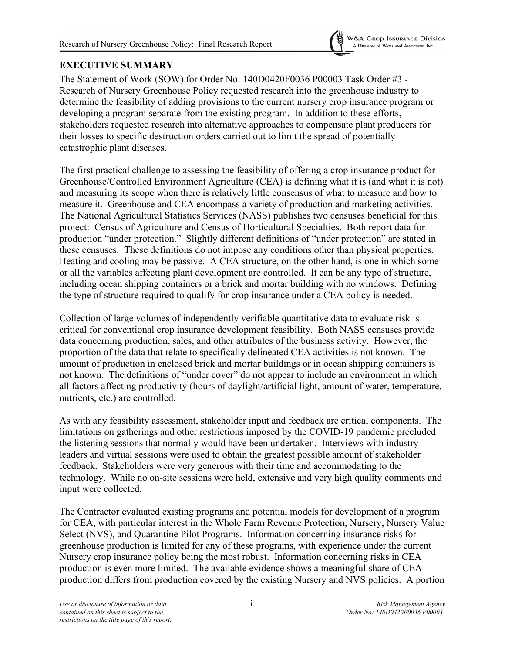

## <span id="page-3-0"></span>**EXECUTIVE SUMMARY**

The Statement of Work (SOW) for Order No: 140D0420F0036 P00003 Task Order #3 - Research of Nursery Greenhouse Policy requested research into the greenhouse industry to determine the feasibility of adding provisions to the current nursery crop insurance program or developing a program separate from the existing program. In addition to these efforts, stakeholders requested research into alternative approaches to compensate plant producers for their losses to specific destruction orders carried out to limit the spread of potentially catastrophic plant diseases.

The first practical challenge to assessing the feasibility of offering a crop insurance product for Greenhouse/Controlled Environment Agriculture (CEA) is defining what it is (and what it is not) and measuring its scope when there is relatively little consensus of what to measure and how to measure it. Greenhouse and CEA encompass a variety of production and marketing activities. The National Agricultural Statistics Services (NASS) publishes two censuses beneficial for this project: Census of Agriculture and Census of Horticultural Specialties. Both report data for production "under protection." Slightly different definitions of "under protection" are stated in these censuses. These definitions do not impose any conditions other than physical properties. Heating and cooling may be passive. A CEA structure, on the other hand, is one in which some or all the variables affecting plant development are controlled. It can be any type of structure, including ocean shipping containers or a brick and mortar building with no windows. Defining the type of structure required to qualify for crop insurance under a CEA policy is needed.

Collection of large volumes of independently verifiable quantitative data to evaluate risk is critical for conventional crop insurance development feasibility. Both NASS censuses provide data concerning production, sales, and other attributes of the business activity. However, the proportion of the data that relate to specifically delineated CEA activities is not known. The amount of production in enclosed brick and mortar buildings or in ocean shipping containers is not known. The definitions of "under cover" do not appear to include an environment in which all factors affecting productivity (hours of daylight/artificial light, amount of water, temperature, nutrients, etc.) are controlled.

As with any feasibility assessment, stakeholder input and feedback are critical components. The limitations on gatherings and other restrictions imposed by the COVID-19 pandemic precluded the listening sessions that normally would have been undertaken. Interviews with industry leaders and virtual sessions were used to obtain the greatest possible amount of stakeholder feedback. Stakeholders were very generous with their time and accommodating to the technology. While no on-site sessions were held, extensive and very high quality comments and input were collected.

The Contractor evaluated existing programs and potential models for development of a program for CEA, with particular interest in the Whole Farm Revenue Protection, Nursery, Nursery Value Select (NVS), and Quarantine Pilot Programs. Information concerning insurance risks for greenhouse production is limited for any of these programs, with experience under the current Nursery crop insurance policy being the most robust. Information concerning risks in CEA production is even more limited. The available evidence shows a meaningful share of CEA production differs from production covered by the existing Nursery and NVS policies. A portion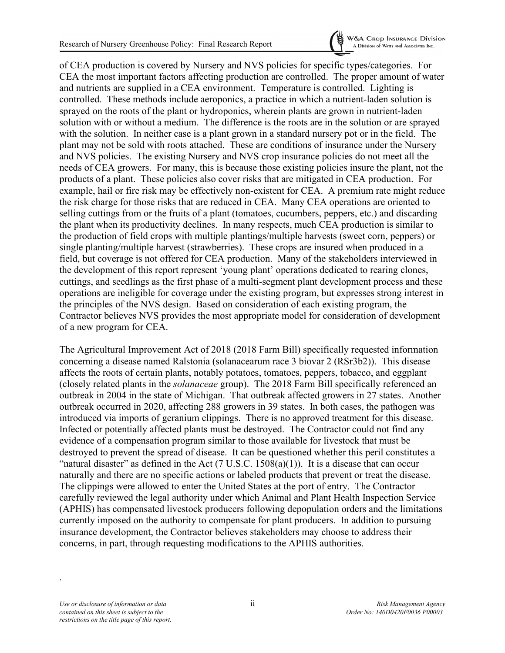

of CEA production is covered by Nursery and NVS policies for specific types/categories. For CEA the most important factors affecting production are controlled. The proper amount of water and nutrients are supplied in a CEA environment. Temperature is controlled. Lighting is controlled. These methods include aeroponics, a practice in which a nutrient-laden solution is sprayed on the roots of the plant or hydroponics, wherein plants are grown in nutrient-laden solution with or without a medium. The difference is the roots are in the solution or are sprayed with the solution. In neither case is a plant grown in a standard nursery pot or in the field. The plant may not be sold with roots attached. These are conditions of insurance under the Nursery and NVS policies. The existing Nursery and NVS crop insurance policies do not meet all the needs of CEA growers. For many, this is because those existing policies insure the plant, not the products of a plant. These policies also cover risks that are mitigated in CEA production. For example, hail or fire risk may be effectively non-existent for CEA. A premium rate might reduce the risk charge for those risks that are reduced in CEA. Many CEA operations are oriented to selling cuttings from or the fruits of a plant (tomatoes, cucumbers, peppers, etc.) and discarding the plant when its productivity declines. In many respects, much CEA production is similar to the production of field crops with multiple plantings/multiple harvests (sweet corn, peppers) or single planting/multiple harvest (strawberries). These crops are insured when produced in a field, but coverage is not offered for CEA production. Many of the stakeholders interviewed in the development of this report represent 'young plant' operations dedicated to rearing clones, cuttings, and seedlings as the first phase of a multi-segment plant development process and these operations are ineligible for coverage under the existing program, but expresses strong interest in the principles of the NVS design. Based on consideration of each existing program, the Contractor believes NVS provides the most appropriate model for consideration of development of a new program for CEA.

The Agricultural Improvement Act of 2018 (2018 Farm Bill) specifically requested information concerning a disease named Ralstonia (solanacearum race 3 biovar 2 (RSr3b2)). This disease affects the roots of certain plants, notably potatoes, tomatoes, peppers, tobacco, and eggplant (closely related plants in the *solanaceae* group). The 2018 Farm Bill specifically referenced an outbreak in 2004 in the state of Michigan. That outbreak affected growers in 27 states. Another outbreak occurred in 2020, affecting 288 growers in 39 states. In both cases, the pathogen was introduced via imports of geranium clippings. There is no approved treatment for this disease. Infected or potentially affected plants must be destroyed. The Contractor could not find any evidence of a compensation program similar to those available for livestock that must be destroyed to prevent the spread of disease. It can be questioned whether this peril constitutes a "natural disaster" as defined in the Act (7 U.S.C.  $1508(a)(1)$ ). It is a disease that can occur naturally and there are no specific actions or labeled products that prevent or treat the disease. The clippings were allowed to enter the United States at the port of entry. The Contractor carefully reviewed the legal authority under which Animal and Plant Health Inspection Service (APHIS) has compensated livestock producers following depopulation orders and the limitations currently imposed on the authority to compensate for plant producers. In addition to pursuing insurance development, the Contractor believes stakeholders may choose to address their concerns, in part, through requesting modifications to the APHIS authorities.

.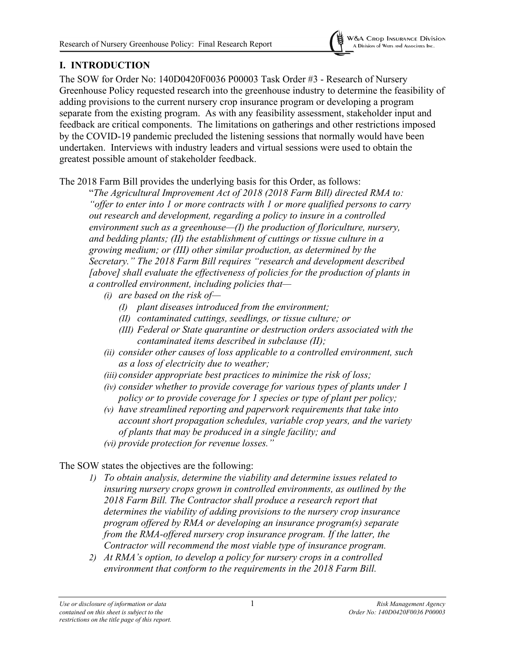

## <span id="page-5-0"></span>**I. INTRODUCTION**

The SOW for Order No: 140D0420F0036 P00003 Task Order #3 - Research of Nursery Greenhouse Policy requested research into the greenhouse industry to determine the feasibility of adding provisions to the current nursery crop insurance program or developing a program separate from the existing program. As with any feasibility assessment, stakeholder input and feedback are critical components. The limitations on gatherings and other restrictions imposed by the COVID-19 pandemic precluded the listening sessions that normally would have been undertaken. Interviews with industry leaders and virtual sessions were used to obtain the greatest possible amount of stakeholder feedback.

The 2018 Farm Bill provides the underlying basis for this Order, as follows:

"*The Agricultural Improvement Act of 2018 (2018 Farm Bill) directed RMA to: "offer to enter into 1 or more contracts with 1 or more qualified persons to carry out research and development, regarding a policy to insure in a controlled environment such as a greenhouse—(I) the production of floriculture, nursery, and bedding plants; (II) the establishment of cuttings or tissue culture in a growing medium; or (III) other similar production, as determined by the Secretary." The 2018 Farm Bill requires "research and development described [above] shall evaluate the effectiveness of policies for the production of plants in a controlled environment, including policies that—*

- *(i) are based on the risk of—*
	- *(I) plant diseases introduced from the environment;*
	- *(II) contaminated cuttings, seedlings, or tissue culture; or*
	- *(III) Federal or State quarantine or destruction orders associated with the contaminated items described in subclause (II);*
- *(ii) consider other causes of loss applicable to a controlled environment, such as a loss of electricity due to weather;*
- *(iii) consider appropriate best practices to minimize the risk of loss;*
- *(iv) consider whether to provide coverage for various types of plants under 1 policy or to provide coverage for 1 species or type of plant per policy;*
- *(v) have streamlined reporting and paperwork requirements that take into account short propagation schedules, variable crop years, and the variety of plants that may be produced in a single facility; and*
- *(vi) provide protection for revenue losses."*

The SOW states the objectives are the following:

- *1) To obtain analysis, determine the viability and determine issues related to insuring nursery crops grown in controlled environments, as outlined by the 2018 Farm Bill. The Contractor shall produce a research report that determines the viability of adding provisions to the nursery crop insurance program offered by RMA or developing an insurance program(s) separate from the RMA-offered nursery crop insurance program. If the latter, the Contractor will recommend the most viable type of insurance program.*
- *2) At RMA's option, to develop a policy for nursery crops in a controlled environment that conform to the requirements in the 2018 Farm Bill.*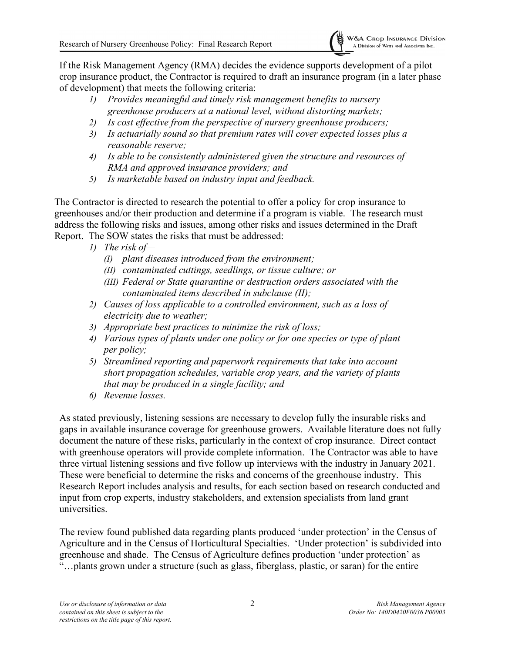

If the Risk Management Agency (RMA) decides the evidence supports development of a pilot crop insurance product, the Contractor is required to draft an insurance program (in a later phase of development) that meets the following criteria:

- *1) Provides meaningful and timely risk management benefits to nursery greenhouse producers at a national level, without distorting markets;*
- *2) Is cost effective from the perspective of nursery greenhouse producers;*
- *3) Is actuarially sound so that premium rates will cover expected losses plus a reasonable reserve;*
- *4) Is able to be consistently administered given the structure and resources of RMA and approved insurance providers; and*
- *5) Is marketable based on industry input and feedback.*

The Contractor is directed to research the potential to offer a policy for crop insurance to greenhouses and/or their production and determine if a program is viable. The research must address the following risks and issues, among other risks and issues determined in the Draft Report. The SOW states the risks that must be addressed:

- *1) The risk of—*
	- *(I) plant diseases introduced from the environment;*
	- *(II) contaminated cuttings, seedlings, or tissue culture; or*
	- *(III) Federal or State quarantine or destruction orders associated with the contaminated items described in subclause (II);*
- *2) Causes of loss applicable to a controlled environment, such as a loss of electricity due to weather;*
- *3) Appropriate best practices to minimize the risk of loss;*
- *4) Various types of plants under one policy or for one species or type of plant per policy;*
- *5) Streamlined reporting and paperwork requirements that take into account short propagation schedules, variable crop years, and the variety of plants that may be produced in a single facility; and*
- *6) Revenue losses.*

As stated previously, listening sessions are necessary to develop fully the insurable risks and gaps in available insurance coverage for greenhouse growers. Available literature does not fully document the nature of these risks, particularly in the context of crop insurance. Direct contact with greenhouse operators will provide complete information. The Contractor was able to have three virtual listening sessions and five follow up interviews with the industry in January 2021. These were beneficial to determine the risks and concerns of the greenhouse industry. This Research Report includes analysis and results, for each section based on research conducted and input from crop experts, industry stakeholders, and extension specialists from land grant universities.

The review found published data regarding plants produced 'under protection' in the Census of Agriculture and in the Census of Horticultural Specialties. 'Under protection' is subdivided into greenhouse and shade. The Census of Agriculture defines production 'under protection' as "…plants grown under a structure (such as glass, fiberglass, plastic, or saran) for the entire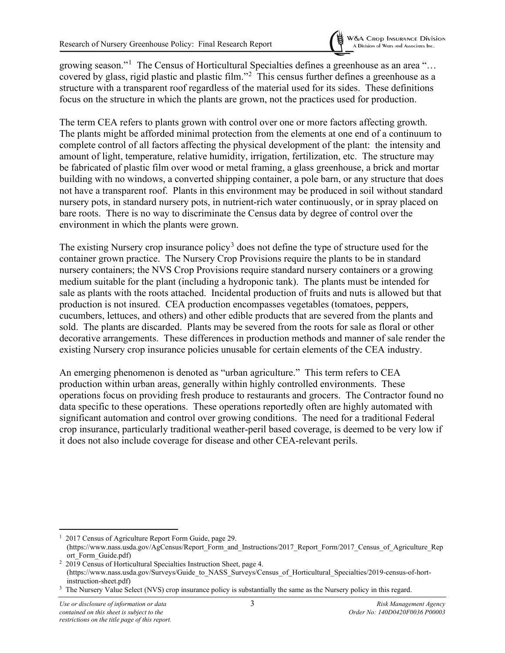growing season."<sup>[1](#page-7-0)</sup> The Census of Horticultural Specialties defines a greenhouse as an area "... covered by glass, rigid plastic and plastic film."<sup>[2](#page-7-1)</sup> This census further defines a greenhouse as a structure with a transparent roof regardless of the material used for its sides. These definitions focus on the structure in which the plants are grown, not the practices used for production.

The term CEA refers to plants grown with control over one or more factors affecting growth. The plants might be afforded minimal protection from the elements at one end of a continuum to complete control of all factors affecting the physical development of the plant: the intensity and amount of light, temperature, relative humidity, irrigation, fertilization, etc. The structure may be fabricated of plastic film over wood or metal framing, a glass greenhouse, a brick and mortar building with no windows, a converted shipping container, a pole barn, or any structure that does not have a transparent roof. Plants in this environment may be produced in soil without standard nursery pots, in standard nursery pots, in nutrient-rich water continuously, or in spray placed on bare roots. There is no way to discriminate the Census data by degree of control over the environment in which the plants were grown.

The existing Nursery crop insurance policy<sup>[3](#page-7-2)</sup> does not define the type of structure used for the container grown practice. The Nursery Crop Provisions require the plants to be in standard nursery containers; the NVS Crop Provisions require standard nursery containers or a growing medium suitable for the plant (including a hydroponic tank). The plants must be intended for sale as plants with the roots attached. Incidental production of fruits and nuts is allowed but that production is not insured. CEA production encompasses vegetables (tomatoes, peppers, cucumbers, lettuces, and others) and other edible products that are severed from the plants and sold. The plants are discarded. Plants may be severed from the roots for sale as floral or other decorative arrangements. These differences in production methods and manner of sale render the existing Nursery crop insurance policies unusable for certain elements of the CEA industry.

An emerging phenomenon is denoted as "urban agriculture." This term refers to CEA production within urban areas, generally within highly controlled environments. These operations focus on providing fresh produce to restaurants and grocers. The Contractor found no data specific to these operations. These operations reportedly often are highly automated with significant automation and control over growing conditions. The need for a traditional Federal crop insurance, particularly traditional weather-peril based coverage, is deemed to be very low if it does not also include coverage for disease and other CEA-relevant perils.

<span id="page-7-0"></span><sup>&</sup>lt;sup>1</sup> 2017 Census of Agriculture Report Form Guide, page 29. (https://www.nass.usda.gov/AgCensus/Report\_Form\_and\_Instructions/2017\_Report\_Form/2017\_Census\_of\_Agriculture\_Rep ort\_Form\_Guide.pdf)

<span id="page-7-1"></span><sup>&</sup>lt;sup>2</sup> 2019 Census of Horticultural Specialties Instruction Sheet, page 4. (https://www.nass.usda.gov/Surveys/Guide\_to\_NASS\_Surveys/Census\_of\_Horticultural\_Specialties/2019-census-of-hortinstruction-sheet.pdf)

<span id="page-7-2"></span><sup>&</sup>lt;sup>3</sup> The Nursery Value Select (NVS) crop insurance policy is substantially the same as the Nursery policy in this regard.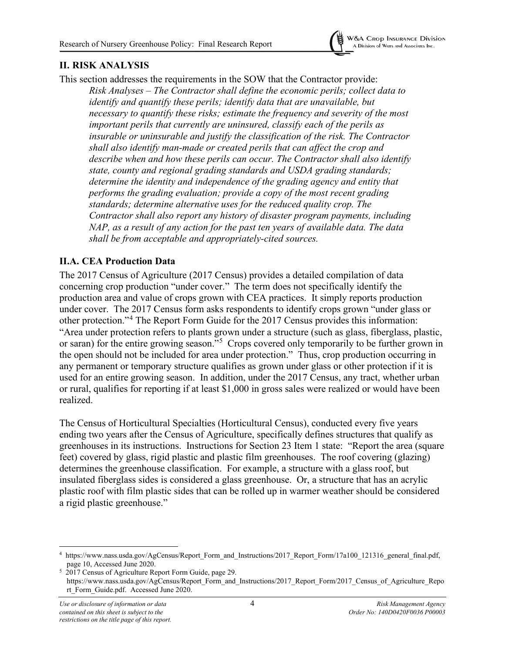

## <span id="page-8-0"></span>**II. RISK ANALYSIS**

This section addresses the requirements in the SOW that the Contractor provide: *Risk Analyses – The Contractor shall define the economic perils; collect data to identify and quantify these perils; identify data that are unavailable, but necessary to quantify these risks; estimate the frequency and severity of the most important perils that currently are uninsured, classify each of the perils as insurable or uninsurable and justify the classification of the risk. The Contractor shall also identify man-made or created perils that can affect the crop and describe when and how these perils can occur. The Contractor shall also identify state, county and regional grading standards and USDA grading standards; determine the identity and independence of the grading agency and entity that performs the grading evaluation; provide a copy of the most recent grading standards; determine alternative uses for the reduced quality crop. The Contractor shall also report any history of disaster program payments, including NAP, as a result of any action for the past ten years of available data. The data shall be from acceptable and appropriately-cited sources.*

#### <span id="page-8-1"></span>**II.A. CEA Production Data**

The 2017 Census of Agriculture (2017 Census) provides a detailed compilation of data concerning crop production "under cover." The term does not specifically identify the production area and value of crops grown with CEA practices. It simply reports production under cover. The 2017 Census form asks respondents to identify crops grown "under glass or other protection."[4](#page-8-2) The Report Form Guide for the 2017 Census provides this information: "Area under protection refers to plants grown under a structure (such as glass, fiberglass, plastic, or saran) for the entire growing season."<sup>[5](#page-8-3)</sup> Crops covered only temporarily to be further grown in the open should not be included for area under protection." Thus, crop production occurring in any permanent or temporary structure qualifies as grown under glass or other protection if it is used for an entire growing season. In addition, under the 2017 Census, any tract, whether urban or rural, qualifies for reporting if at least \$1,000 in gross sales were realized or would have been realized.

The Census of Horticultural Specialties (Horticultural Census), conducted every five years ending two years after the Census of Agriculture, specifically defines structures that qualify as greenhouses in its instructions. Instructions for Section 23 Item 1 state: "Report the area (square feet) covered by glass, rigid plastic and plastic film greenhouses. The roof covering (glazing) determines the greenhouse classification. For example, a structure with a glass roof, but insulated fiberglass sides is considered a glass greenhouse. Or, a structure that has an acrylic plastic roof with film plastic sides that can be rolled up in warmer weather should be considered a rigid plastic greenhouse."

<span id="page-8-2"></span><sup>4</sup> https://www.nass.usda.gov/AgCensus/Report\_Form\_and\_Instructions/2017\_Report\_Form/17a100\_121316\_general\_final.pdf, page 10, Accessed June 2020.

<span id="page-8-3"></span><sup>&</sup>lt;sup>5</sup> 2017 Census of Agriculture Report Form Guide, page 29. https://www.nass.usda.gov/AgCensus/Report\_Form\_and\_Instructions/2017\_Report\_Form/2017\_Census\_of\_Agriculture\_Repo rt\_Form\_Guide.pdf. Accessed June 2020.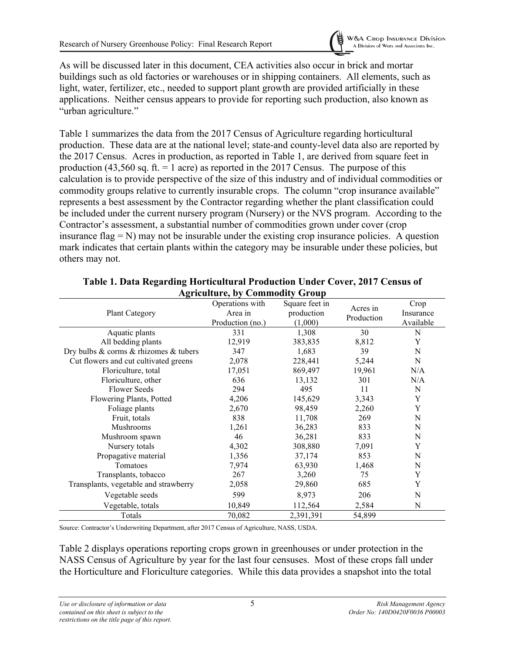

As will be discussed later in this document, CEA activities also occur in brick and mortar buildings such as old factories or warehouses or in shipping containers. All elements, such as light, water, fertilizer, etc., needed to support plant growth are provided artificially in these applications. Neither census appears to provide for reporting such production, also known as "urban agriculture."

Table 1 summarizes the data from the 2017 Census of Agriculture regarding horticultural production. These data are at the national level; state-and county-level data also are reported by the 2017 Census. Acres in production, as reported in Table 1, are derived from square feet in production (43,560 sq. ft.  $= 1$  acre) as reported in the 2017 Census. The purpose of this calculation is to provide perspective of the size of this industry and of individual commodities or commodity groups relative to currently insurable crops. The column "crop insurance available" represents a best assessment by the Contractor regarding whether the plant classification could be included under the current nursery program (Nursery) or the NVS program. According to the Contractor's assessment, a substantial number of commodities grown under cover (crop insurance flag  $= N$ ) may not be insurable under the existing crop insurance policies. A question mark indicates that certain plants within the category may be insurable under these policies, but others may not.

<span id="page-9-0"></span>

| Agriculture, by Commodity Group       |                                                |                                         |                        |                                |  |
|---------------------------------------|------------------------------------------------|-----------------------------------------|------------------------|--------------------------------|--|
| <b>Plant Category</b>                 | Operations with<br>Area in<br>Production (no.) | Square feet in<br>production<br>(1,000) | Acres in<br>Production | Crop<br>Insurance<br>Available |  |
| Aquatic plants                        | 331                                            | 1,308                                   | 30                     | N                              |  |
| All bedding plants                    | 12,919                                         | 383,835                                 | 8,812                  | Y                              |  |
| Dry bulbs & corms & rhizomes & tubers | 347                                            | 1,683                                   | 39                     | N                              |  |
| Cut flowers and cut cultivated greens | 2,078                                          | 228,441                                 | 5,244                  | N                              |  |
| Floriculture, total                   | 17,051                                         | 869,497                                 | 19,961                 | N/A                            |  |
| Floriculture, other                   | 636                                            | 13,132                                  | 301                    | N/A                            |  |
| <b>Flower Seeds</b>                   | 294                                            | 495                                     | 11                     | N                              |  |
| Flowering Plants, Potted              | 4,206                                          | 145,629                                 | 3,343                  | Y                              |  |
| Foliage plants                        | 2,670                                          | 98,459                                  | 2,260                  | Y                              |  |
| Fruit, totals                         | 838                                            | 11,708                                  | 269                    | N                              |  |
| Mushrooms                             | 1,261                                          | 36,283                                  | 833                    | N                              |  |
| Mushroom spawn                        | 46                                             | 36,281                                  | 833                    | N                              |  |
| Nursery totals                        | 4,302                                          | 308,880                                 | 7,091                  | Y                              |  |
| Propagative material                  | 1,356                                          | 37,174                                  | 853                    | N                              |  |
| Tomatoes                              | 7,974                                          | 63,930                                  | 1,468                  | N                              |  |
| Transplants, tobacco                  | 267                                            | 3,260                                   | 75                     | Y                              |  |
| Transplants, vegetable and strawberry | 2,058                                          | 29,860                                  | 685                    | Y                              |  |
| Vegetable seeds                       | 599                                            | 8,973                                   | 206                    | N                              |  |
| Vegetable, totals                     | 10,849                                         | 112,564                                 | 2,584                  | N                              |  |
| Totals                                | 70,082                                         | 2,391,391                               | 54,899                 |                                |  |

#### **Table 1. Data Regarding Horticultural Production Under Cover, 2017 Census of Agriculture, by Commodity Group**

Source: Contractor's Underwriting Department, after 2017 Census of Agriculture, NASS, USDA.

Table 2 displays operations reporting crops grown in greenhouses or under protection in the NASS Census of Agriculture by year for the last four censuses. Most of these crops fall under the Horticulture and Floriculture categories. While this data provides a snapshot into the total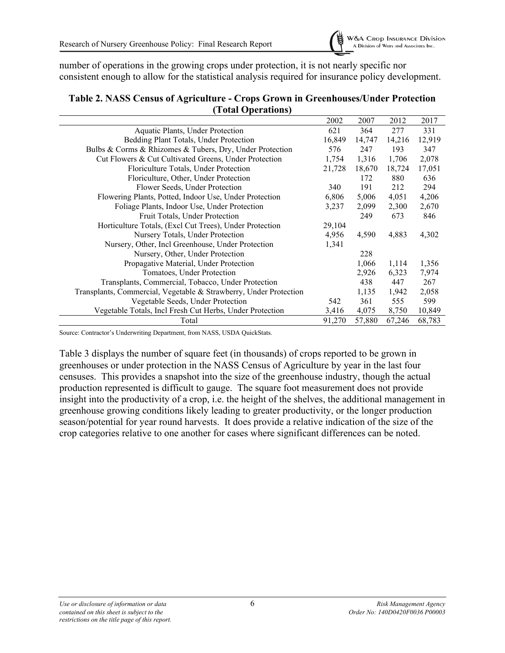

number of operations in the growing crops under protection, it is not nearly specific nor consistent enough to allow for the statistical analysis required for insurance policy development.

|                                                                   | 2002   | 2007   | 2012   | 2017   |
|-------------------------------------------------------------------|--------|--------|--------|--------|
| Aquatic Plants, Under Protection                                  | 621    | 364    | 277    | 331    |
| Bedding Plant Totals, Under Protection                            | 16,849 | 14,747 | 14,216 | 12,919 |
| Bulbs & Corms & Rhizomes & Tubers, Dry, Under Protection          | 576    | 247    | 193    | 347    |
| Cut Flowers & Cut Cultivated Greens, Under Protection             | 1,754  | 1,316  | 1,706  | 2,078  |
| Floriculture Totals, Under Protection                             | 21,728 | 18,670 | 18,724 | 17,051 |
| Floriculture, Other, Under Protection                             |        | 172    | 880    | 636    |
| Flower Seeds, Under Protection                                    | 340    | 191    | 212    | 294    |
| Flowering Plants, Potted, Indoor Use, Under Protection            | 6,806  | 5,006  | 4,051  | 4,206  |
| Foliage Plants, Indoor Use, Under Protection                      | 3,237  | 2,099  | 2,300  | 2,670  |
| Fruit Totals, Under Protection                                    |        | 249    | 673    | 846    |
| Horticulture Totals, (Excl Cut Trees), Under Protection           | 29,104 |        |        |        |
| Nursery Totals, Under Protection                                  | 4,956  | 4,590  | 4,883  | 4,302  |
| Nursery, Other, Incl Greenhouse, Under Protection                 | 1,341  |        |        |        |
| Nursery, Other, Under Protection                                  |        | 228    |        |        |
| Propagative Material, Under Protection                            |        | 1,066  | 1,114  | 1,356  |
| Tomatoes, Under Protection                                        |        | 2,926  | 6,323  | 7,974  |
| Transplants, Commercial, Tobacco, Under Protection                |        | 438    | 447    | 267    |
| Transplants, Commercial, Vegetable & Strawberry, Under Protection |        | 1,135  | 1,942  | 2,058  |
| Vegetable Seeds, Under Protection                                 | 542    | 361    | 555    | 599    |
| Vegetable Totals, Incl Fresh Cut Herbs, Under Protection          | 3,416  | 4,075  | 8,750  | 10,849 |
| Total                                                             | 91,270 | 57,880 | 67,246 | 68,783 |

#### <span id="page-10-0"></span>**Table 2. NASS Census of Agriculture - Crops Grown in Greenhouses/Under Protection (Total Operations)**

Source: Contractor's Underwriting Department, from NASS, USDA QuickStats.

Table 3 displays the number of square feet (in thousands) of crops reported to be grown in greenhouses or under protection in the NASS Census of Agriculture by year in the last four censuses. This provides a snapshot into the size of the greenhouse industry, though the actual production represented is difficult to gauge. The square foot measurement does not provide insight into the productivity of a crop, i.e. the height of the shelves, the additional management in greenhouse growing conditions likely leading to greater productivity, or the longer production season/potential for year round harvests. It does provide a relative indication of the size of the crop categories relative to one another for cases where significant differences can be noted.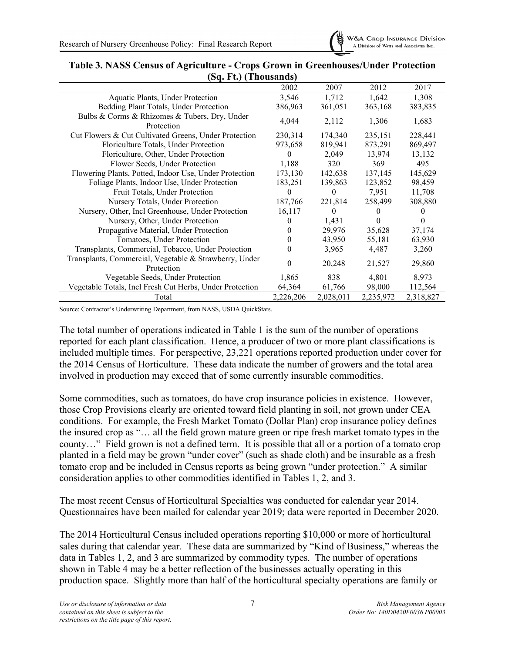

|                                                                      | 2002      | 2007      | 2012      | 2017         |  |  |
|----------------------------------------------------------------------|-----------|-----------|-----------|--------------|--|--|
| Aquatic Plants, Under Protection                                     | 3,546     | 1,712     | 1,642     | 1,308        |  |  |
| Bedding Plant Totals, Under Protection                               | 386,963   | 361,051   | 363,168   | 383,835      |  |  |
| Bulbs & Corms & Rhizomes & Tubers, Dry, Under<br>Protection          | 4,044     | 2,112     | 1,306     | 1,683        |  |  |
| Cut Flowers & Cut Cultivated Greens, Under Protection                | 230,314   | 174,340   | 235,151   | 228,441      |  |  |
| Floriculture Totals, Under Protection                                | 973,658   | 819,941   | 873,291   | 869,497      |  |  |
| Floriculture, Other, Under Protection                                | $\Omega$  | 2,049     | 13,974    | 13,132       |  |  |
| Flower Seeds, Under Protection                                       | 1,188     | 320       | 369       | 495          |  |  |
| Flowering Plants, Potted, Indoor Use, Under Protection               | 173,130   | 142,638   | 137,145   | 145,629      |  |  |
| Foliage Plants, Indoor Use, Under Protection                         | 183,251   | 139,863   | 123,852   | 98,459       |  |  |
| Fruit Totals, Under Protection                                       | $\Omega$  | $\theta$  | 7,951     | 11,708       |  |  |
| Nursery Totals, Under Protection                                     | 187,766   | 221,814   | 258,499   | 308,880      |  |  |
| Nursery, Other, Incl Greenhouse, Under Protection                    | 16,117    | 0         | $\theta$  | $\mathbf{0}$ |  |  |
| Nursery, Other, Under Protection                                     | $\theta$  | 1,431     | $\theta$  | 0            |  |  |
| Propagative Material, Under Protection                               | $_{0}$    | 29,976    | 35,628    | 37,174       |  |  |
| Tomatoes, Under Protection                                           | 0         | 43,950    | 55,181    | 63,930       |  |  |
| Transplants, Commercial, Tobacco, Under Protection                   | 0         | 3,965     | 4,487     | 3,260        |  |  |
| Transplants, Commercial, Vegetable & Strawberry, Under<br>Protection | $\theta$  | 20,248    | 21,527    | 29,860       |  |  |
| Vegetable Seeds, Under Protection                                    | 1,865     | 838       | 4,801     | 8,973        |  |  |
| Vegetable Totals, Incl Fresh Cut Herbs, Under Protection             | 64,364    | 61,766    | 98,000    | 112,564      |  |  |
| Total                                                                | 2,226,206 | 2,028,011 | 2,235,972 | 2,318,827    |  |  |

#### <span id="page-11-0"></span>**Table 3. NASS Census of Agriculture - Crops Grown in Greenhouses/Under Protection (Sq. Ft.) (Thousands)**

Source: Contractor's Underwriting Department, from NASS, USDA QuickStats.

The total number of operations indicated in Table 1 is the sum of the number of operations reported for each plant classification. Hence, a producer of two or more plant classifications is included multiple times. For perspective, 23,221 operations reported production under cover for the 2014 Census of Horticulture. These data indicate the number of growers and the total area involved in production may exceed that of some currently insurable commodities.

Some commodities, such as tomatoes, do have crop insurance policies in existence. However, those Crop Provisions clearly are oriented toward field planting in soil, not grown under CEA conditions. For example, the Fresh Market Tomato (Dollar Plan) crop insurance policy defines the insured crop as "… all the field grown mature green or ripe fresh market tomato types in the county…" Field grown is not a defined term. It is possible that all or a portion of a tomato crop planted in a field may be grown "under cover" (such as shade cloth) and be insurable as a fresh tomato crop and be included in Census reports as being grown "under protection." A similar consideration applies to other commodities identified in Tables 1, 2, and 3.

The most recent Census of Horticultural Specialties was conducted for calendar year 2014. Questionnaires have been mailed for calendar year 2019; data were reported in December 2020.

The 2014 Horticultural Census included operations reporting \$10,000 or more of horticultural sales during that calendar year. These data are summarized by "Kind of Business," whereas the data in Tables 1, 2, and 3 are summarized by commodity types. The number of operations shown in Table 4 may be a better reflection of the businesses actually operating in this production space. Slightly more than half of the horticultural specialty operations are family or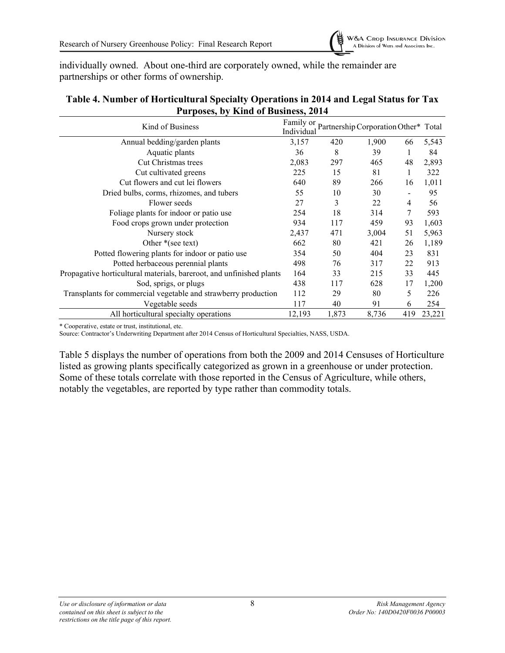

individually owned. About one-third are corporately owned, while the remainder are partnerships or other forms of ownership.

| Kind of Business                                                     | Family or<br>Individual |       | Partnership Corporation Other* Total |     |        |
|----------------------------------------------------------------------|-------------------------|-------|--------------------------------------|-----|--------|
| Annual bedding/garden plants                                         | 3,157                   | 420   | 1,900                                | 66  | 5,543  |
| Aquatic plants                                                       | 36                      | 8     | 39                                   |     | 84     |
| Cut Christmas trees                                                  | 2,083                   | 297   | 465                                  | 48  | 2,893  |
| Cut cultivated greens                                                | 225                     | 15    | 81                                   | 1   | 322    |
| Cut flowers and cut lei flowers                                      | 640                     | 89    | 266                                  | 16  | 1,011  |
| Dried bulbs, corms, rhizomes, and tubers                             | 55                      | 10    | 30                                   |     | 95     |
| Flower seeds                                                         | 27                      | 3     | 22                                   | 4   | 56     |
| Foliage plants for indoor or patio use                               | 254                     | 18    | 314                                  | 7   | 593    |
| Food crops grown under protection                                    | 934                     | 117   | 459                                  | 93  | 1,603  |
| Nursery stock                                                        | 2,437                   | 471   | 3,004                                | 51  | 5,963  |
| Other $*(\sec \text{text})$                                          | 662                     | 80    | 421                                  | 26  | 1,189  |
| Potted flowering plants for indoor or patio use                      | 354                     | 50    | 404                                  | 23  | 831    |
| Potted herbaceous perennial plants                                   | 498                     | 76    | 317                                  | 22  | 913    |
| Propagative horticultural materials, bareroot, and unfinished plants | 164                     | 33    | 215                                  | 33  | 445    |
| Sod, sprigs, or plugs                                                | 438                     | 117   | 628                                  | 17  | 1,200  |
| Transplants for commercial vegetable and strawberry production       | 112                     | 29    | 80                                   | 5   | 226    |
| Vegetable seeds                                                      | 117                     | 40    | 91                                   | 6   | 254    |
| All horticultural specialty operations                               | 12,193                  | 1,873 | 8,736                                | 419 | 23,221 |

#### <span id="page-12-0"></span>**Table 4. Number of Horticultural Specialty Operations in 2014 and Legal Status for Tax Purposes, by Kind of Business, 2014**

\* Cooperative, estate or trust, institutional, etc.

Source: Contractor's Underwriting Department after 2014 Census of Horticultural Specialties, NASS, USDA.

Table 5 displays the number of operations from both the 2009 and 2014 Censuses of Horticulture listed as growing plants specifically categorized as grown in a greenhouse or under protection. Some of these totals correlate with those reported in the Census of Agriculture, while others, notably the vegetables, are reported by type rather than commodity totals.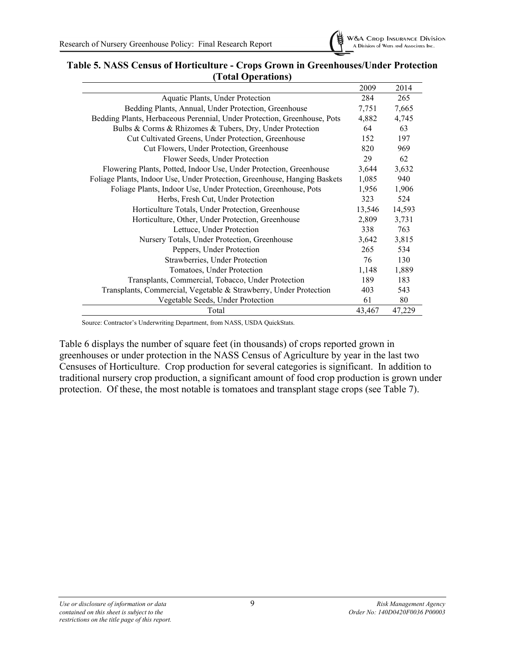

#### <span id="page-13-0"></span>**Table 5. NASS Census of Horticulture - Crops Grown in Greenhouses/Under Protection (Total Operations)**

|                                                                           | 2009   | 2014   |
|---------------------------------------------------------------------------|--------|--------|
| Aquatic Plants, Under Protection                                          | 284    | 265    |
| Bedding Plants, Annual, Under Protection, Greenhouse                      | 7,751  | 7,665  |
| Bedding Plants, Herbaceous Perennial, Under Protection, Greenhouse, Pots  | 4,882  | 4,745  |
| Bulbs & Corms & Rhizomes & Tubers, Dry, Under Protection                  | 64     | 63     |
| Cut Cultivated Greens, Under Protection, Greenhouse                       | 152    | 197    |
| Cut Flowers, Under Protection, Greenhouse                                 | 820    | 969    |
| Flower Seeds, Under Protection                                            | 29     | 62     |
| Flowering Plants, Potted, Indoor Use, Under Protection, Greenhouse        | 3,644  | 3,632  |
| Foliage Plants, Indoor Use, Under Protection, Greenhouse, Hanging Baskets | 1,085  | 940    |
| Foliage Plants, Indoor Use, Under Protection, Greenhouse, Pots            | 1,956  | 1,906  |
| Herbs, Fresh Cut, Under Protection                                        | 323    | 524    |
| Horticulture Totals, Under Protection, Greenhouse                         | 13,546 | 14,593 |
| Horticulture, Other, Under Protection, Greenhouse                         | 2,809  | 3,731  |
| Lettuce, Under Protection                                                 | 338    | 763    |
| Nursery Totals, Under Protection, Greenhouse                              | 3,642  | 3,815  |
| Peppers, Under Protection                                                 | 265    | 534    |
| Strawberries, Under Protection                                            | 76     | 130    |
| Tomatoes, Under Protection                                                | 1,148  | 1,889  |
| Transplants, Commercial, Tobacco, Under Protection                        | 189    | 183    |
| Transplants, Commercial, Vegetable & Strawberry, Under Protection         | 403    | 543    |
| Vegetable Seeds, Under Protection                                         | 61     | 80     |
| Total                                                                     | 43,467 | 47,229 |

Source: Contractor's Underwriting Department, from NASS, USDA QuickStats.

Table 6 displays the number of square feet (in thousands) of crops reported grown in greenhouses or under protection in the NASS Census of Agriculture by year in the last two Censuses of Horticulture. Crop production for several categories is significant. In addition to traditional nursery crop production, a significant amount of food crop production is grown under protection. Of these, the most notable is tomatoes and transplant stage crops (see Table 7).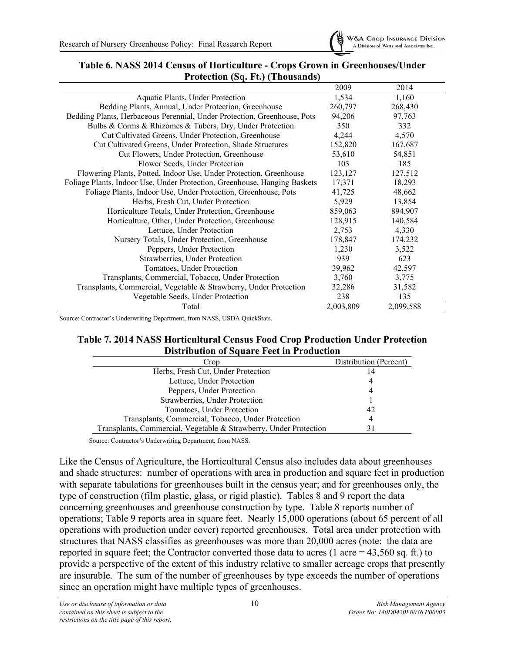

#### <span id="page-14-0"></span>**Table 6. NASS 2014 Census of Horticulture - Crops Grown in Greenhouses/Under Protection (Sq. Ft.) (Thousands)**

|                                                                           | 2009      | 2014      |
|---------------------------------------------------------------------------|-----------|-----------|
| Aquatic Plants, Under Protection                                          | 1,534     | 1,160     |
| Bedding Plants, Annual, Under Protection, Greenhouse                      | 260,797   | 268,430   |
| Bedding Plants, Herbaceous Perennial, Under Protection, Greenhouse, Pots  | 94,206    | 97,763    |
| Bulbs & Corms & Rhizomes & Tubers, Dry, Under Protection                  | 350       | 332       |
| Cut Cultivated Greens, Under Protection, Greenhouse                       | 4,244     | 4,570     |
| Cut Cultivated Greens, Under Protection, Shade Structures                 | 152,820   | 167,687   |
| Cut Flowers, Under Protection, Greenhouse                                 | 53,610    | 54,851    |
| Flower Seeds, Under Protection                                            | 103       | 185       |
| Flowering Plants, Potted, Indoor Use, Under Protection, Greenhouse        | 123,127   | 127,512   |
| Foliage Plants, Indoor Use, Under Protection, Greenhouse, Hanging Baskets | 17,371    | 18,293    |
| Foliage Plants, Indoor Use, Under Protection, Greenhouse, Pots            | 41,725    | 48,662    |
| Herbs, Fresh Cut, Under Protection                                        | 5,929     | 13,854    |
| Horticulture Totals, Under Protection, Greenhouse                         | 859,063   | 894,907   |
| Horticulture, Other, Under Protection, Greenhouse                         | 128,915   | 140,584   |
| Lettuce, Under Protection                                                 | 2,753     | 4,330     |
| Nursery Totals, Under Protection, Greenhouse                              | 178,847   | 174,232   |
| Peppers, Under Protection                                                 | 1,230     | 3,522     |
| Strawberries, Under Protection                                            | 939       | 623       |
| Tomatoes, Under Protection                                                | 39,962    | 42,597    |
| Transplants, Commercial, Tobacco, Under Protection                        | 3,760     | 3,775     |
| Transplants, Commercial, Vegetable & Strawberry, Under Protection         | 32,286    | 31,582    |
| Vegetable Seeds, Under Protection                                         | 238       | 135       |
| Total                                                                     | 2,003,809 | 2,099,588 |

<span id="page-14-1"></span>Source: Contractor's Underwriting Department, from NASS, USDA QuickStats.

#### **Table 7. 2014 NASS Horticultural Census Food Crop Production Under Protection Distribution of Square Feet in Production**

| Crop                                                              | Distribution (Percent) |
|-------------------------------------------------------------------|------------------------|
| Herbs, Fresh Cut, Under Protection                                | 14                     |
| Lettuce, Under Protection                                         | 4                      |
| Peppers, Under Protection                                         | 4                      |
| Strawberries, Under Protection                                    |                        |
| Tomatoes, Under Protection                                        | 42                     |
| Transplants, Commercial, Tobacco, Under Protection                | 4                      |
| Transplants, Commercial, Vegetable & Strawberry, Under Protection | 31                     |

Source: Contractor's Underwriting Department, from NASS.

Like the Census of Agriculture, the Horticultural Census also includes data about greenhouses and shade structures: number of operations with area in production and square feet in production with separate tabulations for greenhouses built in the census year; and for greenhouses only, the type of construction (film plastic, glass, or rigid plastic). Tables 8 and 9 report the data concerning greenhouses and greenhouse construction by type. Table 8 reports number of operations; Table 9 reports area in square feet. Nearly 15,000 operations (about 65 percent of all operations with production under cover) reported greenhouses. Total area under protection with structures that NASS classifies as greenhouses was more than 20,000 acres (note: the data are reported in square feet; the Contractor converted those data to acres (1 acre =  $43,560$  sq. ft.) to provide a perspective of the extent of this industry relative to smaller acreage crops that presently are insurable. The sum of the number of greenhouses by type exceeds the number of operations since an operation might have multiple types of greenhouses.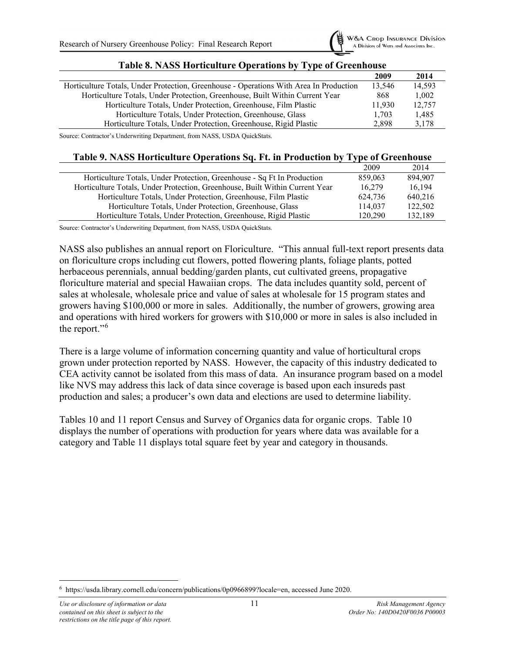

<span id="page-15-0"></span>

|                                                                                        | 2009   | 2014   |
|----------------------------------------------------------------------------------------|--------|--------|
| Horticulture Totals, Under Protection, Greenhouse - Operations With Area In Production | 13.546 | 14.593 |
| Horticulture Totals, Under Protection, Greenhouse, Built Within Current Year           | 868    | 1,002  |
| Horticulture Totals, Under Protection, Greenhouse, Film Plastic                        | 11.930 | 12,757 |
| Horticulture Totals, Under Protection, Greenhouse, Glass                               | 1.703  | 1.485  |
| Horticulture Totals, Under Protection, Greenhouse, Rigid Plastic                       | 2.898  | 3,178  |

#### **Table 8. NASS Horticulture Operations by Type of Greenhouse**

Source: Contractor's Underwriting Department, from NASS, USDA QuickStats.

#### **Table 9. NASS Horticulture Operations Sq. Ft. in Production by Type of Greenhouse**

<span id="page-15-1"></span>

|                                                                              | 2009    | 2014    |  |
|------------------------------------------------------------------------------|---------|---------|--|
| Horticulture Totals, Under Protection, Greenhouse - Sq Ft In Production      | 859,063 | 894.907 |  |
| Horticulture Totals, Under Protection, Greenhouse, Built Within Current Year | 16.279  | 16.194  |  |
| Horticulture Totals, Under Protection, Greenhouse, Film Plastic              | 624.736 | 640,216 |  |
| Horticulture Totals, Under Protection, Greenhouse, Glass                     | 114,037 | 122,502 |  |
| Horticulture Totals, Under Protection, Greenhouse, Rigid Plastic             | 120,290 | 132.189 |  |
|                                                                              |         |         |  |

Source: Contractor's Underwriting Department, from NASS, USDA QuickStats.

NASS also publishes an annual report on Floriculture. "This annual full-text report presents data on floriculture crops including cut flowers, potted flowering plants, foliage plants, potted herbaceous perennials, annual bedding/garden plants, cut cultivated greens, propagative floriculture material and special Hawaiian crops. The data includes quantity sold, percent of sales at wholesale, wholesale price and value of sales at wholesale for 15 program states and growers having \$100,000 or more in sales. Additionally, the number of growers, growing area and operations with hired workers for growers with \$10,000 or more in sales is also included in the report."[6](#page-15-2)

There is a large volume of information concerning quantity and value of horticultural crops grown under protection reported by NASS. However, the capacity of this industry dedicated to CEA activity cannot be isolated from this mass of data. An insurance program based on a model like NVS may address this lack of data since coverage is based upon each insureds past production and sales; a producer's own data and elections are used to determine liability.

Tables 10 and 11 report Census and Survey of Organics data for organic crops. Table 10 displays the number of operations with production for years where data was available for a category and Table 11 displays total square feet by year and category in thousands.

<span id="page-15-2"></span><sup>6</sup> https://usda.library.cornell.edu/concern/publications/0p0966899?locale=en, accessed June 2020.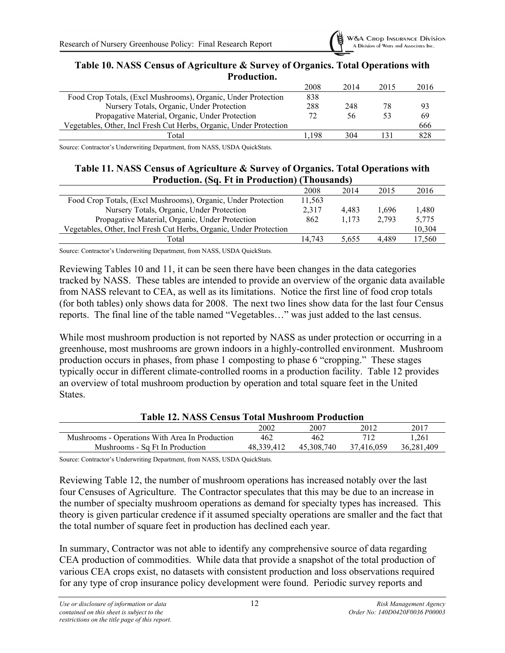

<span id="page-16-0"></span>

| Table 10. NASS Census of Agriculture & Survey of Organics. Total Operations with |
|----------------------------------------------------------------------------------|
| <b>Production.</b>                                                               |

|                                                                    | 2008 | 2014 | 2015 | 2016 |
|--------------------------------------------------------------------|------|------|------|------|
| Food Crop Totals, (Excl Mushrooms), Organic, Under Protection      |      |      |      |      |
| Nursery Totals, Organic, Under Protection                          |      | 248  | 78   |      |
| Propagative Material, Organic, Under Protection                    |      | 56   | 53   | 69   |
| Vegetables, Other, Incl Fresh Cut Herbs, Organic, Under Protection |      |      |      | 666  |
| Total                                                              | .198 | 304  |      | 828  |

Source: Contractor's Underwriting Department, from NASS, USDA QuickStats.

#### <span id="page-16-1"></span>**Table 11. NASS Census of Agriculture & Survey of Organics. Total Operations with Production. (Sq. Ft in Production) (Thousands)**

|                                                                    | 2008   | 2014  | 2015  | 2016   |
|--------------------------------------------------------------------|--------|-------|-------|--------|
| Food Crop Totals, (Excl Mushrooms), Organic, Under Protection      | 11,563 |       |       |        |
| Nursery Totals, Organic, Under Protection                          | 2.317  | 4.483 | 1.696 | 1.480  |
| Propagative Material, Organic, Under Protection                    |        | 1.173 | 2.793 | 5,775  |
| Vegetables, Other, Incl Fresh Cut Herbs, Organic, Under Protection |        |       |       | 10,304 |
| Total                                                              | 14.743 | 5.655 | 4.489 | 17.560 |

Source: Contractor's Underwriting Department, from NASS, USDA QuickStats.

Reviewing Tables 10 and 11, it can be seen there have been changes in the data categories tracked by NASS. These tables are intended to provide an overview of the organic data available from NASS relevant to CEA, as well as its limitations. Notice the first line of food crop totals (for both tables) only shows data for 2008. The next two lines show data for the last four Census reports. The final line of the table named "Vegetables…" was just added to the last census.

While most mushroom production is not reported by NASS as under protection or occurring in a greenhouse, most mushrooms are grown indoors in a highly-controlled environment. Mushroom production occurs in phases, from phase 1 composting to phase 6 "cropping." These stages typically occur in different climate-controlled rooms in a production facility. Table 12 provides an overview of total mushroom production by operation and total square feet in the United States.

#### **Table 12. NASS Census Total Mushroom Production**

<span id="page-16-2"></span>

|                                                | 2002       | 2007       | 2012       | 2017       |
|------------------------------------------------|------------|------------|------------|------------|
| Mushrooms - Operations With Area In Production | 462        | 462        |            | .261       |
| Mushrooms - Sq Ft In Production                | 48.339.412 | 45,308,740 | 37.416.059 | 36,281,409 |

Source: Contractor's Underwriting Department, from NASS, USDA QuickStats.

Reviewing Table 12, the number of mushroom operations has increased notably over the last four Censuses of Agriculture. The Contractor speculates that this may be due to an increase in the number of specialty mushroom operations as demand for specialty types has increased. This theory is given particular credence if it assumed specialty operations are smaller and the fact that the total number of square feet in production has declined each year.

In summary, Contractor was not able to identify any comprehensive source of data regarding CEA production of commodities. While data that provide a snapshot of the total production of various CEA crops exist, no datasets with consistent production and loss observations required for any type of crop insurance policy development were found. Periodic survey reports and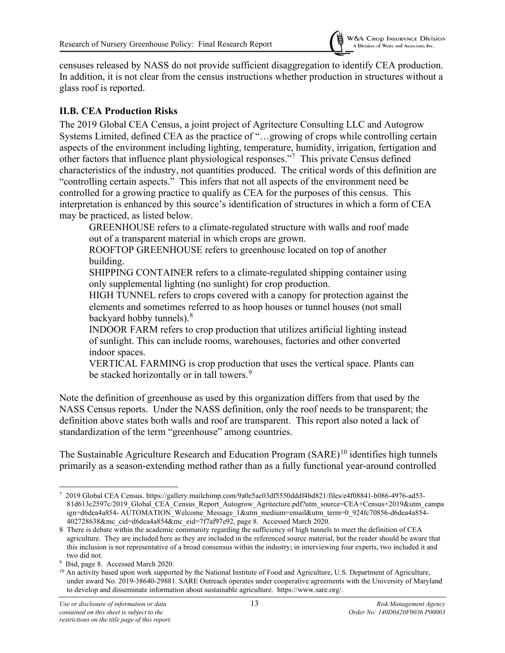

censuses released by NASS do not provide sufficient disaggregation to identify CEA production. In addition, it is not clear from the census instructions whether production in structures without a glass roof is reported.

#### <span id="page-17-0"></span>**II.B. CEA Production Risks**

The 2019 Global CEA Census, a joint project of Agritecture Consulting LLC and Autogrow Systems Limited, defined CEA as the practice of "…growing of crops while controlling certain aspects of the environment including lighting, temperature, humidity, irrigation, fertigation and other factors that influence plant physiological responses."<sup>[7](#page-17-1)</sup> This private Census defined characteristics of the industry, not quantities produced. The critical words of this definition are "controlling certain aspects." This infers that not all aspects of the environment need be controlled for a growing practice to qualify as CEA for the purposes of this census. This interpretation is enhanced by this source's identification of structures in which a form of CEA may be practiced, as listed below.

GREENHOUSE refers to a climate-regulated structure with walls and roof made out of a transparent material in which crops are grown.

ROOFTOP GREENHOUSE refers to greenhouse located on top of another building.

SHIPPING CONTAINER refers to a climate-regulated shipping container using only supplemental lighting (no sunlight) for crop production.

HIGH TUNNEL refers to crops covered with a canopy for protection against the elements and sometimes referred to as hoop houses or tunnel houses (not small backyard hobby tunnels). $^8$  $^8$ 

INDOOR FARM refers to crop production that utilizes artificial lighting instead of sunlight. This can include rooms, warehouses, factories and other converted indoor spaces.

VERTICAL FARMING is crop production that uses the vertical space. Plants can be stacked horizontally or in tall towers.<sup>[9](#page-17-3)</sup>

Note the definition of greenhouse as used by this organization differs from that used by the NASS Census reports. Under the NASS definition, only the roof needs to be transparent; the definition above states both walls and roof are transparent. This report also noted a lack of standardization of the term "greenhouse" among countries.

The Sustainable Agriculture Research and Education Program (SARE)<sup>[10](#page-17-4)</sup> identifies high tunnels primarily as a season-extending method rather than as a fully functional year-around controlled

<span id="page-17-1"></span><sup>7</sup> 2019 Global CEA Census. https://gallery.mailchimp.com/9a0e5ac03df5550dddf4bd821/files/e4f08841-b086-4976-ad53- 81d613c2597c/2019\_Global\_CEA\_Census\_Report\_Autogrow\_Agritecture.pdf?utm\_source=CEA+Census+2019&utm\_campa ign=d6dea4a854- AUTOMATION\_Welcome\_Message\_1&utm\_medium=email&utm\_term=0\_924fc70856-d6dea4a854- $402728638$ &mc\_cid=d6dea4a854&mc\_eid=7f7af97e92, page 8. Accessed March 2020.

<span id="page-17-2"></span><sup>8</sup> There is debate within the academic community regarding the sufficiency of high tunnels to meet the definition of CEA agriculture. They are included here as they are included in the referenced source material, but the reader should be aware that this inclusion is not representative of a broad consensus within the industry; in interviewing four experts, two included it and two did not.

<span id="page-17-3"></span><sup>9</sup> Ibid, page 8. Accessed March 2020.

<span id="page-17-4"></span> $10$  An activity based upon work supported by the National Institute of Food and Agriculture, U.S. Department of Agriculture, under award No. 2019-38640-29881. SARE Outreach operates under cooperative agreements with the University of Maryland to develop and disseminate information about sustainable agriculture. https://www.sare.org/.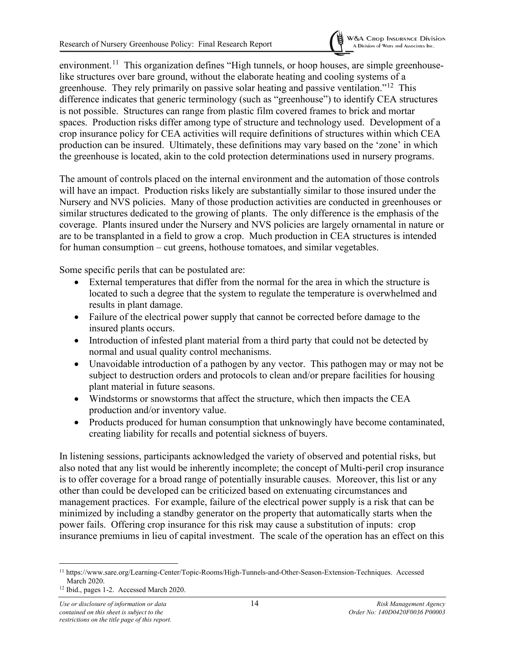

environment.<sup>[11](#page-18-0)</sup> This organization defines "High tunnels, or hoop houses, are simple greenhouselike structures over bare ground, without the elaborate heating and cooling systems of a greenhouse. They rely primarily on passive solar heating and passive ventilation."<sup>[12](#page-18-1)</sup> This difference indicates that generic terminology (such as "greenhouse") to identify CEA structures is not possible. Structures can range from plastic film covered frames to brick and mortar spaces. Production risks differ among type of structure and technology used. Development of a crop insurance policy for CEA activities will require definitions of structures within which CEA production can be insured. Ultimately, these definitions may vary based on the 'zone' in which the greenhouse is located, akin to the cold protection determinations used in nursery programs.

The amount of controls placed on the internal environment and the automation of those controls will have an impact. Production risks likely are substantially similar to those insured under the Nursery and NVS policies. Many of those production activities are conducted in greenhouses or similar structures dedicated to the growing of plants. The only difference is the emphasis of the coverage. Plants insured under the Nursery and NVS policies are largely ornamental in nature or are to be transplanted in a field to grow a crop. Much production in CEA structures is intended for human consumption – cut greens, hothouse tomatoes, and similar vegetables.

Some specific perils that can be postulated are:

- External temperatures that differ from the normal for the area in which the structure is located to such a degree that the system to regulate the temperature is overwhelmed and results in plant damage.
- Failure of the electrical power supply that cannot be corrected before damage to the insured plants occurs.
- Introduction of infested plant material from a third party that could not be detected by normal and usual quality control mechanisms.
- Unavoidable introduction of a pathogen by any vector. This pathogen may or may not be subject to destruction orders and protocols to clean and/or prepare facilities for housing plant material in future seasons.
- Windstorms or snowstorms that affect the structure, which then impacts the CEA production and/or inventory value.
- Products produced for human consumption that unknowingly have become contaminated, creating liability for recalls and potential sickness of buyers.

In listening sessions, participants acknowledged the variety of observed and potential risks, but also noted that any list would be inherently incomplete; the concept of Multi-peril crop insurance is to offer coverage for a broad range of potentially insurable causes. Moreover, this list or any other than could be developed can be criticized based on extenuating circumstances and management practices. For example, failure of the electrical power supply is a risk that can be minimized by including a standby generator on the property that automatically starts when the power fails. Offering crop insurance for this risk may cause a substitution of inputs: crop insurance premiums in lieu of capital investment. The scale of the operation has an effect on this

<span id="page-18-0"></span><sup>11</sup> https://www.sare.org/Learning-Center/Topic-Rooms/High-Tunnels-and-Other-Season-Extension-Techniques. Accessed March 2020.

<span id="page-18-1"></span><sup>12</sup> Ibid., pages 1-2. Accessed March 2020.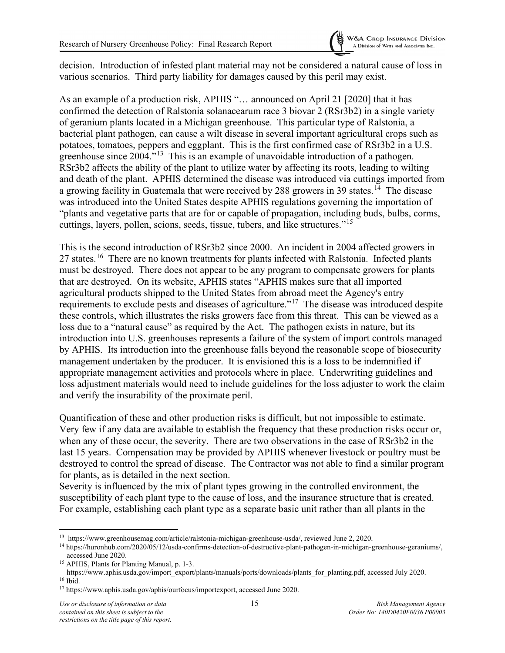

decision. Introduction of infested plant material may not be considered a natural cause of loss in various scenarios. Third party liability for damages caused by this peril may exist.

As an example of a production risk, APHIS "… announced on April 21 [2020] that it has confirmed the detection of Ralstonia solanacearum race 3 biovar 2 (RSr3b2) in a single variety of geranium plants located in a Michigan greenhouse. This particular type of Ralstonia, a bacterial plant pathogen, can cause a wilt disease in several important agricultural crops such as potatoes, tomatoes, peppers and eggplant. This is the first confirmed case of RSr3b2 in a U.S. greenhouse since 2004."[13](#page-19-0) This is an example of unavoidable introduction of a pathogen. RSr3b2 affects the ability of the plant to utilize water by affecting its roots, leading to wilting and death of the plant. APHIS determined the disease was introduced via cuttings imported from a growing facility in Guatemala that were received by 288 growers in 39 states.<sup>14</sup> The disease was introduced into the United States despite APHIS regulations governing the importation of "plants and vegetative parts that are for or capable of propagation, including buds, bulbs, corms, cuttings, layers, pollen, scions, seeds, tissue, tubers, and like structures."[15](#page-19-2)

This is the second introduction of RSr3b2 since 2000. An incident in 2004 affected growers in 27 states.<sup>[16](#page-19-3)</sup> There are no known treatments for plants infected with Ralstonia. Infected plants must be destroyed. There does not appear to be any program to compensate growers for plants that are destroyed. On its website, APHIS states "APHIS makes sure that all imported agricultural products shipped to the United States from abroad meet the Agency's entry requirements to exclude pests and diseases of agriculture."[17](#page-19-4) The disease was introduced despite these controls, which illustrates the risks growers face from this threat. This can be viewed as a loss due to a "natural cause" as required by the Act. The pathogen exists in nature, but its introduction into U.S. greenhouses represents a failure of the system of import controls managed by APHIS. Its introduction into the greenhouse falls beyond the reasonable scope of biosecurity management undertaken by the producer. It is envisioned this is a loss to be indemnified if appropriate management activities and protocols where in place. Underwriting guidelines and loss adjustment materials would need to include guidelines for the loss adjuster to work the claim and verify the insurability of the proximate peril.

Quantification of these and other production risks is difficult, but not impossible to estimate. Very few if any data are available to establish the frequency that these production risks occur or, when any of these occur, the severity. There are two observations in the case of RSr3b2 in the last 15 years. Compensation may be provided by APHIS whenever livestock or poultry must be destroyed to control the spread of disease. The Contractor was not able to find a similar program for plants, as is detailed in the next section.

Severity is influenced by the mix of plant types growing in the controlled environment, the susceptibility of each plant type to the cause of loss, and the insurance structure that is created. For example, establishing each plant type as a separate basic unit rather than all plants in the

<span id="page-19-0"></span><sup>13</sup> https://www.greenhousemag.com/article/ralstonia-michigan-greenhouse-usda/, reviewed June 2, 2020.

<span id="page-19-1"></span><sup>14</sup> https://huronhub.com/2020/05/12/usda-confirms-detection-of-destructive-plant-pathogen-in-michigan-greenhouse-geraniums/, accessed June 2020.

<span id="page-19-2"></span><sup>15</sup> APHIS, Plants for Planting Manual, p. 1-3.

https://www.aphis.usda.gov/import\_export/plants/manuals/ports/downloads/plants\_for\_planting.pdf, accessed July 2020. <sup>16</sup> Ibid.

<span id="page-19-4"></span><span id="page-19-3"></span><sup>17</sup> https://www.aphis.usda.gov/aphis/ourfocus/importexport, accessed June 2020.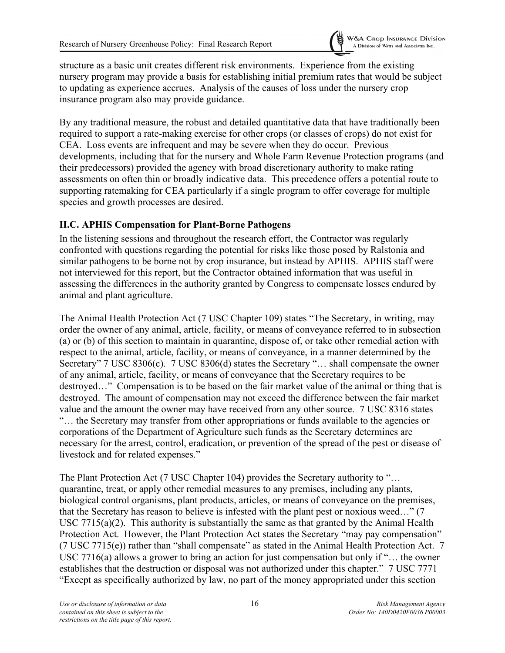

structure as a basic unit creates different risk environments. Experience from the existing nursery program may provide a basis for establishing initial premium rates that would be subject to updating as experience accrues. Analysis of the causes of loss under the nursery crop insurance program also may provide guidance.

By any traditional measure, the robust and detailed quantitative data that have traditionally been required to support a rate-making exercise for other crops (or classes of crops) do not exist for CEA. Loss events are infrequent and may be severe when they do occur. Previous developments, including that for the nursery and Whole Farm Revenue Protection programs (and their predecessors) provided the agency with broad discretionary authority to make rating assessments on often thin or broadly indicative data. This precedence offers a potential route to supporting ratemaking for CEA particularly if a single program to offer coverage for multiple species and growth processes are desired.

#### <span id="page-20-0"></span>**II.C. APHIS Compensation for Plant-Borne Pathogens**

In the listening sessions and throughout the research effort, the Contractor was regularly confronted with questions regarding the potential for risks like those posed by Ralstonia and similar pathogens to be borne not by crop insurance, but instead by APHIS. APHIS staff were not interviewed for this report, but the Contractor obtained information that was useful in assessing the differences in the authority granted by Congress to compensate losses endured by animal and plant agriculture.

The Animal Health Protection Act (7 USC Chapter 109) states "The Secretary, in writing, may order the owner of any animal, article, facility, or means of conveyance referred to in subsection (a) or (b) of this section to maintain in quarantine, dispose of, or take other remedial action with respect to the animal, article, facility, or means of conveyance, in a manner determined by the Secretary" 7 USC 8306(c). 7 USC 8306(d) states the Secretary "… shall compensate the owner of any animal, article, facility, or means of conveyance that the Secretary requires to be destroyed…" Compensation is to be based on the fair market value of the animal or thing that is destroyed. The amount of compensation may not exceed the difference between the fair market value and the amount the owner may have received from any other source. 7 USC 8316 states "… the Secretary may transfer from other appropriations or funds available to the agencies or corporations of the Department of Agriculture such funds as the Secretary determines are necessary for the arrest, control, eradication, or prevention of the spread of the pest or disease of livestock and for related expenses."

The Plant Protection Act (7 USC Chapter 104) provides the Secretary authority to "... quarantine, treat, or apply other remedial measures to any premises, including any plants, biological control organisms, plant products, articles, or means of conveyance on the premises, that the Secretary has reason to believe is infested with the plant pest or noxious weed…" (7 USC 7715(a)(2). This authority is substantially the same as that granted by the Animal Health Protection Act. However, the Plant Protection Act states the Secretary "may pay compensation" (7 USC 7715(e)) rather than "shall compensate" as stated in the Animal Health Protection Act. 7 USC 7716(a) allows a grower to bring an action for just compensation but only if "… the owner establishes that the destruction or disposal was not authorized under this chapter." 7 USC 7771 "Except as specifically authorized by law, no part of the money appropriated under this section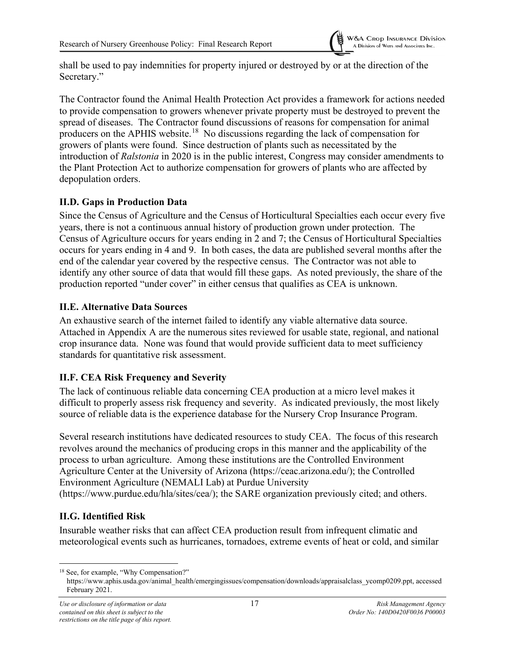shall be used to pay indemnities for property injured or destroyed by or at the direction of the Secretary."

The Contractor found the Animal Health Protection Act provides a framework for actions needed to provide compensation to growers whenever private property must be destroyed to prevent the spread of diseases. The Contractor found discussions of reasons for compensation for animal producers on the APHIS website.<sup>18</sup> No discussions regarding the lack of compensation for growers of plants were found. Since destruction of plants such as necessitated by the introduction of *Ralstonia* in 2020 is in the public interest, Congress may consider amendments to the Plant Protection Act to authorize compensation for growers of plants who are affected by depopulation orders.

#### <span id="page-21-0"></span>**II.D. Gaps in Production Data**

Since the Census of Agriculture and the Census of Horticultural Specialties each occur every five years, there is not a continuous annual history of production grown under protection. The Census of Agriculture occurs for years ending in 2 and 7; the Census of Horticultural Specialties occurs for years ending in 4 and 9. In both cases, the data are published several months after the end of the calendar year covered by the respective census. The Contractor was not able to identify any other source of data that would fill these gaps. As noted previously, the share of the production reported "under cover" in either census that qualifies as CEA is unknown.

#### <span id="page-21-1"></span>**II.E. Alternative Data Sources**

An exhaustive search of the internet failed to identify any viable alternative data source. Attached in Appendix A are the numerous sites reviewed for usable state, regional, and national crop insurance data. None was found that would provide sufficient data to meet sufficiency standards for quantitative risk assessment.

## <span id="page-21-2"></span>**II.F. CEA Risk Frequency and Severity**

The lack of continuous reliable data concerning CEA production at a micro level makes it difficult to properly assess risk frequency and severity. As indicated previously, the most likely source of reliable data is the experience database for the Nursery Crop Insurance Program.

Several research institutions have dedicated resources to study CEA. The focus of this research revolves around the mechanics of producing crops in this manner and the applicability of the process to urban agriculture. Among these institutions are the Controlled Environment Agriculture Center at the University of Arizona (https://ceac.arizona.edu/); the Controlled Environment Agriculture (NEMALI Lab) at Purdue University (https://www.purdue.edu/hla/sites/cea/); the SARE organization previously cited; and others.

## <span id="page-21-3"></span>**II.G. Identified Risk**

Insurable weather risks that can affect CEA production result from infrequent climatic and meteorological events such as hurricanes, tornadoes, extreme events of heat or cold, and similar

<span id="page-21-4"></span><sup>18</sup> See, for example, "Why Compensation?"

https://www.aphis.usda.gov/animal\_health/emergingissues/compensation/downloads/appraisalclass\_ycomp0209.ppt, accessed February 2021.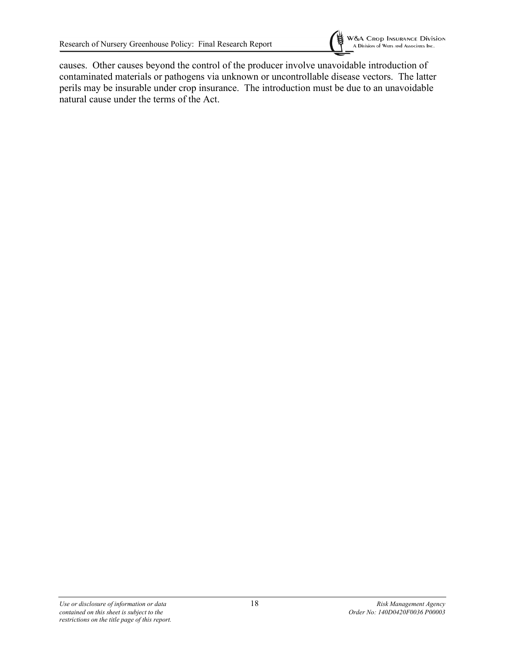

causes. Other causes beyond the control of the producer involve unavoidable introduction of contaminated materials or pathogens via unknown or uncontrollable disease vectors. The latter perils may be insurable under crop insurance. The introduction must be due to an unavoidable natural cause under the terms of the Act.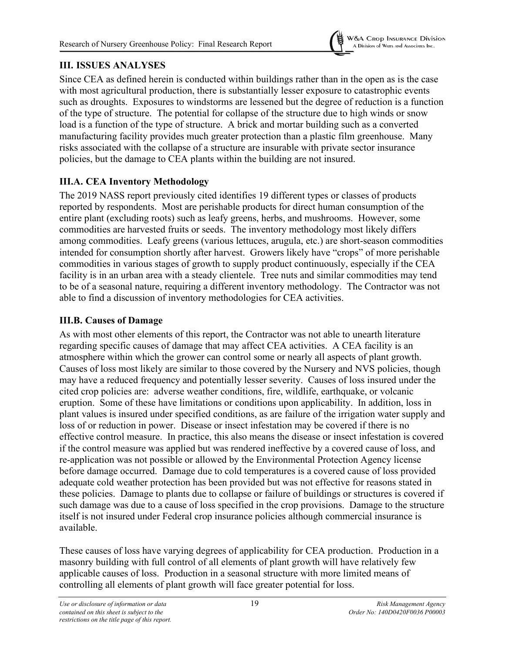

## <span id="page-23-0"></span>**III. ISSUES ANALYSES**

Since CEA as defined herein is conducted within buildings rather than in the open as is the case with most agricultural production, there is substantially lesser exposure to catastrophic events such as droughts. Exposures to windstorms are lessened but the degree of reduction is a function of the type of structure. The potential for collapse of the structure due to high winds or snow load is a function of the type of structure. A brick and mortar building such as a converted manufacturing facility provides much greater protection than a plastic film greenhouse. Many risks associated with the collapse of a structure are insurable with private sector insurance policies, but the damage to CEA plants within the building are not insured.

## <span id="page-23-1"></span>**III.A. CEA Inventory Methodology**

The 2019 NASS report previously cited identifies 19 different types or classes of products reported by respondents. Most are perishable products for direct human consumption of the entire plant (excluding roots) such as leafy greens, herbs, and mushrooms. However, some commodities are harvested fruits or seeds. The inventory methodology most likely differs among commodities. Leafy greens (various lettuces, arugula, etc.) are short-season commodities intended for consumption shortly after harvest. Growers likely have "crops" of more perishable commodities in various stages of growth to supply product continuously, especially if the CEA facility is in an urban area with a steady clientele. Tree nuts and similar commodities may tend to be of a seasonal nature, requiring a different inventory methodology. The Contractor was not able to find a discussion of inventory methodologies for CEA activities.

## <span id="page-23-2"></span>**III.B. Causes of Damage**

As with most other elements of this report, the Contractor was not able to unearth literature regarding specific causes of damage that may affect CEA activities. A CEA facility is an atmosphere within which the grower can control some or nearly all aspects of plant growth. Causes of loss most likely are similar to those covered by the Nursery and NVS policies, though may have a reduced frequency and potentially lesser severity. Causes of loss insured under the cited crop policies are: adverse weather conditions, fire, wildlife, earthquake, or volcanic eruption. Some of these have limitations or conditions upon applicability. In addition, loss in plant values is insured under specified conditions, as are failure of the irrigation water supply and loss of or reduction in power. Disease or insect infestation may be covered if there is no effective control measure. In practice, this also means the disease or insect infestation is covered if the control measure was applied but was rendered ineffective by a covered cause of loss, and re-application was not possible or allowed by the Environmental Protection Agency license before damage occurred. Damage due to cold temperatures is a covered cause of loss provided adequate cold weather protection has been provided but was not effective for reasons stated in these policies. Damage to plants due to collapse or failure of buildings or structures is covered if such damage was due to a cause of loss specified in the crop provisions. Damage to the structure itself is not insured under Federal crop insurance policies although commercial insurance is available.

These causes of loss have varying degrees of applicability for CEA production. Production in a masonry building with full control of all elements of plant growth will have relatively few applicable causes of loss. Production in a seasonal structure with more limited means of controlling all elements of plant growth will face greater potential for loss.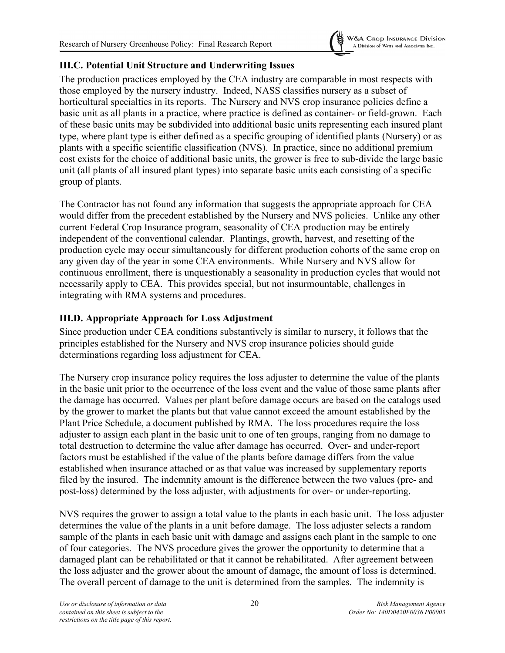

### <span id="page-24-0"></span>**III.C. Potential Unit Structure and Underwriting Issues**

The production practices employed by the CEA industry are comparable in most respects with those employed by the nursery industry. Indeed, NASS classifies nursery as a subset of horticultural specialties in its reports. The Nursery and NVS crop insurance policies define a basic unit as all plants in a practice, where practice is defined as container- or field-grown. Each of these basic units may be subdivided into additional basic units representing each insured plant type, where plant type is either defined as a specific grouping of identified plants (Nursery) or as plants with a specific scientific classification (NVS). In practice, since no additional premium cost exists for the choice of additional basic units, the grower is free to sub-divide the large basic unit (all plants of all insured plant types) into separate basic units each consisting of a specific group of plants.

The Contractor has not found any information that suggests the appropriate approach for CEA would differ from the precedent established by the Nursery and NVS policies. Unlike any other current Federal Crop Insurance program, seasonality of CEA production may be entirely independent of the conventional calendar. Plantings, growth, harvest, and resetting of the production cycle may occur simultaneously for different production cohorts of the same crop on any given day of the year in some CEA environments. While Nursery and NVS allow for continuous enrollment, there is unquestionably a seasonality in production cycles that would not necessarily apply to CEA. This provides special, but not insurmountable, challenges in integrating with RMA systems and procedures.

## <span id="page-24-1"></span>**III.D. Appropriate Approach for Loss Adjustment**

Since production under CEA conditions substantively is similar to nursery, it follows that the principles established for the Nursery and NVS crop insurance policies should guide determinations regarding loss adjustment for CEA.

The Nursery crop insurance policy requires the loss adjuster to determine the value of the plants in the basic unit prior to the occurrence of the loss event and the value of those same plants after the damage has occurred. Values per plant before damage occurs are based on the catalogs used by the grower to market the plants but that value cannot exceed the amount established by the Plant Price Schedule, a document published by RMA. The loss procedures require the loss adjuster to assign each plant in the basic unit to one of ten groups, ranging from no damage to total destruction to determine the value after damage has occurred. Over- and under-report factors must be established if the value of the plants before damage differs from the value established when insurance attached or as that value was increased by supplementary reports filed by the insured. The indemnity amount is the difference between the two values (pre- and post-loss) determined by the loss adjuster, with adjustments for over- or under-reporting.

NVS requires the grower to assign a total value to the plants in each basic unit. The loss adjuster determines the value of the plants in a unit before damage. The loss adjuster selects a random sample of the plants in each basic unit with damage and assigns each plant in the sample to one of four categories. The NVS procedure gives the grower the opportunity to determine that a damaged plant can be rehabilitated or that it cannot be rehabilitated. After agreement between the loss adjuster and the grower about the amount of damage, the amount of loss is determined. The overall percent of damage to the unit is determined from the samples. The indemnity is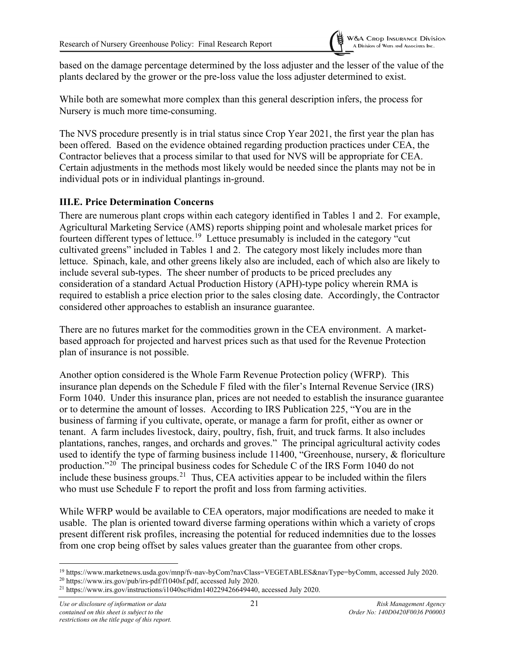

based on the damage percentage determined by the loss adjuster and the lesser of the value of the plants declared by the grower or the pre-loss value the loss adjuster determined to exist.

While both are somewhat more complex than this general description infers, the process for Nursery is much more time-consuming.

The NVS procedure presently is in trial status since Crop Year 2021, the first year the plan has been offered. Based on the evidence obtained regarding production practices under CEA, the Contractor believes that a process similar to that used for NVS will be appropriate for CEA. Certain adjustments in the methods most likely would be needed since the plants may not be in individual pots or in individual plantings in-ground.

#### <span id="page-25-0"></span>**III.E. Price Determination Concerns**

There are numerous plant crops within each category identified in Tables 1 and 2. For example, Agricultural Marketing Service (AMS) reports shipping point and wholesale market prices for fourteen different types of lettuce.<sup>[19](#page-25-1)</sup> Lettuce presumably is included in the category "cut cultivated greens" included in Tables 1 and 2. The category most likely includes more than lettuce. Spinach, kale, and other greens likely also are included, each of which also are likely to include several sub-types. The sheer number of products to be priced precludes any consideration of a standard Actual Production History (APH)-type policy wherein RMA is required to establish a price election prior to the sales closing date. Accordingly, the Contractor considered other approaches to establish an insurance guarantee.

There are no futures market for the commodities grown in the CEA environment. A marketbased approach for projected and harvest prices such as that used for the Revenue Protection plan of insurance is not possible.

Another option considered is the Whole Farm Revenue Protection policy (WFRP). This insurance plan depends on the Schedule F filed with the filer's Internal Revenue Service (IRS) Form 1040. Under this insurance plan, prices are not needed to establish the insurance guarantee or to determine the amount of losses. According to IRS Publication 225, "You are in the business of farming if you cultivate, operate, or manage a farm for profit, either as owner or tenant. A farm includes livestock, dairy, poultry, fish, fruit, and truck farms. It also includes plantations, ranches, ranges, and orchards and groves." The principal agricultural activity codes used to identify the type of farming business include 11400, "Greenhouse, nursery, & floriculture production."[20](#page-25-2) The principal business codes for Schedule C of the IRS Form 1040 do not include these business groups.<sup>21</sup> Thus, CEA activities appear to be included within the filers who must use Schedule F to report the profit and loss from farming activities.

While WFRP would be available to CEA operators, major modifications are needed to make it usable. The plan is oriented toward diverse farming operations within which a variety of crops present different risk profiles, increasing the potential for reduced indemnities due to the losses from one crop being offset by sales values greater than the guarantee from other crops.

<span id="page-25-1"></span><sup>&</sup>lt;sup>19</sup> https://www.marketnews.usda.gov/mnp/fv-nav-byCom?navClass=VEGETABLES&navType=byComm, accessed July 2020.

<span id="page-25-2"></span><sup>20</sup> https://www.irs.gov/pub/irs-pdf/f1040sf.pdf, accessed July 2020.

<span id="page-25-3"></span><sup>21</sup> https://www.irs.gov/instructions/i1040sc#idm140229426649440, accessed July 2020.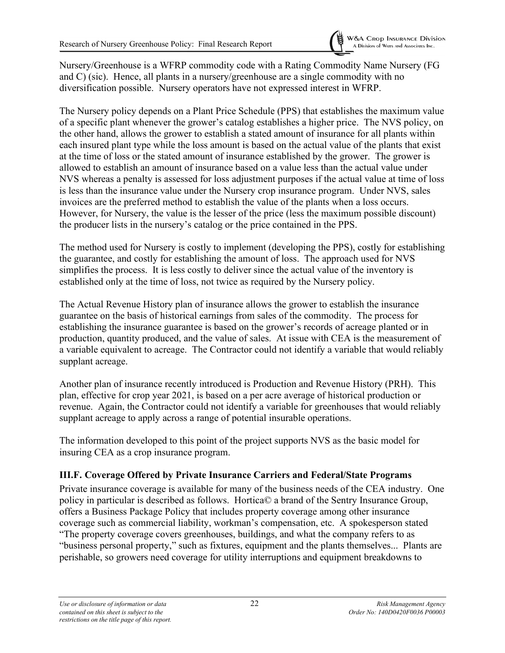Nursery/Greenhouse is a WFRP commodity code with a Rating Commodity Name Nursery (FG and C) (sic). Hence, all plants in a nursery/greenhouse are a single commodity with no diversification possible. Nursery operators have not expressed interest in WFRP.

The Nursery policy depends on a Plant Price Schedule (PPS) that establishes the maximum value of a specific plant whenever the grower's catalog establishes a higher price. The NVS policy, on the other hand, allows the grower to establish a stated amount of insurance for all plants within each insured plant type while the loss amount is based on the actual value of the plants that exist at the time of loss or the stated amount of insurance established by the grower. The grower is allowed to establish an amount of insurance based on a value less than the actual value under NVS whereas a penalty is assessed for loss adjustment purposes if the actual value at time of loss is less than the insurance value under the Nursery crop insurance program. Under NVS, sales invoices are the preferred method to establish the value of the plants when a loss occurs. However, for Nursery, the value is the lesser of the price (less the maximum possible discount) the producer lists in the nursery's catalog or the price contained in the PPS.

The method used for Nursery is costly to implement (developing the PPS), costly for establishing the guarantee, and costly for establishing the amount of loss. The approach used for NVS simplifies the process. It is less costly to deliver since the actual value of the inventory is established only at the time of loss, not twice as required by the Nursery policy.

The Actual Revenue History plan of insurance allows the grower to establish the insurance guarantee on the basis of historical earnings from sales of the commodity. The process for establishing the insurance guarantee is based on the grower's records of acreage planted or in production, quantity produced, and the value of sales. At issue with CEA is the measurement of a variable equivalent to acreage. The Contractor could not identify a variable that would reliably supplant acreage.

Another plan of insurance recently introduced is Production and Revenue History (PRH). This plan, effective for crop year 2021, is based on a per acre average of historical production or revenue. Again, the Contractor could not identify a variable for greenhouses that would reliably supplant acreage to apply across a range of potential insurable operations.

The information developed to this point of the project supports NVS as the basic model for insuring CEA as a crop insurance program.

#### <span id="page-26-0"></span>**III.F. Coverage Offered by Private Insurance Carriers and Federal/State Programs**

Private insurance coverage is available for many of the business needs of the CEA industry. One policy in particular is described as follows. Hortica© a brand of the Sentry Insurance Group, offers a Business Package Policy that includes property coverage among other insurance coverage such as commercial liability, workman's compensation, etc. A spokesperson stated "The property coverage covers greenhouses, buildings, and what the company refers to as "business personal property," such as fixtures, equipment and the plants themselves... Plants are perishable, so growers need coverage for utility interruptions and equipment breakdowns to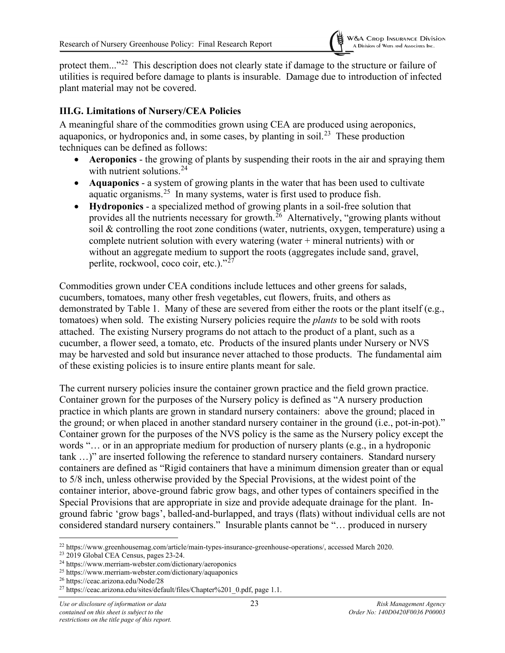

protect them..."<sup>[22](#page-27-1)</sup> This description does not clearly state if damage to the structure or failure of utilities is required before damage to plants is insurable. Damage due to introduction of infected plant material may not be covered.

#### <span id="page-27-0"></span>**III.G. Limitations of Nursery/CEA Policies**

A meaningful share of the commodities grown using CEA are produced using aeroponics, aquaponics, or hydroponics and, in some cases, by planting in soil.<sup>[23](#page-27-2)</sup> These production techniques can be defined as follows:

- **Aeroponics** the growing of plants by suspending their roots in the air and spraying them with nutrient solutions. [24](#page-27-3)
- **Aquaponics** a system of growing plants in the water that has been used to cultivate aquatic organisms.<sup>25</sup> In many systems, water is first used to produce fish.
- **Hydroponics** a specialized method of growing plants in a soil-free solution that provides all the nutrients necessary for growth.<sup>[26](#page-27-5)</sup> Alternatively, "growing plants without soil & controlling the root zone conditions (water, nutrients, oxygen, temperature) using a complete nutrient solution with every watering (water  $+$  mineral nutrients) with or without an aggregate medium to support the roots (aggregates include sand, gravel, perlite, rockwool, coco coir, etc.)."<sup>[27](#page-27-6)</sup>

Commodities grown under CEA conditions include lettuces and other greens for salads, cucumbers, tomatoes, many other fresh vegetables, cut flowers, fruits, and others as demonstrated by Table 1. Many of these are severed from either the roots or the plant itself (e.g., tomatoes) when sold. The existing Nursery policies require the *plants* to be sold with roots attached. The existing Nursery programs do not attach to the product of a plant, such as a cucumber, a flower seed, a tomato, etc. Products of the insured plants under Nursery or NVS may be harvested and sold but insurance never attached to those products. The fundamental aim of these existing policies is to insure entire plants meant for sale.

The current nursery policies insure the container grown practice and the field grown practice. Container grown for the purposes of the Nursery policy is defined as "A nursery production practice in which plants are grown in standard nursery containers: above the ground; placed in the ground; or when placed in another standard nursery container in the ground (i.e., pot-in-pot)." Container grown for the purposes of the NVS policy is the same as the Nursery policy except the words "… or in an appropriate medium for production of nursery plants (e.g., in a hydroponic tank …)" are inserted following the reference to standard nursery containers. Standard nursery containers are defined as "Rigid containers that have a minimum dimension greater than or equal to 5/8 inch, unless otherwise provided by the Special Provisions, at the widest point of the container interior, above-ground fabric grow bags, and other types of containers specified in the Special Provisions that are appropriate in size and provide adequate drainage for the plant. Inground fabric 'grow bags', balled-and-burlapped, and trays (flats) without individual cells are not considered standard nursery containers." Insurable plants cannot be "… produced in nursery

<span id="page-27-1"></span><sup>&</sup>lt;sup>22</sup> https://www.greenhousemag.com/article/main-types-insurance-greenhouse-operations/, accessed March 2020.<br><sup>23</sup> 2019 Global CEA Census, pages 23-24.

<span id="page-27-2"></span>

<span id="page-27-3"></span> $24$  https://www.merriam-webster.com/dictionary/aeroponics

<span id="page-27-4"></span><sup>25</sup> https://www.merriam-webster.com/dictionary/aquaponics

<span id="page-27-5"></span><sup>26</sup> https://ceac.arizona.edu/Node/28

<span id="page-27-6"></span><sup>&</sup>lt;sup>27</sup> https://ceac.arizona.edu/sites/default/files/Chapter%201\_0.pdf, page 1.1.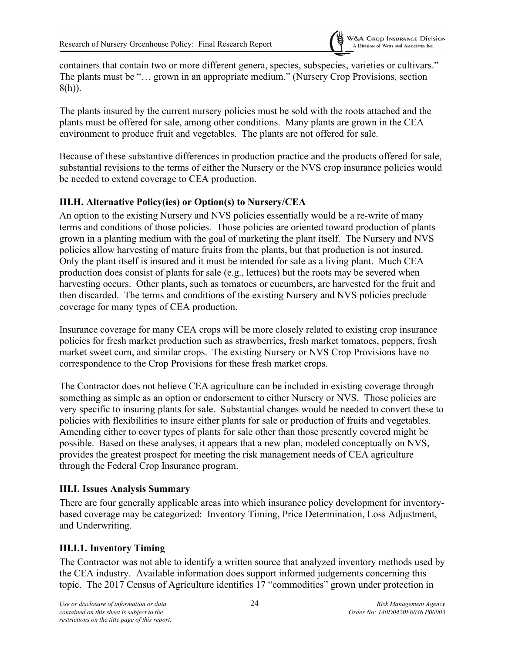containers that contain two or more different genera, species, subspecies, varieties or cultivars." The plants must be "… grown in an appropriate medium." (Nursery Crop Provisions, section 8(h)).

The plants insured by the current nursery policies must be sold with the roots attached and the plants must be offered for sale, among other conditions. Many plants are grown in the CEA environment to produce fruit and vegetables. The plants are not offered for sale.

Because of these substantive differences in production practice and the products offered for sale, substantial revisions to the terms of either the Nursery or the NVS crop insurance policies would be needed to extend coverage to CEA production.

#### <span id="page-28-0"></span>**III.H. Alternative Policy(ies) or Option(s) to Nursery/CEA**

An option to the existing Nursery and NVS policies essentially would be a re-write of many terms and conditions of those policies. Those policies are oriented toward production of plants grown in a planting medium with the goal of marketing the plant itself. The Nursery and NVS policies allow harvesting of mature fruits from the plants, but that production is not insured. Only the plant itself is insured and it must be intended for sale as a living plant. Much CEA production does consist of plants for sale (e.g., lettuces) but the roots may be severed when harvesting occurs. Other plants, such as tomatoes or cucumbers, are harvested for the fruit and then discarded. The terms and conditions of the existing Nursery and NVS policies preclude coverage for many types of CEA production.

Insurance coverage for many CEA crops will be more closely related to existing crop insurance policies for fresh market production such as strawberries, fresh market tomatoes, peppers, fresh market sweet corn, and similar crops. The existing Nursery or NVS Crop Provisions have no correspondence to the Crop Provisions for these fresh market crops.

The Contractor does not believe CEA agriculture can be included in existing coverage through something as simple as an option or endorsement to either Nursery or NVS. Those policies are very specific to insuring plants for sale. Substantial changes would be needed to convert these to policies with flexibilities to insure either plants for sale or production of fruits and vegetables. Amending either to cover types of plants for sale other than those presently covered might be possible. Based on these analyses, it appears that a new plan, modeled conceptually on NVS, provides the greatest prospect for meeting the risk management needs of CEA agriculture through the Federal Crop Insurance program.

#### <span id="page-28-1"></span>**III.I. Issues Analysis Summary**

There are four generally applicable areas into which insurance policy development for inventorybased coverage may be categorized: Inventory Timing, Price Determination, Loss Adjustment, and Underwriting.

## <span id="page-28-2"></span>**III.I.1. Inventory Timing**

The Contractor was not able to identify a written source that analyzed inventory methods used by the CEA industry. Available information does support informed judgements concerning this topic. The 2017 Census of Agriculture identifies 17 "commodities" grown under protection in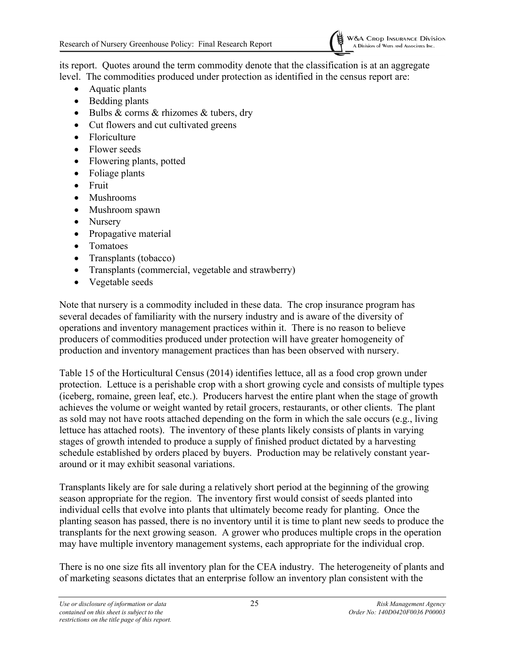

its report. Quotes around the term commodity denote that the classification is at an aggregate level. The commodities produced under protection as identified in the census report are:

- Aquatic plants
- Bedding plants
- Bulbs & corms & rhizomes & tubers, dry
- Cut flowers and cut cultivated greens
- Floriculture
- Flower seeds
- Flowering plants, potted
- Foliage plants
- Fruit
- Mushrooms
- Mushroom spawn
- Nursery
- Propagative material
- Tomatoes
- Transplants (tobacco)
- Transplants (commercial, vegetable and strawberry)
- Vegetable seeds

Note that nursery is a commodity included in these data. The crop insurance program has several decades of familiarity with the nursery industry and is aware of the diversity of operations and inventory management practices within it. There is no reason to believe producers of commodities produced under protection will have greater homogeneity of production and inventory management practices than has been observed with nursery.

Table 15 of the Horticultural Census (2014) identifies lettuce, all as a food crop grown under protection. Lettuce is a perishable crop with a short growing cycle and consists of multiple types (iceberg, romaine, green leaf, etc.). Producers harvest the entire plant when the stage of growth achieves the volume or weight wanted by retail grocers, restaurants, or other clients. The plant as sold may not have roots attached depending on the form in which the sale occurs (e.g., living lettuce has attached roots). The inventory of these plants likely consists of plants in varying stages of growth intended to produce a supply of finished product dictated by a harvesting schedule established by orders placed by buyers. Production may be relatively constant yeararound or it may exhibit seasonal variations.

Transplants likely are for sale during a relatively short period at the beginning of the growing season appropriate for the region. The inventory first would consist of seeds planted into individual cells that evolve into plants that ultimately become ready for planting. Once the planting season has passed, there is no inventory until it is time to plant new seeds to produce the transplants for the next growing season. A grower who produces multiple crops in the operation may have multiple inventory management systems, each appropriate for the individual crop.

There is no one size fits all inventory plan for the CEA industry. The heterogeneity of plants and of marketing seasons dictates that an enterprise follow an inventory plan consistent with the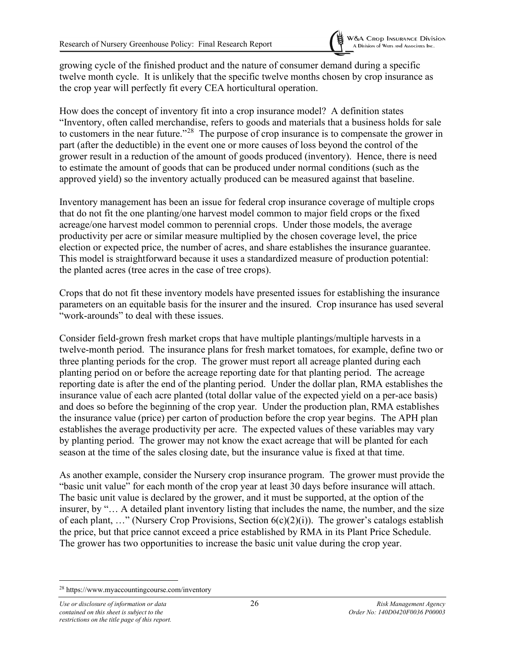growing cycle of the finished product and the nature of consumer demand during a specific twelve month cycle. It is unlikely that the specific twelve months chosen by crop insurance as the crop year will perfectly fit every CEA horticultural operation.

How does the concept of inventory fit into a crop insurance model? A definition states "Inventory, often called merchandise, refers to goods and materials that a business holds for sale to customers in the near future."[28](#page-30-0) The purpose of crop insurance is to compensate the grower in part (after the deductible) in the event one or more causes of loss beyond the control of the grower result in a reduction of the amount of goods produced (inventory). Hence, there is need to estimate the amount of goods that can be produced under normal conditions (such as the approved yield) so the inventory actually produced can be measured against that baseline.

Inventory management has been an issue for federal crop insurance coverage of multiple crops that do not fit the one planting/one harvest model common to major field crops or the fixed acreage/one harvest model common to perennial crops. Under those models, the average productivity per acre or similar measure multiplied by the chosen coverage level, the price election or expected price, the number of acres, and share establishes the insurance guarantee. This model is straightforward because it uses a standardized measure of production potential: the planted acres (tree acres in the case of tree crops).

Crops that do not fit these inventory models have presented issues for establishing the insurance parameters on an equitable basis for the insurer and the insured. Crop insurance has used several "work-arounds" to deal with these issues.

Consider field-grown fresh market crops that have multiple plantings/multiple harvests in a twelve-month period. The insurance plans for fresh market tomatoes, for example, define two or three planting periods for the crop. The grower must report all acreage planted during each planting period on or before the acreage reporting date for that planting period. The acreage reporting date is after the end of the planting period. Under the dollar plan, RMA establishes the insurance value of each acre planted (total dollar value of the expected yield on a per-ace basis) and does so before the beginning of the crop year. Under the production plan, RMA establishes the insurance value (price) per carton of production before the crop year begins. The APH plan establishes the average productivity per acre. The expected values of these variables may vary by planting period. The grower may not know the exact acreage that will be planted for each season at the time of the sales closing date, but the insurance value is fixed at that time.

As another example, consider the Nursery crop insurance program. The grower must provide the "basic unit value" for each month of the crop year at least 30 days before insurance will attach. The basic unit value is declared by the grower, and it must be supported, at the option of the insurer, by "… A detailed plant inventory listing that includes the name, the number, and the size of each plant, ..." (Nursery Crop Provisions, Section  $6(c)(2)(i)$ ). The grower's catalogs establish the price, but that price cannot exceed a price established by RMA in its Plant Price Schedule. The grower has two opportunities to increase the basic unit value during the crop year.

<span id="page-30-0"></span><sup>28</sup> https://www.myaccountingcourse.com/inventory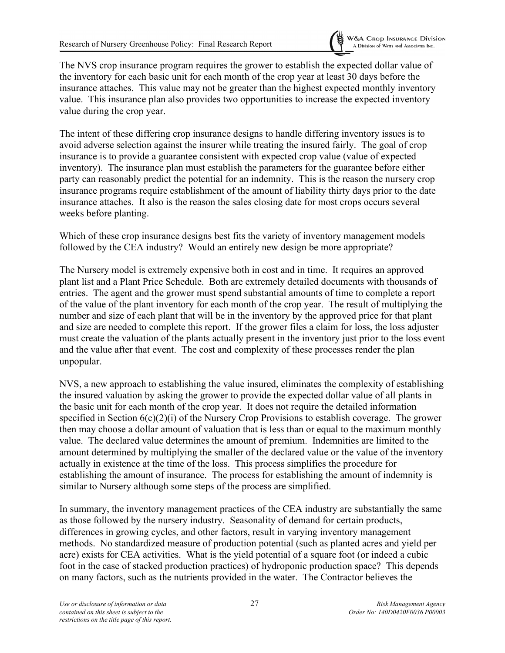

The NVS crop insurance program requires the grower to establish the expected dollar value of the inventory for each basic unit for each month of the crop year at least 30 days before the insurance attaches. This value may not be greater than the highest expected monthly inventory value. This insurance plan also provides two opportunities to increase the expected inventory value during the crop year.

The intent of these differing crop insurance designs to handle differing inventory issues is to avoid adverse selection against the insurer while treating the insured fairly. The goal of crop insurance is to provide a guarantee consistent with expected crop value (value of expected inventory). The insurance plan must establish the parameters for the guarantee before either party can reasonably predict the potential for an indemnity. This is the reason the nursery crop insurance programs require establishment of the amount of liability thirty days prior to the date insurance attaches. It also is the reason the sales closing date for most crops occurs several weeks before planting.

Which of these crop insurance designs best fits the variety of inventory management models followed by the CEA industry? Would an entirely new design be more appropriate?

The Nursery model is extremely expensive both in cost and in time. It requires an approved plant list and a Plant Price Schedule. Both are extremely detailed documents with thousands of entries. The agent and the grower must spend substantial amounts of time to complete a report of the value of the plant inventory for each month of the crop year. The result of multiplying the number and size of each plant that will be in the inventory by the approved price for that plant and size are needed to complete this report. If the grower files a claim for loss, the loss adjuster must create the valuation of the plants actually present in the inventory just prior to the loss event and the value after that event. The cost and complexity of these processes render the plan unpopular.

NVS, a new approach to establishing the value insured, eliminates the complexity of establishing the insured valuation by asking the grower to provide the expected dollar value of all plants in the basic unit for each month of the crop year. It does not require the detailed information specified in Section 6(c)(2)(i) of the Nursery Crop Provisions to establish coverage. The grower then may choose a dollar amount of valuation that is less than or equal to the maximum monthly value. The declared value determines the amount of premium. Indemnities are limited to the amount determined by multiplying the smaller of the declared value or the value of the inventory actually in existence at the time of the loss. This process simplifies the procedure for establishing the amount of insurance. The process for establishing the amount of indemnity is similar to Nursery although some steps of the process are simplified.

In summary, the inventory management practices of the CEA industry are substantially the same as those followed by the nursery industry. Seasonality of demand for certain products, differences in growing cycles, and other factors, result in varying inventory management methods. No standardized measure of production potential (such as planted acres and yield per acre) exists for CEA activities. What is the yield potential of a square foot (or indeed a cubic foot in the case of stacked production practices) of hydroponic production space? This depends on many factors, such as the nutrients provided in the water. The Contractor believes the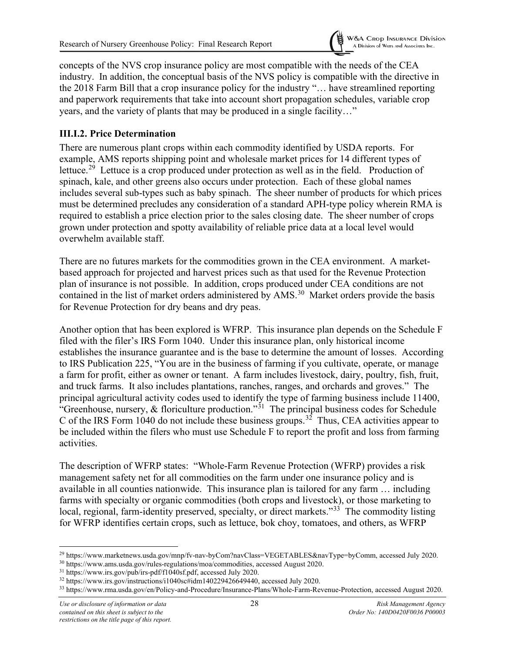

concepts of the NVS crop insurance policy are most compatible with the needs of the CEA industry. In addition, the conceptual basis of the NVS policy is compatible with the directive in the 2018 Farm Bill that a crop insurance policy for the industry "… have streamlined reporting and paperwork requirements that take into account short propagation schedules, variable crop years, and the variety of plants that may be produced in a single facility…"

#### <span id="page-32-0"></span>**III.I.2. Price Determination**

There are numerous plant crops within each commodity identified by USDA reports. For example, AMS reports shipping point and wholesale market prices for 14 different types of lettuce.<sup>29</sup> Lettuce is a crop produced under protection as well as in the field. Production of spinach, kale, and other greens also occurs under protection. Each of these global names includes several sub-types such as baby spinach. The sheer number of products for which prices must be determined precludes any consideration of a standard APH-type policy wherein RMA is required to establish a price election prior to the sales closing date. The sheer number of crops grown under protection and spotty availability of reliable price data at a local level would overwhelm available staff.

There are no futures markets for the commodities grown in the CEA environment. A marketbased approach for projected and harvest prices such as that used for the Revenue Protection plan of insurance is not possible. In addition, crops produced under CEA conditions are not contained in the list of market orders administered by AMS.<sup>[30](#page-32-2)</sup> Market orders provide the basis for Revenue Protection for dry beans and dry peas.

Another option that has been explored is WFRP. This insurance plan depends on the Schedule F filed with the filer's IRS Form 1040. Under this insurance plan, only historical income establishes the insurance guarantee and is the base to determine the amount of losses. According to IRS Publication 225, "You are in the business of farming if you cultivate, operate, or manage a farm for profit, either as owner or tenant. A farm includes livestock, dairy, poultry, fish, fruit, and truck farms. It also includes plantations, ranches, ranges, and orchards and groves." The principal agricultural activity codes used to identify the type of farming business include 11400, "Greenhouse, nursery,  $\&$  floriculture production."<sup>[31](#page-32-3)</sup> The principal business codes for Schedule C of the IRS Form 1040 do not include these business groups.<sup>32</sup> Thus, CEA activities appear to be included within the filers who must use Schedule F to report the profit and loss from farming activities.

The description of WFRP states: "Whole-Farm Revenue Protection (WFRP) provides a risk management safety net for all commodities on the farm under one insurance policy and is available in all counties nationwide. This insurance plan is tailored for any farm … including farms with specialty or organic commodities (both crops and livestock), or those marketing to local, regional, farm-identity preserved, specialty, or direct markets."<sup>33</sup> The commodity listing for WFRP identifies certain crops, such as lettuce, bok choy, tomatoes, and others, as WFRP

<span id="page-32-1"></span><sup>29</sup> https://www.marketnews.usda.gov/mnp/fv-nav-byCom?navClass=VEGETABLES&navType=byComm, accessed July 2020.

<span id="page-32-2"></span><sup>30</sup> https://www.ams.usda.gov/rules-regulations/moa/commodities, accessed August 2020.

<span id="page-32-3"></span><sup>31</sup> https://www.irs.gov/pub/irs-pdf/f1040sf.pdf, accessed July 2020.

<span id="page-32-4"></span><sup>32</sup> https://www.irs.gov/instructions/i1040sc#idm140229426649440, accessed July 2020.

<span id="page-32-5"></span><sup>33</sup> https://www.rma.usda.gov/en/Policy-and-Procedure/Insurance-Plans/Whole-Farm-Revenue-Protection, accessed August 2020.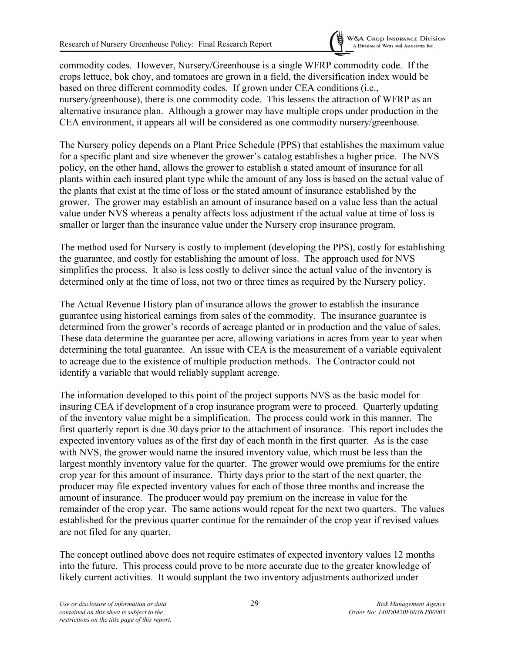commodity codes. However, Nursery/Greenhouse is a single WFRP commodity code. If the crops lettuce, bok choy, and tomatoes are grown in a field, the diversification index would be based on three different commodity codes. If grown under CEA conditions (i.e., nursery/greenhouse), there is one commodity code. This lessens the attraction of WFRP as an alternative insurance plan. Although a grower may have multiple crops under production in the CEA environment, it appears all will be considered as one commodity nursery/greenhouse.

The Nursery policy depends on a Plant Price Schedule (PPS) that establishes the maximum value for a specific plant and size whenever the grower's catalog establishes a higher price. The NVS policy, on the other hand, allows the grower to establish a stated amount of insurance for all plants within each insured plant type while the amount of any loss is based on the actual value of the plants that exist at the time of loss or the stated amount of insurance established by the grower. The grower may establish an amount of insurance based on a value less than the actual value under NVS whereas a penalty affects loss adjustment if the actual value at time of loss is smaller or larger than the insurance value under the Nursery crop insurance program.

The method used for Nursery is costly to implement (developing the PPS), costly for establishing the guarantee, and costly for establishing the amount of loss. The approach used for NVS simplifies the process. It also is less costly to deliver since the actual value of the inventory is determined only at the time of loss, not two or three times as required by the Nursery policy.

The Actual Revenue History plan of insurance allows the grower to establish the insurance guarantee using historical earnings from sales of the commodity. The insurance guarantee is determined from the grower's records of acreage planted or in production and the value of sales. These data determine the guarantee per acre, allowing variations in acres from year to year when determining the total guarantee. An issue with CEA is the measurement of a variable equivalent to acreage due to the existence of multiple production methods. The Contractor could not identify a variable that would reliably supplant acreage.

The information developed to this point of the project supports NVS as the basic model for insuring CEA if development of a crop insurance program were to proceed. Quarterly updating of the inventory value might be a simplification. The process could work in this manner. The first quarterly report is due 30 days prior to the attachment of insurance. This report includes the expected inventory values as of the first day of each month in the first quarter. As is the case with NVS, the grower would name the insured inventory value, which must be less than the largest monthly inventory value for the quarter. The grower would owe premiums for the entire crop year for this amount of insurance. Thirty days prior to the start of the next quarter, the producer may file expected inventory values for each of those three months and increase the amount of insurance. The producer would pay premium on the increase in value for the remainder of the crop year. The same actions would repeat for the next two quarters. The values established for the previous quarter continue for the remainder of the crop year if revised values are not filed for any quarter.

The concept outlined above does not require estimates of expected inventory values 12 months into the future. This process could prove to be more accurate due to the greater knowledge of likely current activities. It would supplant the two inventory adjustments authorized under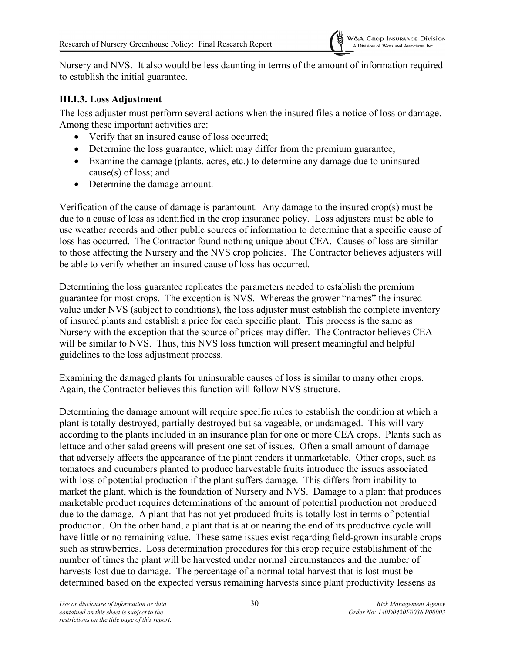Nursery and NVS. It also would be less daunting in terms of the amount of information required to establish the initial guarantee.

#### <span id="page-34-0"></span>**III.I.3. Loss Adjustment**

The loss adjuster must perform several actions when the insured files a notice of loss or damage. Among these important activities are:

- Verify that an insured cause of loss occurred;
- Determine the loss guarantee, which may differ from the premium guarantee;
- Examine the damage (plants, acres, etc.) to determine any damage due to uninsured cause(s) of loss; and
- Determine the damage amount.

Verification of the cause of damage is paramount. Any damage to the insured crop(s) must be due to a cause of loss as identified in the crop insurance policy. Loss adjusters must be able to use weather records and other public sources of information to determine that a specific cause of loss has occurred. The Contractor found nothing unique about CEA. Causes of loss are similar to those affecting the Nursery and the NVS crop policies. The Contractor believes adjusters will be able to verify whether an insured cause of loss has occurred.

Determining the loss guarantee replicates the parameters needed to establish the premium guarantee for most crops. The exception is NVS. Whereas the grower "names" the insured value under NVS (subject to conditions), the loss adjuster must establish the complete inventory of insured plants and establish a price for each specific plant. This process is the same as Nursery with the exception that the source of prices may differ. The Contractor believes CEA will be similar to NVS. Thus, this NVS loss function will present meaningful and helpful guidelines to the loss adjustment process.

Examining the damaged plants for uninsurable causes of loss is similar to many other crops. Again, the Contractor believes this function will follow NVS structure.

Determining the damage amount will require specific rules to establish the condition at which a plant is totally destroyed, partially destroyed but salvageable, or undamaged. This will vary according to the plants included in an insurance plan for one or more CEA crops. Plants such as lettuce and other salad greens will present one set of issues. Often a small amount of damage that adversely affects the appearance of the plant renders it unmarketable. Other crops, such as tomatoes and cucumbers planted to produce harvestable fruits introduce the issues associated with loss of potential production if the plant suffers damage. This differs from inability to market the plant, which is the foundation of Nursery and NVS. Damage to a plant that produces marketable product requires determinations of the amount of potential production not produced due to the damage. A plant that has not yet produced fruits is totally lost in terms of potential production. On the other hand, a plant that is at or nearing the end of its productive cycle will have little or no remaining value. These same issues exist regarding field-grown insurable crops such as strawberries. Loss determination procedures for this crop require establishment of the number of times the plant will be harvested under normal circumstances and the number of harvests lost due to damage. The percentage of a normal total harvest that is lost must be determined based on the expected versus remaining harvests since plant productivity lessens as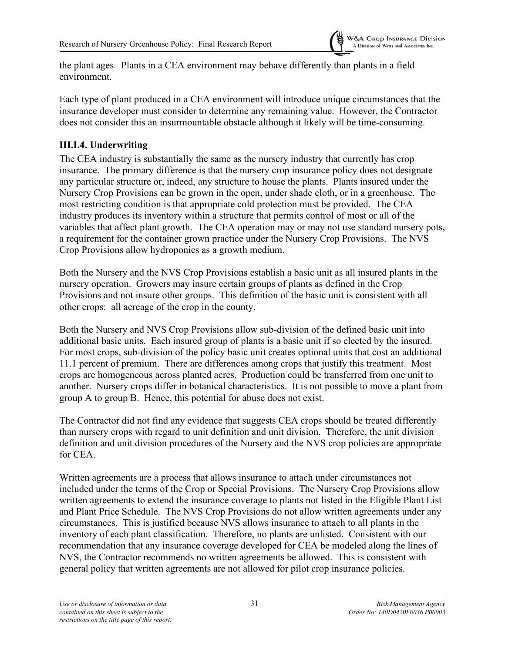the plant ages. Plants in a CEA environment may behave differently than plants in a field environment.

Each type of plant produced in a CEA environment will introduce unique circumstances that the insurance developer must consider to determine any remaining value. However, the Contractor does not consider this an insurmountable obstacle although it likely will be time-consuming.

#### <span id="page-35-0"></span>**III.I.4. Underwriting**

The CEA industry is substantially the same as the nursery industry that currently has crop insurance. The primary difference is that the nursery crop insurance policy does not designate any particular structure or, indeed, any structure to house the plants. Plants insured under the Nursery Crop Provisions can be grown in the open, under shade cloth, or in a greenhouse. The most restricting condition is that appropriate cold protection must be provided. The CEA industry produces its inventory within a structure that permits control of most or all of the variables that affect plant growth. The CEA operation may or may not use standard nursery pots, a requirement for the container grown practice under the Nursery Crop Provisions. The NVS Crop Provisions allow hydroponics as a growth medium.

Both the Nursery and the NVS Crop Provisions establish a basic unit as all insured plants in the nursery operation. Growers may insure certain groups of plants as defined in the Crop Provisions and not insure other groups. This definition of the basic unit is consistent with all other crops: all acreage of the crop in the county.

Both the Nursery and NVS Crop Provisions allow sub-division of the defined basic unit into additional basic units. Each insured group of plants is a basic unit if so elected by the insured. For most crops, sub-division of the policy basic unit creates optional units that cost an additional 11.1 percent of premium. There are differences among crops that justify this treatment. Most crops are homogeneous across planted acres. Production could be transferred from one unit to another. Nursery crops differ in botanical characteristics. It is not possible to move a plant from group A to group B. Hence, this potential for abuse does not exist.

The Contractor did not find any evidence that suggests CEA crops should be treated differently than nursery crops with regard to unit definition and unit division. Therefore, the unit division definition and unit division procedures of the Nursery and the NVS crop policies are appropriate for CEA.

Written agreements are a process that allows insurance to attach under circumstances not included under the terms of the Crop or Special Provisions. The Nursery Crop Provisions allow written agreements to extend the insurance coverage to plants not listed in the Eligible Plant List and Plant Price Schedule. The NVS Crop Provisions do not allow written agreements under any circumstances. This is justified because NVS allows insurance to attach to all plants in the inventory of each plant classification. Therefore, no plants are unlisted. Consistent with our recommendation that any insurance coverage developed for CEA be modeled along the lines of NVS, the Contractor recommends no written agreements be allowed. This is consistent with general policy that written agreements are not allowed for pilot crop insurance policies.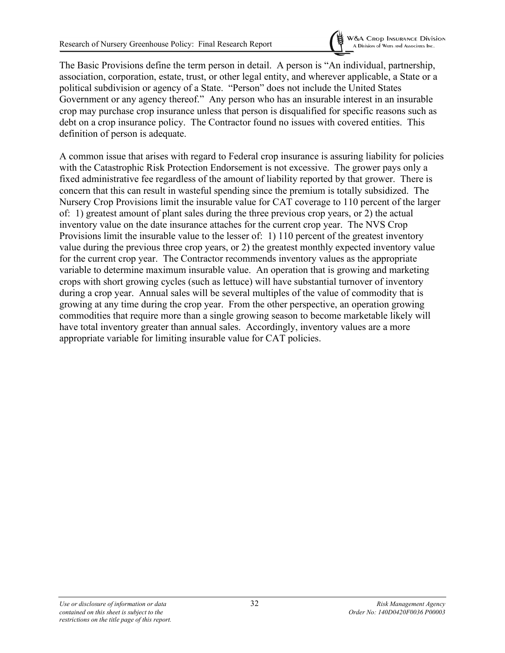

The Basic Provisions define the term person in detail. A person is "An individual, partnership, association, corporation, estate, trust, or other legal entity, and wherever applicable, a State or a political subdivision or agency of a State. "Person" does not include the United States Government or any agency thereof." Any person who has an insurable interest in an insurable crop may purchase crop insurance unless that person is disqualified for specific reasons such as debt on a crop insurance policy. The Contractor found no issues with covered entities. This definition of person is adequate.

A common issue that arises with regard to Federal crop insurance is assuring liability for policies with the Catastrophic Risk Protection Endorsement is not excessive. The grower pays only a fixed administrative fee regardless of the amount of liability reported by that grower. There is concern that this can result in wasteful spending since the premium is totally subsidized. The Nursery Crop Provisions limit the insurable value for CAT coverage to 110 percent of the larger of: 1) greatest amount of plant sales during the three previous crop years, or 2) the actual inventory value on the date insurance attaches for the current crop year. The NVS Crop Provisions limit the insurable value to the lesser of: 1) 110 percent of the greatest inventory value during the previous three crop years, or 2) the greatest monthly expected inventory value for the current crop year. The Contractor recommends inventory values as the appropriate variable to determine maximum insurable value. An operation that is growing and marketing crops with short growing cycles (such as lettuce) will have substantial turnover of inventory during a crop year. Annual sales will be several multiples of the value of commodity that is growing at any time during the crop year. From the other perspective, an operation growing commodities that require more than a single growing season to become marketable likely will have total inventory greater than annual sales. Accordingly, inventory values are a more appropriate variable for limiting insurable value for CAT policies.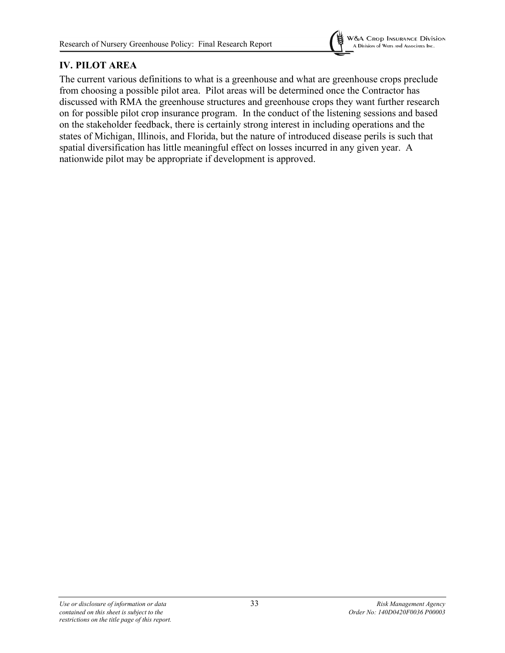

# **IV. PILOT AREA**

The current various definitions to what is a greenhouse and what are greenhouse crops preclude from choosing a possible pilot area. Pilot areas will be determined once the Contractor has discussed with RMA the greenhouse structures and greenhouse crops they want further research on for possible pilot crop insurance program. In the conduct of the listening sessions and based on the stakeholder feedback, there is certainly strong interest in including operations and the states of Michigan, Illinois, and Florida, but the nature of introduced disease perils is such that spatial diversification has little meaningful effect on losses incurred in any given year. A nationwide pilot may be appropriate if development is approved.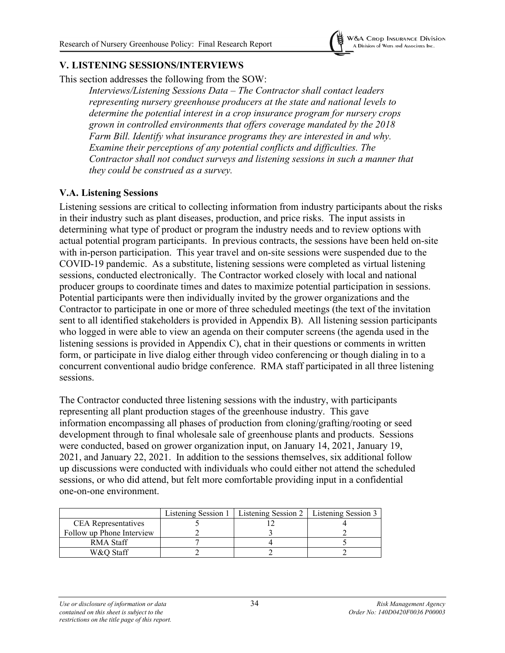

### **V. LISTENING SESSIONS/INTERVIEWS**

This section addresses the following from the SOW:

*Interviews/Listening Sessions Data – The Contractor shall contact leaders representing nursery greenhouse producers at the state and national levels to determine the potential interest in a crop insurance program for nursery crops grown in controlled environments that offers coverage mandated by the 2018 Farm Bill. Identify what insurance programs they are interested in and why. Examine their perceptions of any potential conflicts and difficulties. The Contractor shall not conduct surveys and listening sessions in such a manner that they could be construed as a survey.*

#### **V.A. Listening Sessions**

Listening sessions are critical to collecting information from industry participants about the risks in their industry such as plant diseases, production, and price risks. The input assists in determining what type of product or program the industry needs and to review options with actual potential program participants. In previous contracts, the sessions have been held on-site with in-person participation. This year travel and on-site sessions were suspended due to the COVID-19 pandemic. As a substitute, listening sessions were completed as virtual listening sessions, conducted electronically. The Contractor worked closely with local and national producer groups to coordinate times and dates to maximize potential participation in sessions. Potential participants were then individually invited by the grower organizations and the Contractor to participate in one or more of three scheduled meetings (the text of the invitation sent to all identified stakeholders is provided in Appendix B). All listening session participants who logged in were able to view an agenda on their computer screens (the agenda used in the listening sessions is provided in Appendix C), chat in their questions or comments in written form, or participate in live dialog either through video conferencing or though dialing in to a concurrent conventional audio bridge conference. RMA staff participated in all three listening sessions.

The Contractor conducted three listening sessions with the industry, with participants representing all plant production stages of the greenhouse industry. This gave information encompassing all phases of production from cloning/grafting/rooting or seed development through to final wholesale sale of greenhouse plants and products. Sessions were conducted, based on grower organization input, on January 14, 2021, January 19, 2021, and January 22, 2021. In addition to the sessions themselves, six additional follow up discussions were conducted with individuals who could either not attend the scheduled sessions, or who did attend, but felt more comfortable providing input in a confidential one-on-one environment.

|                            | Listening Session 1   Listening Session 2   Listening Session 3 |  |
|----------------------------|-----------------------------------------------------------------|--|
| <b>CEA</b> Representatives |                                                                 |  |
| Follow up Phone Interview  |                                                                 |  |
| RMA Staff                  |                                                                 |  |
| W&O Staff                  |                                                                 |  |

*Use or disclosure of information or data*  $\frac{34}{2}$  **Risk Management Agency**<br> *Contained on this sheet is subject to the*  $\frac{34}{2}$  *Contained on this sheet is subject to the contained on this sheet is subject to the restrictions on the title page of this report.*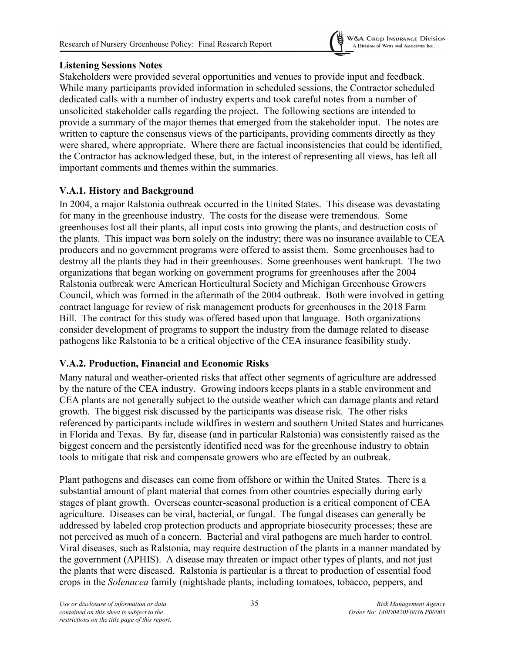

# **Listening Sessions Notes**

Stakeholders were provided several opportunities and venues to provide input and feedback. While many participants provided information in scheduled sessions, the Contractor scheduled dedicated calls with a number of industry experts and took careful notes from a number of unsolicited stakeholder calls regarding the project. The following sections are intended to provide a summary of the major themes that emerged from the stakeholder input. The notes are written to capture the consensus views of the participants, providing comments directly as they were shared, where appropriate. Where there are factual inconsistencies that could be identified, the Contractor has acknowledged these, but, in the interest of representing all views, has left all important comments and themes within the summaries.

# **V.A.1. History and Background**

In 2004, a major Ralstonia outbreak occurred in the United States. This disease was devastating for many in the greenhouse industry. The costs for the disease were tremendous. Some greenhouses lost all their plants, all input costs into growing the plants, and destruction costs of the plants. This impact was born solely on the industry; there was no insurance available to CEA producers and no government programs were offered to assist them. Some greenhouses had to destroy all the plants they had in their greenhouses. Some greenhouses went bankrupt. The two organizations that began working on government programs for greenhouses after the 2004 Ralstonia outbreak were American Horticultural Society and Michigan Greenhouse Growers Council, which was formed in the aftermath of the 2004 outbreak. Both were involved in getting contract language for review of risk management products for greenhouses in the 2018 Farm Bill. The contract for this study was offered based upon that language. Both organizations consider development of programs to support the industry from the damage related to disease pathogens like Ralstonia to be a critical objective of the CEA insurance feasibility study.

# **V.A.2. Production, Financial and Economic Risks**

Many natural and weather-oriented risks that affect other segments of agriculture are addressed by the nature of the CEA industry. Growing indoors keeps plants in a stable environment and CEA plants are not generally subject to the outside weather which can damage plants and retard growth. The biggest risk discussed by the participants was disease risk. The other risks referenced by participants include wildfires in western and southern United States and hurricanes in Florida and Texas. By far, disease (and in particular Ralstonia) was consistently raised as the biggest concern and the persistently identified need was for the greenhouse industry to obtain tools to mitigate that risk and compensate growers who are effected by an outbreak.

Plant pathogens and diseases can come from offshore or within the United States. There is a substantial amount of plant material that comes from other countries especially during early stages of plant growth. Overseas counter-seasonal production is a critical component of CEA agriculture. Diseases can be viral, bacterial, or fungal. The fungal diseases can generally be addressed by labeled crop protection products and appropriate biosecurity processes; these are not perceived as much of a concern. Bacterial and viral pathogens are much harder to control. Viral diseases, such as Ralstonia, may require destruction of the plants in a manner mandated by the government (APHIS). A disease may threaten or impact other types of plants, and not just the plants that were diseased. Ralstonia is particular is a threat to production of essential food crops in the *Solenacea* family (nightshade plants, including tomatoes, tobacco, peppers, and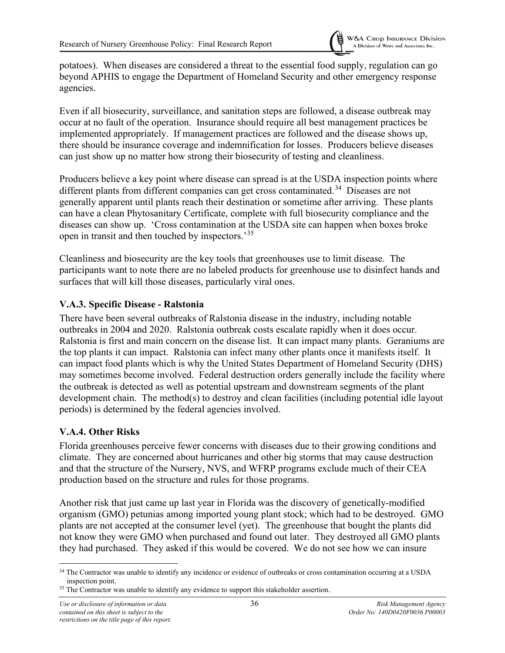potatoes). When diseases are considered a threat to the essential food supply, regulation can go beyond APHIS to engage the Department of Homeland Security and other emergency response agencies.

Even if all biosecurity, surveillance, and sanitation steps are followed, a disease outbreak may occur at no fault of the operation. Insurance should require all best management practices be implemented appropriately. If management practices are followed and the disease shows up, there should be insurance coverage and indemnification for losses. Producers believe diseases can just show up no matter how strong their biosecurity of testing and cleanliness.

Producers believe a key point where disease can spread is at the USDA inspection points where different plants from different companies can get cross contaminated.<sup>[34](#page-40-0)</sup> Diseases are not generally apparent until plants reach their destination or sometime after arriving. These plants can have a clean Phytosanitary Certificate, complete with full biosecurity compliance and the diseases can show up. 'Cross contamination at the USDA site can happen when boxes broke open in transit and then touched by inspectors.'<sup>[35](#page-40-1)</sup>

Cleanliness and biosecurity are the key tools that greenhouses use to limit disease. The participants want to note there are no labeled products for greenhouse use to disinfect hands and surfaces that will kill those diseases, particularly viral ones.

### **V.A.3. Specific Disease - Ralstonia**

There have been several outbreaks of Ralstonia disease in the industry, including notable outbreaks in 2004 and 2020. Ralstonia outbreak costs escalate rapidly when it does occur. Ralstonia is first and main concern on the disease list. It can impact many plants. Geraniums are the top plants it can impact. Ralstonia can infect many other plants once it manifests itself. It can impact food plants which is why the United States Department of Homeland Security (DHS) may sometimes become involved. Federal destruction orders generally include the facility where the outbreak is detected as well as potential upstream and downstream segments of the plant development chain. The method(s) to destroy and clean facilities (including potential idle layout periods) is determined by the federal agencies involved.

# **V.A.4. Other Risks**

Florida greenhouses perceive fewer concerns with diseases due to their growing conditions and climate. They are concerned about hurricanes and other big storms that may cause destruction and that the structure of the Nursery, NVS, and WFRP programs exclude much of their CEA production based on the structure and rules for those programs.

Another risk that just came up last year in Florida was the discovery of genetically-modified organism (GMO) petunias among imported young plant stock; which had to be destroyed. GMO plants are not accepted at the consumer level (yet). The greenhouse that bought the plants did not know they were GMO when purchased and found out later. They destroyed all GMO plants they had purchased. They asked if this would be covered. We do not see how we can insure

<span id="page-40-0"></span><sup>&</sup>lt;sup>34</sup> The Contractor was unable to identify any incidence or evidence of outbreaks or cross contamination occurring at a USDA inspection point.

<span id="page-40-1"></span><sup>&</sup>lt;sup>35</sup> The Contractor was unable to identify any evidence to support this stakeholder assertion.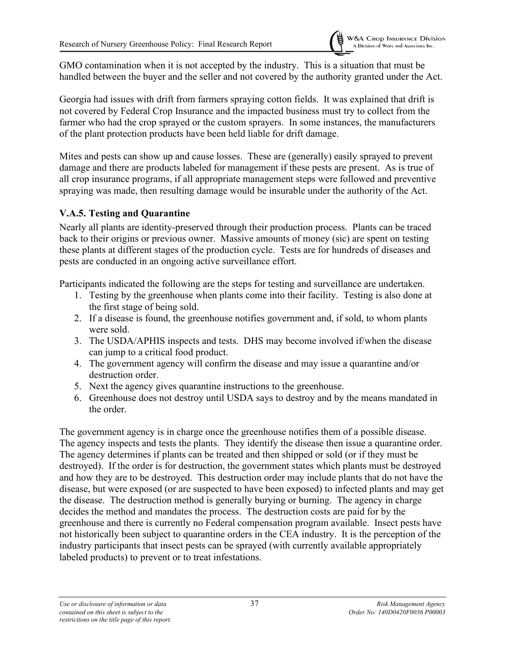GMO contamination when it is not accepted by the industry. This is a situation that must be handled between the buyer and the seller and not covered by the authority granted under the Act.

Georgia had issues with drift from farmers spraying cotton fields. It was explained that drift is not covered by Federal Crop Insurance and the impacted business must try to collect from the farmer who had the crop sprayed or the custom sprayers. In some instances, the manufacturers of the plant protection products have been held liable for drift damage.

Mites and pests can show up and cause losses. These are (generally) easily sprayed to prevent damage and there are products labeled for management if these pests are present. As is true of all crop insurance programs, if all appropriate management steps were followed and preventive spraying was made, then resulting damage would be insurable under the authority of the Act.

# **V.A.5. Testing and Quarantine**

Nearly all plants are identity-preserved through their production process. Plants can be traced back to their origins or previous owner. Massive amounts of money (sic) are spent on testing these plants at different stages of the production cycle. Tests are for hundreds of diseases and pests are conducted in an ongoing active surveillance effort.

Participants indicated the following are the steps for testing and surveillance are undertaken.

- 1. Testing by the greenhouse when plants come into their facility. Testing is also done at the first stage of being sold.
- 2. If a disease is found, the greenhouse notifies government and, if sold, to whom plants were sold.
- 3. The USDA/APHIS inspects and tests. DHS may become involved if/when the disease can jump to a critical food product.
- 4. The government agency will confirm the disease and may issue a quarantine and/or destruction order.
- 5. Next the agency gives quarantine instructions to the greenhouse.
- 6. Greenhouse does not destroy until USDA says to destroy and by the means mandated in the order.

The government agency is in charge once the greenhouse notifies them of a possible disease. The agency inspects and tests the plants. They identify the disease then issue a quarantine order. The agency determines if plants can be treated and then shipped or sold (or if they must be destroyed). If the order is for destruction, the government states which plants must be destroyed and how they are to be destroyed. This destruction order may include plants that do not have the disease, but were exposed (or are suspected to have been exposed) to infected plants and may get the disease. The destruction method is generally burying or burning. The agency in charge decides the method and mandates the process. The destruction costs are paid for by the greenhouse and there is currently no Federal compensation program available. Insect pests have not historically been subject to quarantine orders in the CEA industry. It is the perception of the industry participants that insect pests can be sprayed (with currently available appropriately labeled products) to prevent or to treat infestations.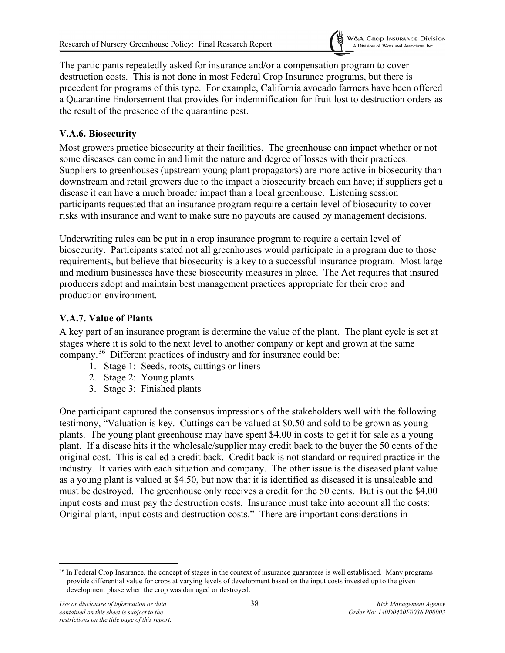

The participants repeatedly asked for insurance and/or a compensation program to cover destruction costs. This is not done in most Federal Crop Insurance programs, but there is precedent for programs of this type. For example, California avocado farmers have been offered a Quarantine Endorsement that provides for indemnification for fruit lost to destruction orders as the result of the presence of the quarantine pest.

### **V.A.6. Biosecurity**

Most growers practice biosecurity at their facilities. The greenhouse can impact whether or not some diseases can come in and limit the nature and degree of losses with their practices. Suppliers to greenhouses (upstream young plant propagators) are more active in biosecurity than downstream and retail growers due to the impact a biosecurity breach can have; if suppliers get a disease it can have a much broader impact than a local greenhouse. Listening session participants requested that an insurance program require a certain level of biosecurity to cover risks with insurance and want to make sure no payouts are caused by management decisions.

Underwriting rules can be put in a crop insurance program to require a certain level of biosecurity. Participants stated not all greenhouses would participate in a program due to those requirements, but believe that biosecurity is a key to a successful insurance program. Most large and medium businesses have these biosecurity measures in place. The Act requires that insured producers adopt and maintain best management practices appropriate for their crop and production environment.

#### **V.A.7. Value of Plants**

A key part of an insurance program is determine the value of the plant. The plant cycle is set at stages where it is sold to the next level to another company or kept and grown at the same company. [36](#page-42-0) Different practices of industry and for insurance could be:

- 1. Stage 1: Seeds, roots, cuttings or liners
- 2. Stage 2: Young plants
- 3. Stage 3: Finished plants

One participant captured the consensus impressions of the stakeholders well with the following testimony, "Valuation is key. Cuttings can be valued at \$0.50 and sold to be grown as young plants. The young plant greenhouse may have spent \$4.00 in costs to get it for sale as a young plant. If a disease hits it the wholesale/supplier may credit back to the buyer the 50 cents of the original cost. This is called a credit back. Credit back is not standard or required practice in the industry. It varies with each situation and company. The other issue is the diseased plant value as a young plant is valued at \$4.50, but now that it is identified as diseased it is unsaleable and must be destroyed. The greenhouse only receives a credit for the 50 cents. But is out the \$4.00 input costs and must pay the destruction costs. Insurance must take into account all the costs: Original plant, input costs and destruction costs." There are important considerations in

<span id="page-42-0"></span><sup>&</sup>lt;sup>36</sup> In Federal Crop Insurance, the concept of stages in the context of insurance guarantees is well established. Many programs provide differential value for crops at varying levels of development based on the input costs invested up to the given development phase when the crop was damaged or destroyed.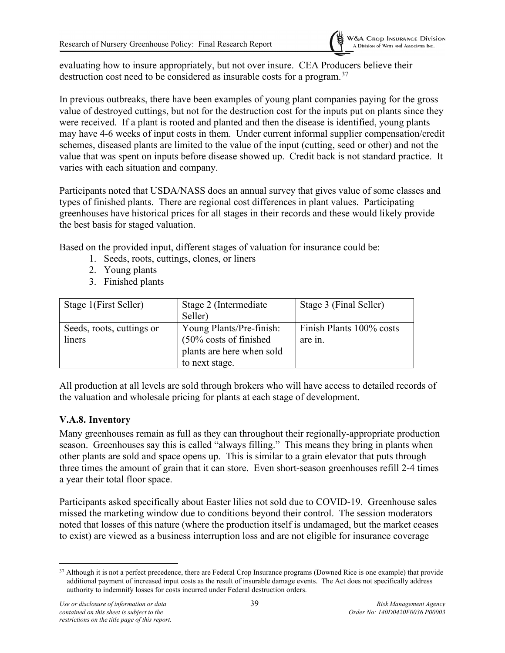evaluating how to insure appropriately, but not over insure. CEA Producers believe their destruction cost need to be considered as insurable costs for a program.<sup>[37](#page-43-0)</sup>

In previous outbreaks, there have been examples of young plant companies paying for the gross value of destroyed cuttings, but not for the destruction cost for the inputs put on plants since they were received. If a plant is rooted and planted and then the disease is identified, young plants may have 4-6 weeks of input costs in them. Under current informal supplier compensation/credit schemes, diseased plants are limited to the value of the input (cutting, seed or other) and not the value that was spent on inputs before disease showed up. Credit back is not standard practice. It varies with each situation and company.

Participants noted that USDA/NASS does an annual survey that gives value of some classes and types of finished plants. There are regional cost differences in plant values. Participating greenhouses have historical prices for all stages in their records and these would likely provide the best basis for staged valuation.

Based on the provided input, different stages of valuation for insurance could be:

- 1. Seeds, roots, cuttings, clones, or liners
- 2. Young plants
- 3. Finished plants

| Stage 1(First Seller)               | Stage 2 (Intermediate)<br>Seller)                                                                             | Stage 3 (Final Seller)              |
|-------------------------------------|---------------------------------------------------------------------------------------------------------------|-------------------------------------|
| Seeds, roots, cuttings or<br>liners | Young Plants/Pre-finish:<br>$(50\% \text{ costs of finished})$<br>plants are here when sold<br>to next stage. | Finish Plants 100% costs<br>are in. |

All production at all levels are sold through brokers who will have access to detailed records of the valuation and wholesale pricing for plants at each stage of development.

# **V.A.8. Inventory**

Many greenhouses remain as full as they can throughout their regionally-appropriate production season. Greenhouses say this is called "always filling." This means they bring in plants when other plants are sold and space opens up. This is similar to a grain elevator that puts through three times the amount of grain that it can store. Even short-season greenhouses refill 2-4 times a year their total floor space.

Participants asked specifically about Easter lilies not sold due to COVID-19. Greenhouse sales missed the marketing window due to conditions beyond their control. The session moderators noted that losses of this nature (where the production itself is undamaged, but the market ceases to exist) are viewed as a business interruption loss and are not eligible for insurance coverage

<span id="page-43-0"></span><sup>&</sup>lt;sup>37</sup> Although it is not a perfect precedence, there are Federal Crop Insurance programs (Downed Rice is one example) that provide additional payment of increased input costs as the result of insurable damage events. The Act does not specifically address authority to indemnify losses for costs incurred under Federal destruction orders.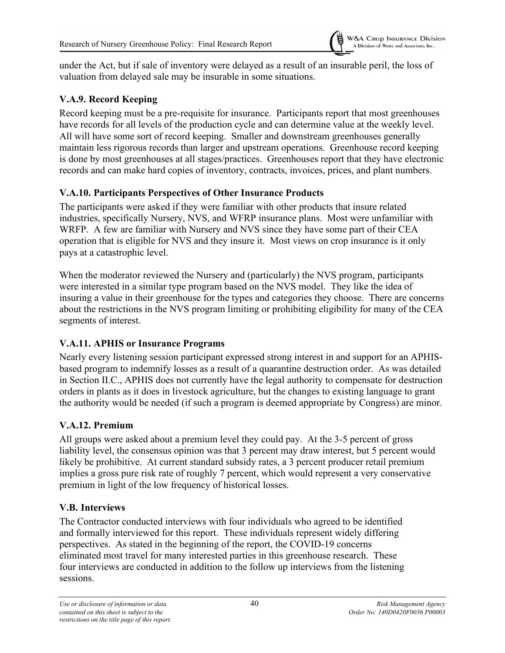under the Act, but if sale of inventory were delayed as a result of an insurable peril, the loss of valuation from delayed sale may be insurable in some situations.

# **V.A.9. Record Keeping**

Record keeping must be a pre-requisite for insurance. Participants report that most greenhouses have records for all levels of the production cycle and can determine value at the weekly level. All will have some sort of record keeping. Smaller and downstream greenhouses generally maintain less rigorous records than larger and upstream operations. Greenhouse record keeping is done by most greenhouses at all stages/practices. Greenhouses report that they have electronic records and can make hard copies of inventory, contracts, invoices, prices, and plant numbers.

# **V.A.10. Participants Perspectives of Other Insurance Products**

The participants were asked if they were familiar with other products that insure related industries, specifically Nursery, NVS, and WFRP insurance plans. Most were unfamiliar with WRFP. A few are familiar with Nursery and NVS since they have some part of their CEA operation that is eligible for NVS and they insure it. Most views on crop insurance is it only pays at a catastrophic level.

When the moderator reviewed the Nursery and (particularly) the NVS program, participants were interested in a similar type program based on the NVS model. They like the idea of insuring a value in their greenhouse for the types and categories they choose. There are concerns about the restrictions in the NVS program limiting or prohibiting eligibility for many of the CEA segments of interest.

# **V.A.11. APHIS or Insurance Programs**

Nearly every listening session participant expressed strong interest in and support for an APHISbased program to indemnify losses as a result of a quarantine destruction order. As was detailed in Section II.C., APHIS does not currently have the legal authority to compensate for destruction orders in plants as it does in livestock agriculture, but the changes to existing language to grant the authority would be needed (if such a program is deemed appropriate by Congress) are minor.

# **V.A.12. Premium**

All groups were asked about a premium level they could pay. At the 3-5 percent of gross liability level, the consensus opinion was that 3 percent may draw interest, but 5 percent would likely be prohibitive. At current standard subsidy rates, a 3 percent producer retail premium implies a gross pure risk rate of roughly 7 percent, which would represent a very conservative premium in light of the low frequency of historical losses.

#### **V.B. Interviews**

The Contractor conducted interviews with four individuals who agreed to be identified and formally interviewed for this report. These individuals represent widely differing perspectives. As stated in the beginning of the report, the COVID-19 concerns eliminated most travel for many interested parties in this greenhouse research. These four interviews are conducted in addition to the follow up interviews from the listening sessions.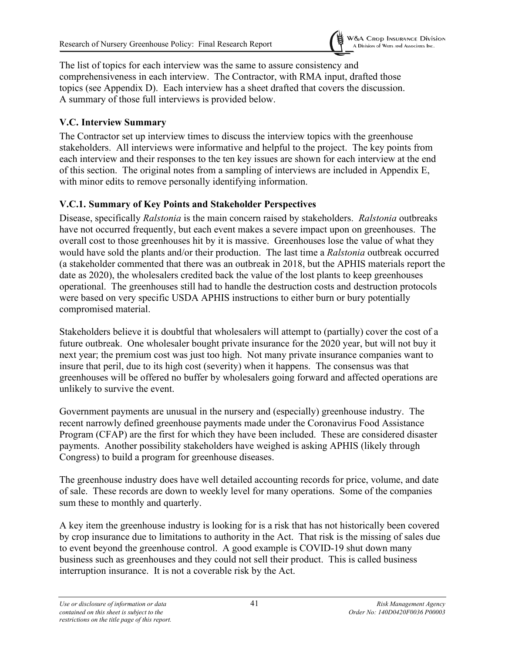

The list of topics for each interview was the same to assure consistency and comprehensiveness in each interview. The Contractor, with RMA input, drafted those topics (see Appendix D). Each interview has a sheet drafted that covers the discussion. A summary of those full interviews is provided below.

# **V.C. Interview Summary**

The Contractor set up interview times to discuss the interview topics with the greenhouse stakeholders. All interviews were informative and helpful to the project. The key points from each interview and their responses to the ten key issues are shown for each interview at the end of this section. The original notes from a sampling of interviews are included in Appendix E, with minor edits to remove personally identifying information.

# **V.C.1. Summary of Key Points and Stakeholder Perspectives**

Disease, specifically *Ralstonia* is the main concern raised by stakeholders. *Ralstonia* outbreaks have not occurred frequently, but each event makes a severe impact upon on greenhouses. The overall cost to those greenhouses hit by it is massive. Greenhouses lose the value of what they would have sold the plants and/or their production. The last time a *Ralstonia* outbreak occurred (a stakeholder commented that there was an outbreak in 2018, but the APHIS materials report the date as 2020), the wholesalers credited back the value of the lost plants to keep greenhouses operational. The greenhouses still had to handle the destruction costs and destruction protocols were based on very specific USDA APHIS instructions to either burn or bury potentially compromised material.

Stakeholders believe it is doubtful that wholesalers will attempt to (partially) cover the cost of a future outbreak. One wholesaler bought private insurance for the 2020 year, but will not buy it next year; the premium cost was just too high. Not many private insurance companies want to insure that peril, due to its high cost (severity) when it happens. The consensus was that greenhouses will be offered no buffer by wholesalers going forward and affected operations are unlikely to survive the event.

Government payments are unusual in the nursery and (especially) greenhouse industry. The recent narrowly defined greenhouse payments made under the Coronavirus Food Assistance Program (CFAP) are the first for which they have been included. These are considered disaster payments. Another possibility stakeholders have weighed is asking APHIS (likely through Congress) to build a program for greenhouse diseases.

The greenhouse industry does have well detailed accounting records for price, volume, and date of sale. These records are down to weekly level for many operations. Some of the companies sum these to monthly and quarterly.

A key item the greenhouse industry is looking for is a risk that has not historically been covered by crop insurance due to limitations to authority in the Act. That risk is the missing of sales due to event beyond the greenhouse control. A good example is COVID-19 shut down many business such as greenhouses and they could not sell their product. This is called business interruption insurance. It is not a coverable risk by the Act.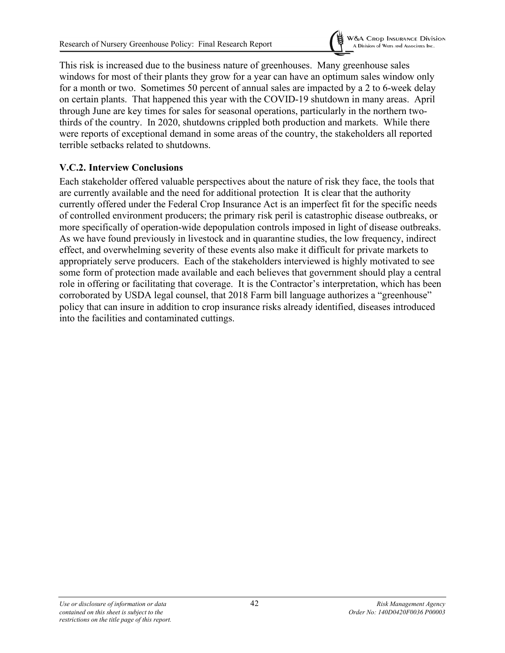

This risk is increased due to the business nature of greenhouses. Many greenhouse sales windows for most of their plants they grow for a year can have an optimum sales window only for a month or two. Sometimes 50 percent of annual sales are impacted by a 2 to 6-week delay on certain plants. That happened this year with the COVID-19 shutdown in many areas. April through June are key times for sales for seasonal operations, particularly in the northern twothirds of the country. In 2020, shutdowns crippled both production and markets. While there were reports of exceptional demand in some areas of the country, the stakeholders all reported terrible setbacks related to shutdowns.

# **V.C.2. Interview Conclusions**

Each stakeholder offered valuable perspectives about the nature of risk they face, the tools that are currently available and the need for additional protection It is clear that the authority currently offered under the Federal Crop Insurance Act is an imperfect fit for the specific needs of controlled environment producers; the primary risk peril is catastrophic disease outbreaks, or more specifically of operation-wide depopulation controls imposed in light of disease outbreaks. As we have found previously in livestock and in quarantine studies, the low frequency, indirect effect, and overwhelming severity of these events also make it difficult for private markets to appropriately serve producers. Each of the stakeholders interviewed is highly motivated to see some form of protection made available and each believes that government should play a central role in offering or facilitating that coverage. It is the Contractor's interpretation, which has been corroborated by USDA legal counsel, that 2018 Farm bill language authorizes a "greenhouse" policy that can insure in addition to crop insurance risks already identified, diseases introduced into the facilities and contaminated cuttings.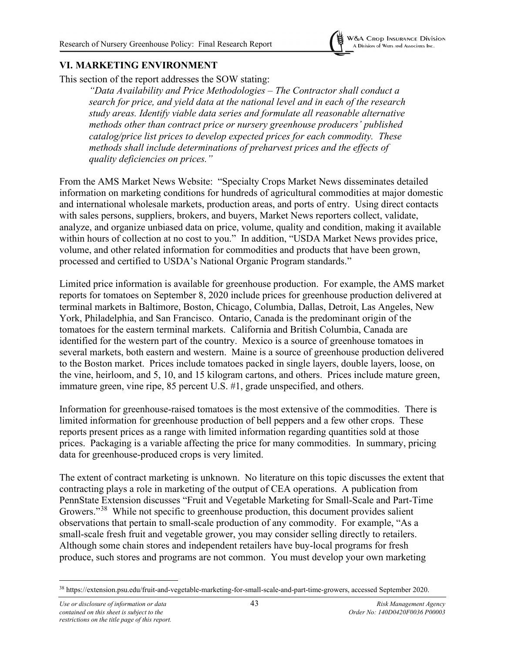

### **VI. MARKETING ENVIRONMENT**

This section of the report addresses the SOW stating:

*"Data Availability and Price Methodologies – The Contractor shall conduct a search for price, and yield data at the national level and in each of the research study areas. Identify viable data series and formulate all reasonable alternative methods other than contract price or nursery greenhouse producers' published catalog/price list prices to develop expected prices for each commodity. These methods shall include determinations of preharvest prices and the effects of quality deficiencies on prices."*

From the AMS Market News Website: "Specialty Crops Market News disseminates detailed information on marketing conditions for hundreds of agricultural commodities at major domestic and international wholesale markets, production areas, and ports of entry. Using direct contacts with sales persons, suppliers, brokers, and buyers, Market News reporters collect, validate, analyze, and organize unbiased data on price, volume, quality and condition, making it available within hours of collection at no cost to you." In addition, "USDA Market News provides price, volume, and other related information for commodities and products that have been grown, processed and certified to USDA's National Organic Program standards."

Limited price information is available for greenhouse production. For example, the AMS market reports for tomatoes on September 8, 2020 include prices for greenhouse production delivered at terminal markets in Baltimore, Boston, Chicago, Columbia, Dallas, Detroit, Las Angeles, New York, Philadelphia, and San Francisco. Ontario, Canada is the predominant origin of the tomatoes for the eastern terminal markets. California and British Columbia, Canada are identified for the western part of the country. Mexico is a source of greenhouse tomatoes in several markets, both eastern and western. Maine is a source of greenhouse production delivered to the Boston market. Prices include tomatoes packed in single layers, double layers, loose, on the vine, heirloom, and 5, 10, and 15 kilogram cartons, and others. Prices include mature green, immature green, vine ripe, 85 percent U.S. #1, grade unspecified, and others.

Information for greenhouse-raised tomatoes is the most extensive of the commodities. There is limited information for greenhouse production of bell peppers and a few other crops. These reports present prices as a range with limited information regarding quantities sold at those prices. Packaging is a variable affecting the price for many commodities. In summary, pricing data for greenhouse-produced crops is very limited.

The extent of contract marketing is unknown. No literature on this topic discusses the extent that contracting plays a role in marketing of the output of CEA operations. A publication from PennState Extension discusses "Fruit and Vegetable Marketing for Small-Scale and Part-Time Growers."<sup>[38](#page-47-0)</sup> While not specific to greenhouse production, this document provides salient observations that pertain to small-scale production of any commodity. For example, "As a small-scale fresh fruit and vegetable grower, you may consider selling directly to retailers. Although some chain stores and independent retailers have buy-local programs for fresh produce, such stores and programs are not common. You must develop your own marketing

<span id="page-47-0"></span><sup>38</sup> https://extension.psu.edu/fruit-and-vegetable-marketing-for-small-scale-and-part-time-growers, accessed September 2020.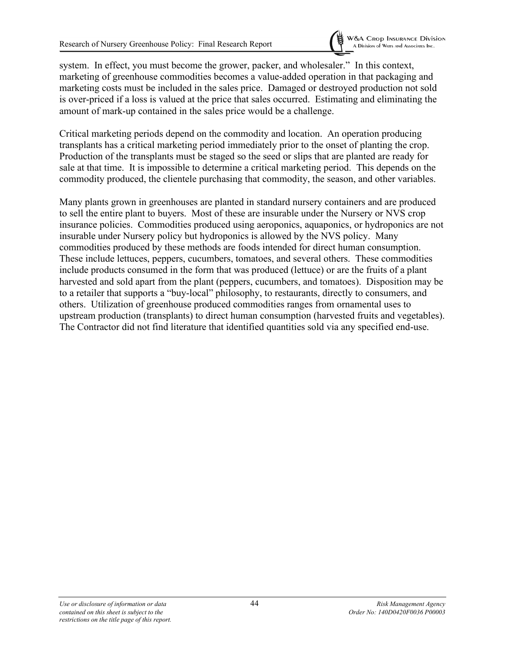

system. In effect, you must become the grower, packer, and wholesaler." In this context, marketing of greenhouse commodities becomes a value-added operation in that packaging and marketing costs must be included in the sales price. Damaged or destroyed production not sold is over-priced if a loss is valued at the price that sales occurred. Estimating and eliminating the amount of mark-up contained in the sales price would be a challenge.

Critical marketing periods depend on the commodity and location. An operation producing transplants has a critical marketing period immediately prior to the onset of planting the crop. Production of the transplants must be staged so the seed or slips that are planted are ready for sale at that time. It is impossible to determine a critical marketing period. This depends on the commodity produced, the clientele purchasing that commodity, the season, and other variables.

Many plants grown in greenhouses are planted in standard nursery containers and are produced to sell the entire plant to buyers. Most of these are insurable under the Nursery or NVS crop insurance policies. Commodities produced using aeroponics, aquaponics, or hydroponics are not insurable under Nursery policy but hydroponics is allowed by the NVS policy. Many commodities produced by these methods are foods intended for direct human consumption. These include lettuces, peppers, cucumbers, tomatoes, and several others. These commodities include products consumed in the form that was produced (lettuce) or are the fruits of a plant harvested and sold apart from the plant (peppers, cucumbers, and tomatoes). Disposition may be to a retailer that supports a "buy-local" philosophy, to restaurants, directly to consumers, and others. Utilization of greenhouse produced commodities ranges from ornamental uses to upstream production (transplants) to direct human consumption (harvested fruits and vegetables). The Contractor did not find literature that identified quantities sold via any specified end-use.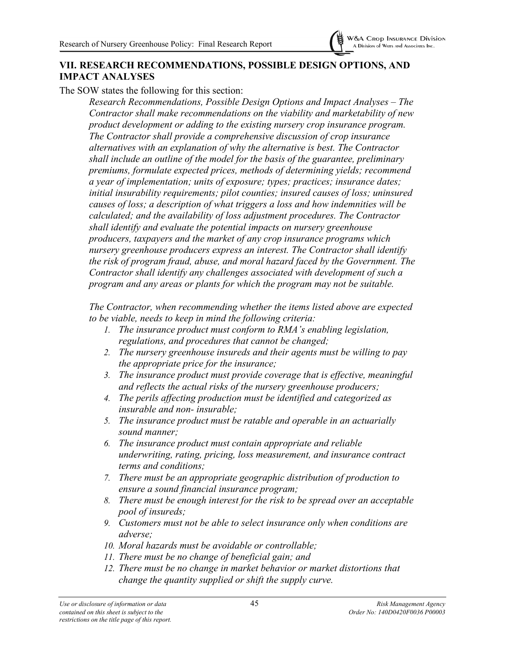

# **VII. RESEARCH RECOMMENDATIONS, POSSIBLE DESIGN OPTIONS, AND IMPACT ANALYSES**

The SOW states the following for this section:

*Research Recommendations, Possible Design Options and Impact Analyses – The Contractor shall make recommendations on the viability and marketability of new product development or adding to the existing nursery crop insurance program. The Contractor shall provide a comprehensive discussion of crop insurance alternatives with an explanation of why the alternative is best. The Contractor shall include an outline of the model for the basis of the guarantee, preliminary premiums, formulate expected prices, methods of determining yields; recommend a year of implementation; units of exposure; types; practices; insurance dates; initial insurability requirements; pilot counties; insured causes of loss; uninsured causes of loss; a description of what triggers a loss and how indemnities will be calculated; and the availability of loss adjustment procedures. The Contractor shall identify and evaluate the potential impacts on nursery greenhouse producers, taxpayers and the market of any crop insurance programs which nursery greenhouse producers express an interest. The Contractor shall identify the risk of program fraud, abuse, and moral hazard faced by the Government. The Contractor shall identify any challenges associated with development of such a program and any areas or plants for which the program may not be suitable.*

*The Contractor, when recommending whether the items listed above are expected to be viable, needs to keep in mind the following criteria:*

- *1. The insurance product must conform to RMA's enabling legislation, regulations, and procedures that cannot be changed;*
- *2. The nursery greenhouse insureds and their agents must be willing to pay the appropriate price for the insurance;*
- *3. The insurance product must provide coverage that is effective, meaningful and reflects the actual risks of the nursery greenhouse producers;*
- *4. The perils affecting production must be identified and categorized as insurable and non- insurable;*
- *5. The insurance product must be ratable and operable in an actuarially sound manner;*
- *6. The insurance product must contain appropriate and reliable underwriting, rating, pricing, loss measurement, and insurance contract terms and conditions;*
- *7. There must be an appropriate geographic distribution of production to ensure a sound financial insurance program;*
- *8. There must be enough interest for the risk to be spread over an acceptable pool of insureds;*
- *9. Customers must not be able to select insurance only when conditions are adverse;*
- *10. Moral hazards must be avoidable or controllable;*
- *11. There must be no change of beneficial gain; and*
- *12. There must be no change in market behavior or market distortions that change the quantity supplied or shift the supply curve.*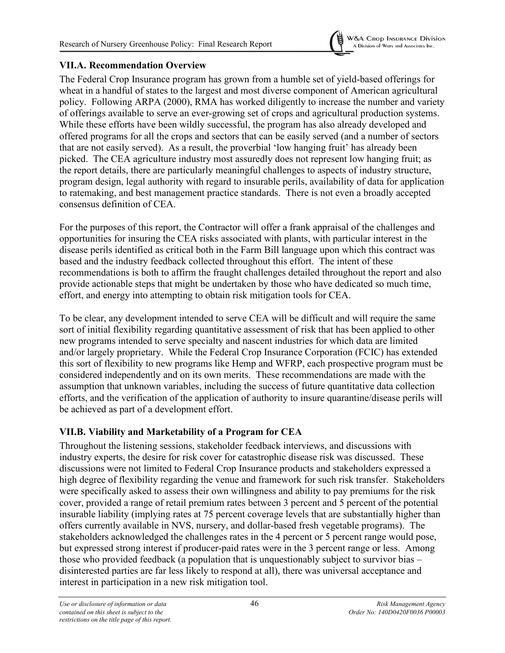

### **VII.A. Recommendation Overview**

The Federal Crop Insurance program has grown from a humble set of yield-based offerings for wheat in a handful of states to the largest and most diverse component of American agricultural policy. Following ARPA (2000), RMA has worked diligently to increase the number and variety of offerings available to serve an ever-growing set of crops and agricultural production systems. While these efforts have been wildly successful, the program has also already developed and offered programs for all the crops and sectors that can be easily served (and a number of sectors that are not easily served). As a result, the proverbial 'low hanging fruit' has already been picked. The CEA agriculture industry most assuredly does not represent low hanging fruit; as the report details, there are particularly meaningful challenges to aspects of industry structure, program design, legal authority with regard to insurable perils, availability of data for application to ratemaking, and best management practice standards. There is not even a broadly accepted consensus definition of CEA.

For the purposes of this report, the Contractor will offer a frank appraisal of the challenges and opportunities for insuring the CEA risks associated with plants, with particular interest in the disease perils identified as critical both in the Farm Bill language upon which this contract was based and the industry feedback collected throughout this effort. The intent of these recommendations is both to affirm the fraught challenges detailed throughout the report and also provide actionable steps that might be undertaken by those who have dedicated so much time, effort, and energy into attempting to obtain risk mitigation tools for CEA.

To be clear, any development intended to serve CEA will be difficult and will require the same sort of initial flexibility regarding quantitative assessment of risk that has been applied to other new programs intended to serve specialty and nascent industries for which data are limited and/or largely proprietary. While the Federal Crop Insurance Corporation (FCIC) has extended this sort of flexibility to new programs like Hemp and WFRP, each prospective program must be considered independently and on its own merits. These recommendations are made with the assumption that unknown variables, including the success of future quantitative data collection efforts, and the verification of the application of authority to insure quarantine/disease perils will be achieved as part of a development effort.

# **VII.B. Viability and Marketability of a Program for CEA**

Throughout the listening sessions, stakeholder feedback interviews, and discussions with industry experts, the desire for risk cover for catastrophic disease risk was discussed. These discussions were not limited to Federal Crop Insurance products and stakeholders expressed a high degree of flexibility regarding the venue and framework for such risk transfer. Stakeholders were specifically asked to assess their own willingness and ability to pay premiums for the risk cover, provided a range of retail premium rates between 3 percent and 5 percent of the potential insurable liability (implying rates at 75 percent coverage levels that are substantially higher than offers currently available in NVS, nursery, and dollar-based fresh vegetable programs). The stakeholders acknowledged the challenges rates in the 4 percent or 5 percent range would pose, but expressed strong interest if producer-paid rates were in the 3 percent range or less. Among those who provided feedback (a population that is unquestionably subject to survivor bias – disinterested parties are far less likely to respond at all), there was universal acceptance and interest in participation in a new risk mitigation tool.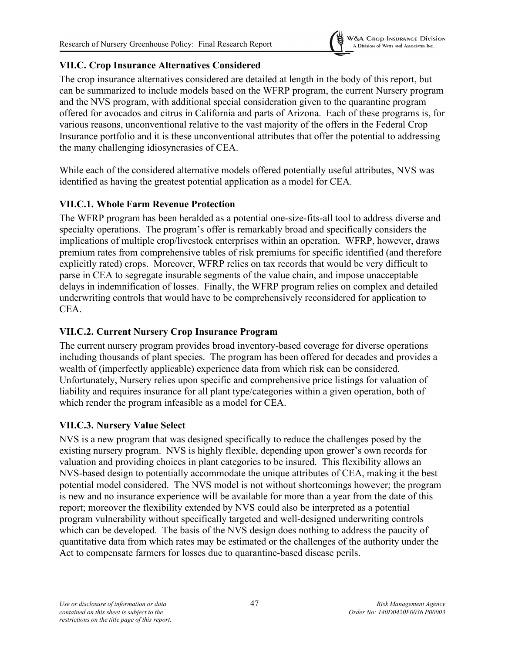

# **VII.C. Crop Insurance Alternatives Considered**

The crop insurance alternatives considered are detailed at length in the body of this report, but can be summarized to include models based on the WFRP program, the current Nursery program and the NVS program, with additional special consideration given to the quarantine program offered for avocados and citrus in California and parts of Arizona. Each of these programs is, for various reasons, unconventional relative to the vast majority of the offers in the Federal Crop Insurance portfolio and it is these unconventional attributes that offer the potential to addressing the many challenging idiosyncrasies of CEA.

While each of the considered alternative models offered potentially useful attributes, NVS was identified as having the greatest potential application as a model for CEA.

# **VII.C.1. Whole Farm Revenue Protection**

The WFRP program has been heralded as a potential one-size-fits-all tool to address diverse and specialty operations. The program's offer is remarkably broad and specifically considers the implications of multiple crop/livestock enterprises within an operation. WFRP, however, draws premium rates from comprehensive tables of risk premiums for specific identified (and therefore explicitly rated) crops. Moreover, WFRP relies on tax records that would be very difficult to parse in CEA to segregate insurable segments of the value chain, and impose unacceptable delays in indemnification of losses. Finally, the WFRP program relies on complex and detailed underwriting controls that would have to be comprehensively reconsidered for application to CEA.

# **VII.C.2. Current Nursery Crop Insurance Program**

The current nursery program provides broad inventory-based coverage for diverse operations including thousands of plant species. The program has been offered for decades and provides a wealth of (imperfectly applicable) experience data from which risk can be considered. Unfortunately, Nursery relies upon specific and comprehensive price listings for valuation of liability and requires insurance for all plant type/categories within a given operation, both of which render the program infeasible as a model for CEA.

# **VII.C.3. Nursery Value Select**

NVS is a new program that was designed specifically to reduce the challenges posed by the existing nursery program. NVS is highly flexible, depending upon grower's own records for valuation and providing choices in plant categories to be insured. This flexibility allows an NVS-based design to potentially accommodate the unique attributes of CEA, making it the best potential model considered. The NVS model is not without shortcomings however; the program is new and no insurance experience will be available for more than a year from the date of this report; moreover the flexibility extended by NVS could also be interpreted as a potential program vulnerability without specifically targeted and well-designed underwriting controls which can be developed. The basis of the NVS design does nothing to address the paucity of quantitative data from which rates may be estimated or the challenges of the authority under the Act to compensate farmers for losses due to quarantine-based disease perils.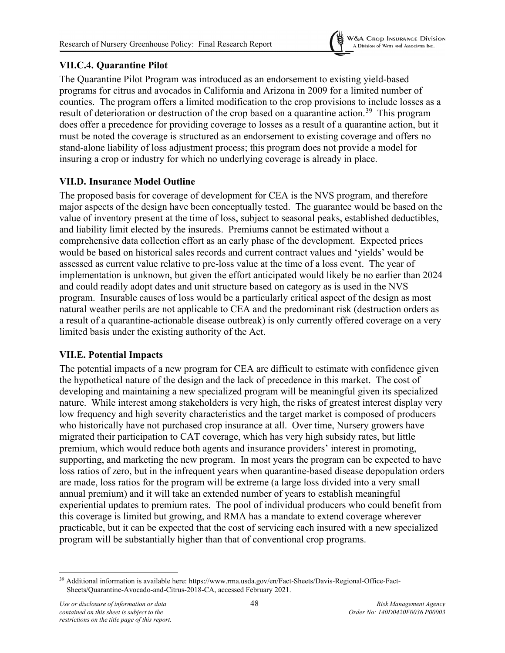

# **VII.C.4. Quarantine Pilot**

The Quarantine Pilot Program was introduced as an endorsement to existing yield-based programs for citrus and avocados in California and Arizona in 2009 for a limited number of counties. The program offers a limited modification to the crop provisions to include losses as a result of deterioration or destruction of the crop based on a quarantine action.<sup>[39](#page-52-0)</sup> This program does offer a precedence for providing coverage to losses as a result of a quarantine action, but it must be noted the coverage is structured as an endorsement to existing coverage and offers no stand-alone liability of loss adjustment process; this program does not provide a model for insuring a crop or industry for which no underlying coverage is already in place.

# **VII.D. Insurance Model Outline**

The proposed basis for coverage of development for CEA is the NVS program, and therefore major aspects of the design have been conceptually tested. The guarantee would be based on the value of inventory present at the time of loss, subject to seasonal peaks, established deductibles, and liability limit elected by the insureds. Premiums cannot be estimated without a comprehensive data collection effort as an early phase of the development. Expected prices would be based on historical sales records and current contract values and 'yields' would be assessed as current value relative to pre-loss value at the time of a loss event. The year of implementation is unknown, but given the effort anticipated would likely be no earlier than 2024 and could readily adopt dates and unit structure based on category as is used in the NVS program. Insurable causes of loss would be a particularly critical aspect of the design as most natural weather perils are not applicable to CEA and the predominant risk (destruction orders as a result of a quarantine-actionable disease outbreak) is only currently offered coverage on a very limited basis under the existing authority of the Act.

# **VII.E. Potential Impacts**

The potential impacts of a new program for CEA are difficult to estimate with confidence given the hypothetical nature of the design and the lack of precedence in this market. The cost of developing and maintaining a new specialized program will be meaningful given its specialized nature. While interest among stakeholders is very high, the risks of greatest interest display very low frequency and high severity characteristics and the target market is composed of producers who historically have not purchased crop insurance at all. Over time, Nursery growers have migrated their participation to CAT coverage, which has very high subsidy rates, but little premium, which would reduce both agents and insurance providers' interest in promoting, supporting, and marketing the new program. In most years the program can be expected to have loss ratios of zero, but in the infrequent years when quarantine-based disease depopulation orders are made, loss ratios for the program will be extreme (a large loss divided into a very small annual premium) and it will take an extended number of years to establish meaningful experiential updates to premium rates. The pool of individual producers who could benefit from this coverage is limited but growing, and RMA has a mandate to extend coverage wherever practicable, but it can be expected that the cost of servicing each insured with a new specialized program will be substantially higher than that of conventional crop programs.

<span id="page-52-0"></span><sup>39</sup> Additional information is available here: https://www.rma.usda.gov/en/Fact-Sheets/Davis-Regional-Office-Fact-Sheets/Quarantine-Avocado-and-Citrus-2018-CA, accessed February 2021.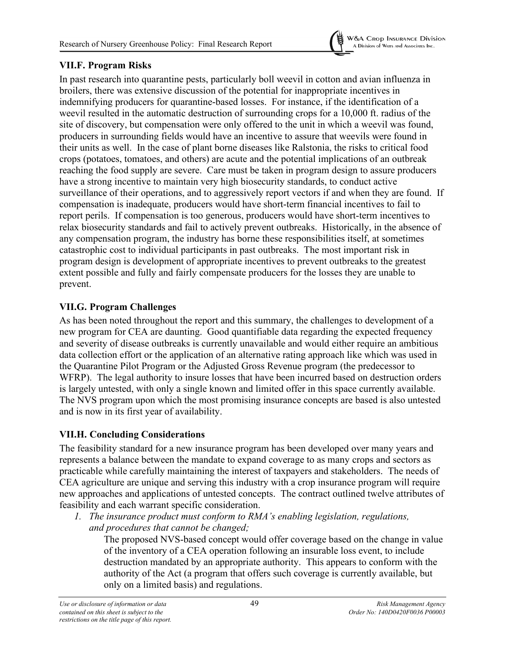

# **VII.F. Program Risks**

In past research into quarantine pests, particularly boll weevil in cotton and avian influenza in broilers, there was extensive discussion of the potential for inappropriate incentives in indemnifying producers for quarantine-based losses. For instance, if the identification of a weevil resulted in the automatic destruction of surrounding crops for a 10,000 ft. radius of the site of discovery, but compensation were only offered to the unit in which a weevil was found, producers in surrounding fields would have an incentive to assure that weevils were found in their units as well. In the case of plant borne diseases like Ralstonia, the risks to critical food crops (potatoes, tomatoes, and others) are acute and the potential implications of an outbreak reaching the food supply are severe. Care must be taken in program design to assure producers have a strong incentive to maintain very high biosecurity standards, to conduct active surveillance of their operations, and to aggressively report vectors if and when they are found. If compensation is inadequate, producers would have short-term financial incentives to fail to report perils. If compensation is too generous, producers would have short-term incentives to relax biosecurity standards and fail to actively prevent outbreaks. Historically, in the absence of any compensation program, the industry has borne these responsibilities itself, at sometimes catastrophic cost to individual participants in past outbreaks. The most important risk in program design is development of appropriate incentives to prevent outbreaks to the greatest extent possible and fully and fairly compensate producers for the losses they are unable to prevent.

# **VII.G. Program Challenges**

As has been noted throughout the report and this summary, the challenges to development of a new program for CEA are daunting. Good quantifiable data regarding the expected frequency and severity of disease outbreaks is currently unavailable and would either require an ambitious data collection effort or the application of an alternative rating approach like which was used in the Quarantine Pilot Program or the Adjusted Gross Revenue program (the predecessor to WFRP). The legal authority to insure losses that have been incurred based on destruction orders is largely untested, with only a single known and limited offer in this space currently available. The NVS program upon which the most promising insurance concepts are based is also untested and is now in its first year of availability.

# **VII.H. Concluding Considerations**

The feasibility standard for a new insurance program has been developed over many years and represents a balance between the mandate to expand coverage to as many crops and sectors as practicable while carefully maintaining the interest of taxpayers and stakeholders. The needs of CEA agriculture are unique and serving this industry with a crop insurance program will require new approaches and applications of untested concepts. The contract outlined twelve attributes of feasibility and each warrant specific consideration.

*1. The insurance product must conform to RMA's enabling legislation, regulations, and procedures that cannot be changed;*

The proposed NVS-based concept would offer coverage based on the change in value of the inventory of a CEA operation following an insurable loss event, to include destruction mandated by an appropriate authority. This appears to conform with the authority of the Act (a program that offers such coverage is currently available, but only on a limited basis) and regulations.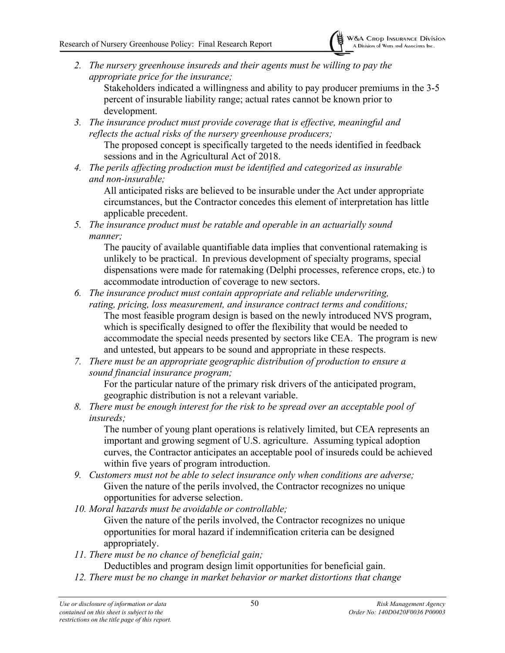*2. The nursery greenhouse insureds and their agents must be willing to pay the appropriate price for the insurance;*

Stakeholders indicated a willingness and ability to pay producer premiums in the 3-5 percent of insurable liability range; actual rates cannot be known prior to development.

*3. The insurance product must provide coverage that is effective, meaningful and reflects the actual risks of the nursery greenhouse producers;*

The proposed concept is specifically targeted to the needs identified in feedback sessions and in the Agricultural Act of 2018.

*4. The perils affecting production must be identified and categorized as insurable and non-insurable;*

All anticipated risks are believed to be insurable under the Act under appropriate circumstances, but the Contractor concedes this element of interpretation has little applicable precedent.

*5. The insurance product must be ratable and operable in an actuarially sound manner;*

The paucity of available quantifiable data implies that conventional ratemaking is unlikely to be practical. In previous development of specialty programs, special dispensations were made for ratemaking (Delphi processes, reference crops, etc.) to accommodate introduction of coverage to new sectors.

- *6. The insurance product must contain appropriate and reliable underwriting, rating, pricing, loss measurement, and insurance contract terms and conditions;* The most feasible program design is based on the newly introduced NVS program, which is specifically designed to offer the flexibility that would be needed to accommodate the special needs presented by sectors like CEA. The program is new and untested, but appears to be sound and appropriate in these respects.
- *7. There must be an appropriate geographic distribution of production to ensure a sound financial insurance program;*

For the particular nature of the primary risk drivers of the anticipated program, geographic distribution is not a relevant variable.

*8. There must be enough interest for the risk to be spread over an acceptable pool of insureds;*

The number of young plant operations is relatively limited, but CEA represents an important and growing segment of U.S. agriculture. Assuming typical adoption curves, the Contractor anticipates an acceptable pool of insureds could be achieved within five years of program introduction.

- *9. Customers must not be able to select insurance only when conditions are adverse;* Given the nature of the perils involved, the Contractor recognizes no unique opportunities for adverse selection.
- *10. Moral hazards must be avoidable or controllable;*

Given the nature of the perils involved, the Contractor recognizes no unique opportunities for moral hazard if indemnification criteria can be designed appropriately.

*11. There must be no chance of beneficial gain;*

Deductibles and program design limit opportunities for beneficial gain.

*12. There must be no change in market behavior or market distortions that change*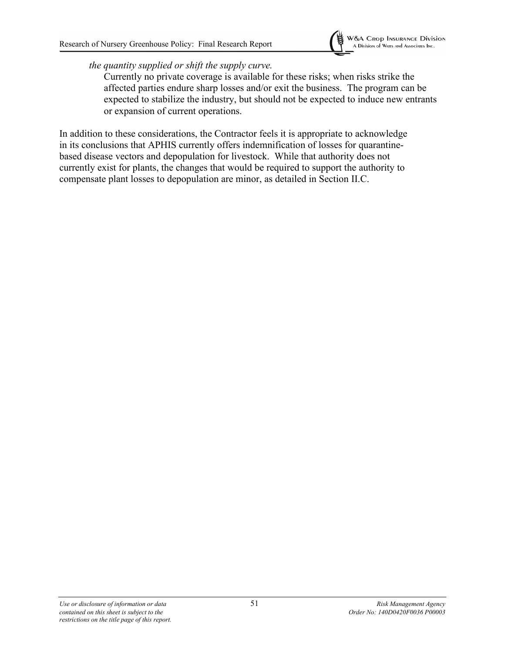

*the quantity supplied or shift the supply curve.* 

Currently no private coverage is available for these risks; when risks strike the affected parties endure sharp losses and/or exit the business. The program can be expected to stabilize the industry, but should not be expected to induce new entrants or expansion of current operations.

In addition to these considerations, the Contractor feels it is appropriate to acknowledge in its conclusions that APHIS currently offers indemnification of losses for quarantinebased disease vectors and depopulation for livestock. While that authority does not currently exist for plants, the changes that would be required to support the authority to compensate plant losses to depopulation are minor, as detailed in Section II.C.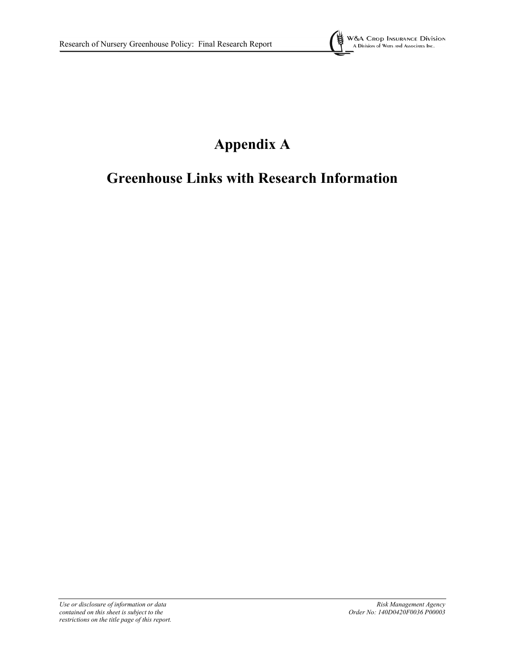

# **Appendix A**

# **Greenhouse Links with Research Information**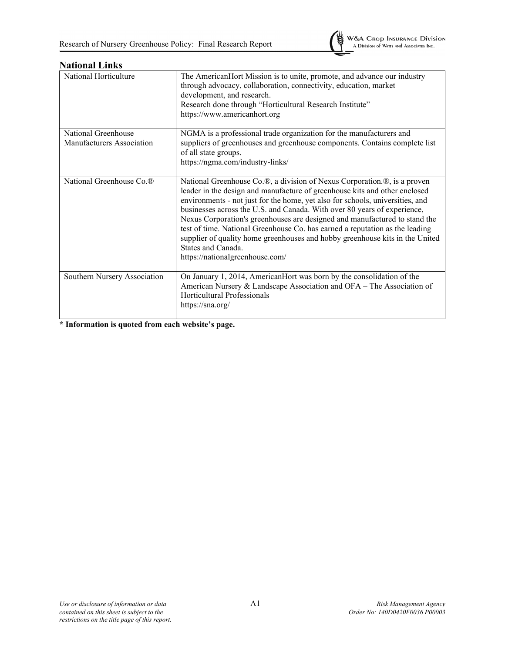| National Horticulture                | The AmericanHort Mission is to unite, promote, and advance our industry<br>through advocacy, collaboration, connectivity, education, market<br>development, and research.<br>Research done through "Horticultural Research Institute"<br>https://www.americanhort.org                                                                                                                                                                                                                                                                                                                                                      |
|--------------------------------------|----------------------------------------------------------------------------------------------------------------------------------------------------------------------------------------------------------------------------------------------------------------------------------------------------------------------------------------------------------------------------------------------------------------------------------------------------------------------------------------------------------------------------------------------------------------------------------------------------------------------------|
| National Greenhouse                  | NGMA is a professional trade organization for the manufacturers and                                                                                                                                                                                                                                                                                                                                                                                                                                                                                                                                                        |
| Manufacturers Association            | suppliers of greenhouses and greenhouse components. Contains complete list<br>of all state groups.<br>https://ngma.com/industry-links/                                                                                                                                                                                                                                                                                                                                                                                                                                                                                     |
| National Greenhouse Co. <sup>®</sup> | National Greenhouse Co.®, a division of Nexus Corporation.®, is a proven<br>leader in the design and manufacture of greenhouse kits and other enclosed<br>environments - not just for the home, yet also for schools, universities, and<br>businesses across the U.S. and Canada. With over 80 years of experience,<br>Nexus Corporation's greenhouses are designed and manufactured to stand the<br>test of time. National Greenhouse Co. has earned a reputation as the leading<br>supplier of quality home greenhouses and hobby greenhouse kits in the United<br>States and Canada.<br>https://nationalgreenhouse.com/ |
| Southern Nursery Association         | On January 1, 2014, AmericanHort was born by the consolidation of the<br>American Nursery & Landscape Association and OFA - The Association of<br>Horticultural Professionals<br>https://sna.org/                                                                                                                                                                                                                                                                                                                                                                                                                          |

#### **National Links**

**\* Information is quoted from each website's page.**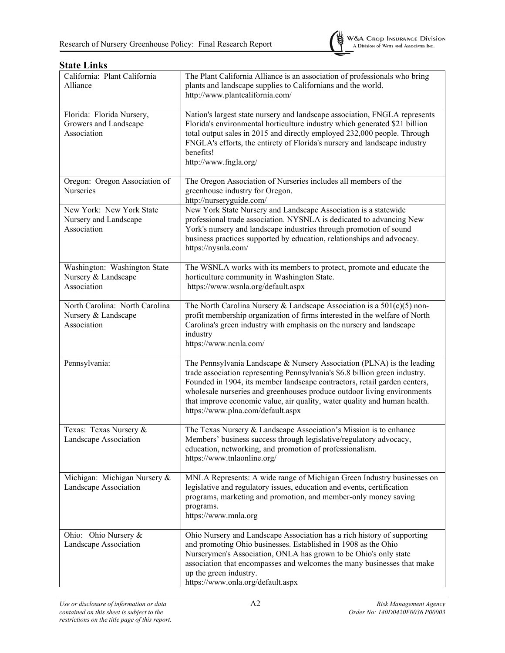

#### California: Plant California Alliance The Plant California Alliance is an association of professionals who bring plants and landscape supplies to Californians and the world. http://www.plantcalifornia.com/ Florida: Florida Nursery, Growers and Landscape Association Nation's largest state nursery and landscape association, FNGLA represents Florida's environmental horticulture industry which generated \$21 billion total output sales in 2015 and directly employed 232,000 people. Through FNGLA's efforts, the entirety of Florida's nursery and landscape industry benefits! http://www.fngla.org/ Oregon: Oregon Association of Nurseries The Oregon Association of Nurseries includes all members of the greenhouse industry for Oregon. http://nurseryguide.com/ New York: New York State Nursery and Landscape Association New York State Nursery and Landscape Association is a statewide professional trade association. NYSNLA is dedicated to advancing New York's nursery and landscape industries through promotion of sound business practices supported by education, relationships and advocacy. https://nysnla.com/ Washington: Washington State Nursery & Landscape Association The WSNLA works with its members to protect, promote and educate the horticulture community in Washington State. https://www.wsnla.org/default.aspx North Carolina: North Carolina Nursery & Landscape Association The North Carolina Nursery & Landscape Association is a  $501(c)(5)$  nonprofit membership organization of firms interested in the welfare of North Carolina's green industry with emphasis on the nursery and landscape industry https://www.ncnla.com/ Pennsylvania: The Pennsylvania Landscape & Nursery Association (PLNA) is the leading trade association representing Pennsylvania's \$6.8 billion green industry. Founded in 1904, its member landscape contractors, retail garden centers, wholesale nurseries and greenhouses produce outdoor living environments that improve economic value, air quality, water quality and human health. https://www.plna.com/default.aspx Texas: Texas Nursery & Landscape Association The Texas Nursery & Landscape Association's Mission is to enhance Members' business success through legislative/regulatory advocacy, education, networking, and promotion of professionalism. https://www.tnlaonline.org/ Michigan: Michigan Nursery & Landscape Association MNLA Represents: A wide range of Michigan Green Industry businesses on legislative and regulatory issues, education and events, certification programs, marketing and promotion, and member-only money saving programs. https://www.mnla.org Ohio: Ohio Nursery & Landscape Association Ohio Nursery and Landscape Association has a rich history of supporting and promoting Ohio businesses. Established in 1908 as the Ohio Nurserymen's Association, ONLA has grown to be Ohio's only state association that encompasses and welcomes the many businesses that make up the green industry. https://www.onla.org/default.aspx

#### **State Links**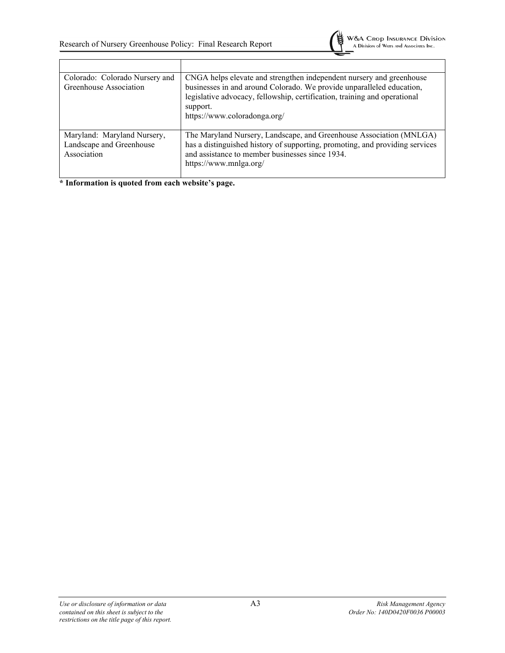Г



| Colorado: Colorado Nursery and<br>Greenhouse Association               | CNGA helps elevate and strengthen independent nursery and greenhouse<br>businesses in and around Colorado. We provide unparalleled education,<br>legislative advocacy, fellowship, certification, training and operational<br>support.<br>https://www.coloradonga.org/ |
|------------------------------------------------------------------------|------------------------------------------------------------------------------------------------------------------------------------------------------------------------------------------------------------------------------------------------------------------------|
| Maryland: Maryland Nursery,<br>Landscape and Greenhouse<br>Association | The Maryland Nursery, Landscape, and Greenhouse Association (MNLGA)<br>has a distinguished history of supporting, promoting, and providing services<br>and assistance to member businesses since 1934.<br>https://www.mnlga.org/                                       |

**\* Information is quoted from each website's page.**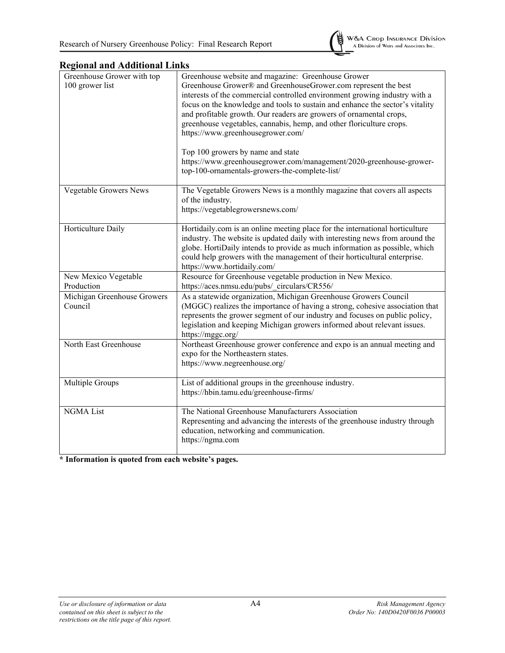

### **Regional and Additional Links**

| Greenhouse Grower with top<br>100 grower list | Greenhouse website and magazine: Greenhouse Grower<br>Greenhouse Grower® and GreenhouseGrower.com represent the best<br>interests of the commercial controlled environment growing industry with a<br>focus on the knowledge and tools to sustain and enhance the sector's vitality<br>and profitable growth. Our readers are growers of ornamental crops,<br>greenhouse vegetables, cannabis, hemp, and other floriculture crops.<br>https://www.greenhousegrower.com/<br>Top 100 growers by name and state<br>https://www.greenhousegrower.com/management/2020-greenhouse-grower-<br>top-100-ornamentals-growers-the-complete-list/ |
|-----------------------------------------------|---------------------------------------------------------------------------------------------------------------------------------------------------------------------------------------------------------------------------------------------------------------------------------------------------------------------------------------------------------------------------------------------------------------------------------------------------------------------------------------------------------------------------------------------------------------------------------------------------------------------------------------|
| Vegetable Growers News                        | The Vegetable Growers News is a monthly magazine that covers all aspects<br>of the industry.<br>https://vegetablegrowersnews.com/                                                                                                                                                                                                                                                                                                                                                                                                                                                                                                     |
| Horticulture Daily                            | Hortidaily.com is an online meeting place for the international horticulture<br>industry. The website is updated daily with interesting news from around the<br>globe. HortiDaily intends to provide as much information as possible, which<br>could help growers with the management of their horticultural enterprise.<br>https://www.hortidaily.com/                                                                                                                                                                                                                                                                               |
| New Mexico Vegetable<br>Production            | Resource for Greenhouse vegetable production in New Mexico.<br>https://aces.nmsu.edu/pubs/ circulars/CR556/                                                                                                                                                                                                                                                                                                                                                                                                                                                                                                                           |
| Michigan Greenhouse Growers<br>Council        | As a statewide organization, Michigan Greenhouse Growers Council<br>(MGGC) realizes the importance of having a strong, cohesive association that<br>represents the grower segment of our industry and focuses on public policy,<br>legislation and keeping Michigan growers informed about relevant issues.<br>https://mggc.org/                                                                                                                                                                                                                                                                                                      |
| North East Greenhouse                         | Northeast Greenhouse grower conference and expo is an annual meeting and<br>expo for the Northeastern states.<br>https://www.negreenhouse.org/                                                                                                                                                                                                                                                                                                                                                                                                                                                                                        |
| Multiple Groups                               | List of additional groups in the greenhouse industry.<br>https://hbin.tamu.edu/greenhouse-firms/                                                                                                                                                                                                                                                                                                                                                                                                                                                                                                                                      |
| <b>NGMA</b> List                              | The National Greenhouse Manufacturers Association<br>Representing and advancing the interests of the greenhouse industry through<br>education, networking and communication.<br>https://ngma.com                                                                                                                                                                                                                                                                                                                                                                                                                                      |

**\* Information is quoted from each website's pages.**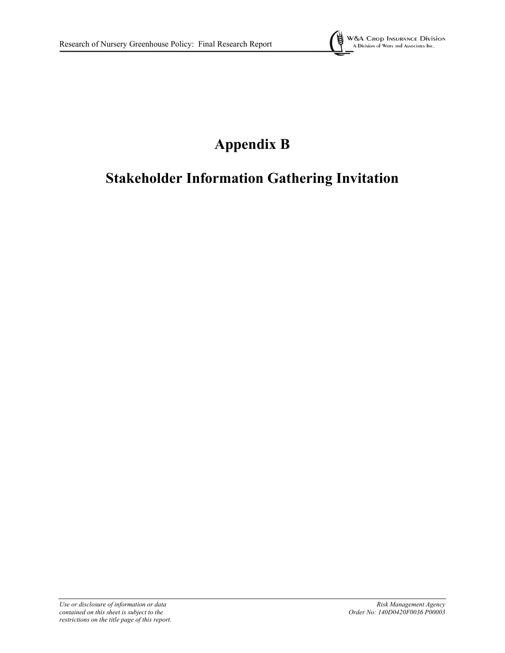

# **Appendix B**

# **Stakeholder Information Gathering Invitation**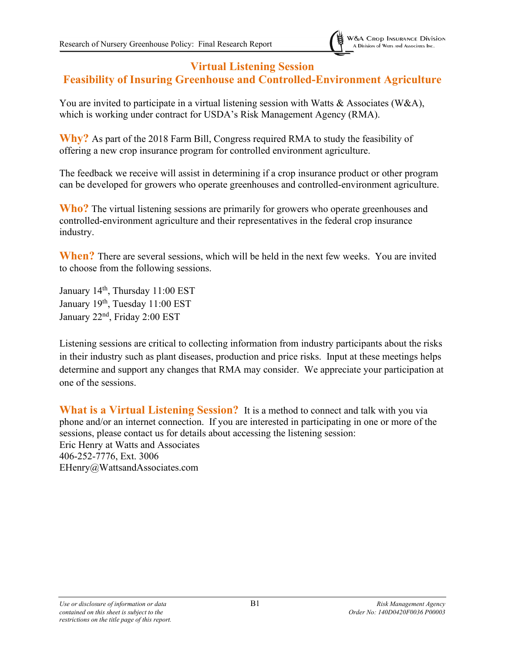# **Virtual Listening Session**

# **Feasibility of Insuring Greenhouse and Controlled-Environment Agriculture**

You are invited to participate in a virtual listening session with Watts & Associates (W&A), which is working under contract for USDA's Risk Management Agency (RMA).

**Why?** As part of the 2018 Farm Bill, Congress required RMA to study the feasibility of offering a new crop insurance program for controlled environment agriculture.

The feedback we receive will assist in determining if a crop insurance product or other program can be developed for growers who operate greenhouses and controlled-environment agriculture.

**Who?** The virtual listening sessions are primarily for growers who operate greenhouses and controlled-environment agriculture and their representatives in the federal crop insurance industry.

**When?** There are several sessions, which will be held in the next few weeks. You are invited to choose from the following sessions.

January 14<sup>th</sup>, Thursday 11:00 EST January 19<sup>th</sup>, Tuesday 11:00 EST January 22<sup>nd</sup>, Friday 2:00 EST

Listening sessions are critical to collecting information from industry participants about the risks in their industry such as plant diseases, production and price risks. Input at these meetings helps determine and support any changes that RMA may consider. We appreciate your participation at one of the sessions.

**What is a Virtual Listening Session?** It is a method to connect and talk with you via phone and/or an internet connection. If you are interested in participating in one or more of the sessions, please contact us for details about accessing the listening session: Eric Henry at Watts and Associates 406-252-7776, Ext. 3006 EHenry@WattsandAssociates.com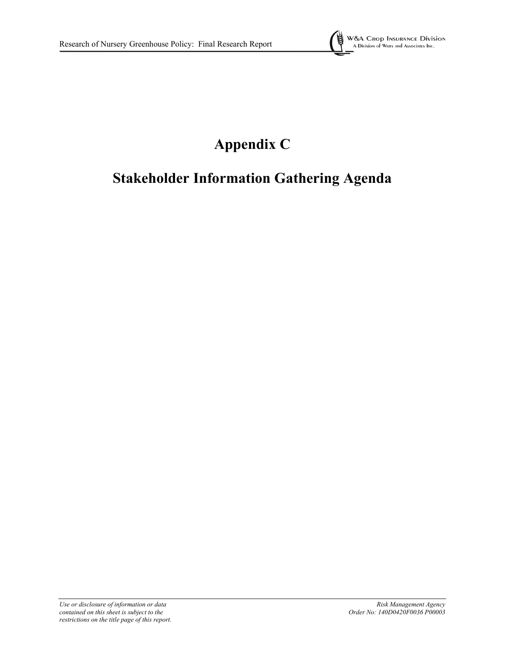

# **Appendix C**

# **Stakeholder Information Gathering Agenda**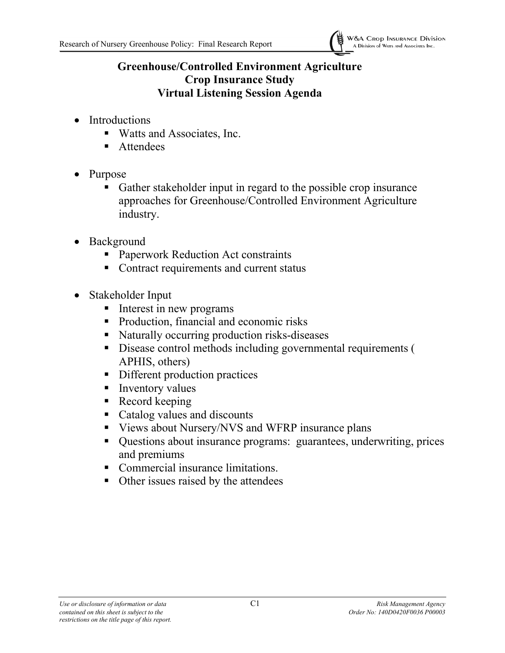

# **Greenhouse/Controlled Environment Agriculture Crop Insurance Study Virtual Listening Session Agenda**

- Introductions
	- Watts and Associates, Inc.
	- **Attendees**
- Purpose
	- Gather stakeholder input in regard to the possible crop insurance approaches for Greenhouse/Controlled Environment Agriculture industry.
- Background
	- Paperwork Reduction Act constraints
	- Contract requirements and current status
- Stakeholder Input
	- Interest in new programs
	- Production, financial and economic risks
	- Naturally occurring production risks-diseases
	- Disease control methods including governmental requirements ( APHIS, others)
	- Different production practices
	- **Inventory values**
	- Record keeping
	- Catalog values and discounts
	- Views about Nursery/NVS and WFRP insurance plans
	- Questions about insurance programs: guarantees, underwriting, prices and premiums
	- Commercial insurance limitations.
	- Other issues raised by the attendees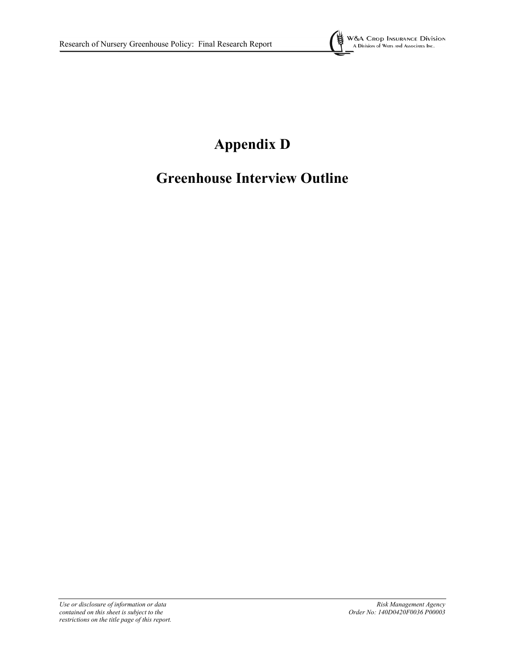

# **Appendix D**

# **Greenhouse Interview Outline**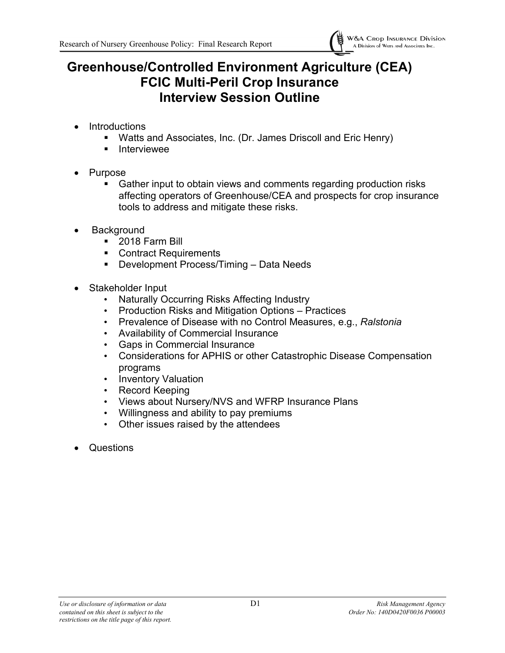

# **Greenhouse/Controlled Environment Agriculture (CEA) FCIC Multi-Peril Crop Insurance Interview Session Outline**

- **Introductions** 
	- Watts and Associates, Inc. (Dr. James Driscoll and Eric Henry)
	- **Interviewee**
- **Purpose** 
	- Gather input to obtain views and comments regarding production risks affecting operators of Greenhouse/CEA and prospects for crop insurance tools to address and mitigate these risks.
- **Background** 
	- **2018 Farm Bill**
	- Contract Requirements
	- **Development Process/Timing Data Needs**
- Stakeholder Input
	- Naturally Occurring Risks Affecting Industry
	- Production Risks and Mitigation Options Practices
	- Prevalence of Disease with no Control Measures, e.g., *Ralstonia*
	- Availability of Commercial Insurance
	- Gaps in Commercial Insurance
	- Considerations for APHIS or other Catastrophic Disease Compensation programs
	- Inventory Valuation
	- Record Keeping
	- Views about Nursery/NVS and WFRP Insurance Plans
	- Willingness and ability to pay premiums
	- Other issues raised by the attendees
- Questions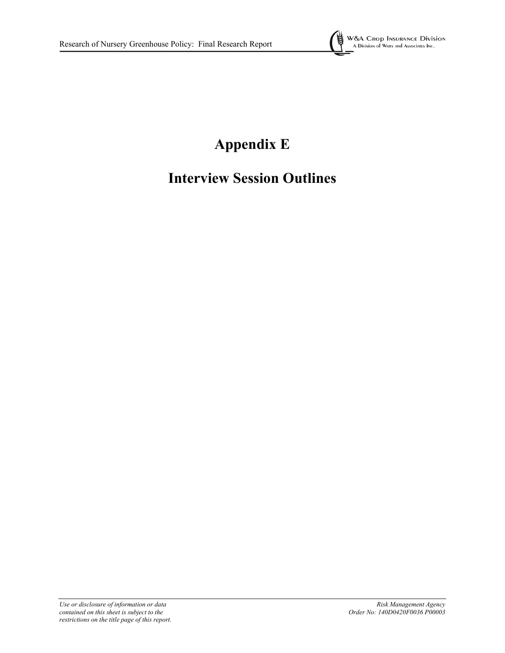

# **Appendix E**

# **Interview Session Outlines**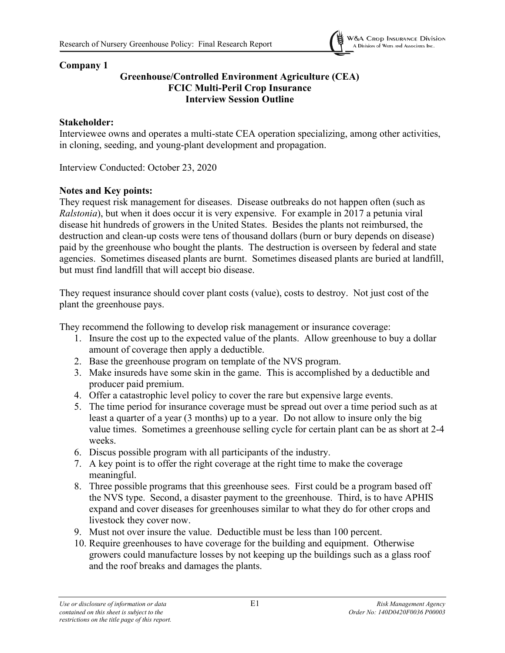

### **Company 1**

### **Greenhouse/Controlled Environment Agriculture (CEA) FCIC Multi-Peril Crop Insurance Interview Session Outline**

### **Stakeholder:**

Interviewee owns and operates a multi-state CEA operation specializing, among other activities, in cloning, seeding, and young-plant development and propagation.

Interview Conducted: October 23, 2020

# **Notes and Key points:**

They request risk management for diseases. Disease outbreaks do not happen often (such as *Ralstonia*), but when it does occur it is very expensive. For example in 2017 a petunia viral disease hit hundreds of growers in the United States. Besides the plants not reimbursed, the destruction and clean-up costs were tens of thousand dollars (burn or bury depends on disease) paid by the greenhouse who bought the plants. The destruction is overseen by federal and state agencies. Sometimes diseased plants are burnt. Sometimes diseased plants are buried at landfill, but must find landfill that will accept bio disease.

They request insurance should cover plant costs (value), costs to destroy. Not just cost of the plant the greenhouse pays.

They recommend the following to develop risk management or insurance coverage:

- 1. Insure the cost up to the expected value of the plants. Allow greenhouse to buy a dollar amount of coverage then apply a deductible.
- 2. Base the greenhouse program on template of the NVS program.
- 3. Make insureds have some skin in the game. This is accomplished by a deductible and producer paid premium.
- 4. Offer a catastrophic level policy to cover the rare but expensive large events.
- 5. The time period for insurance coverage must be spread out over a time period such as at least a quarter of a year (3 months) up to a year. Do not allow to insure only the big value times. Sometimes a greenhouse selling cycle for certain plant can be as short at 2-4 weeks.
- 6. Discus possible program with all participants of the industry.
- 7. A key point is to offer the right coverage at the right time to make the coverage meaningful.
- 8. Three possible programs that this greenhouse sees. First could be a program based off the NVS type. Second, a disaster payment to the greenhouse. Third, is to have APHIS expand and cover diseases for greenhouses similar to what they do for other crops and livestock they cover now.
- 9. Must not over insure the value. Deductible must be less than 100 percent.
- 10. Require greenhouses to have coverage for the building and equipment. Otherwise growers could manufacture losses by not keeping up the buildings such as a glass roof and the roof breaks and damages the plants.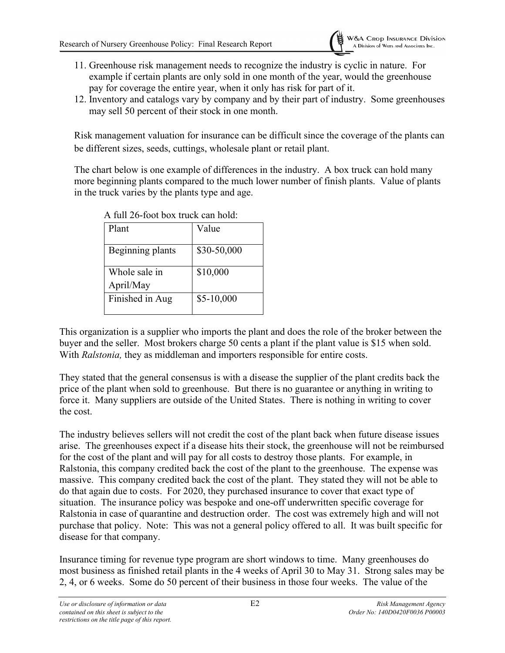- 11. Greenhouse risk management needs to recognize the industry is cyclic in nature. For example if certain plants are only sold in one month of the year, would the greenhouse pay for coverage the entire year, when it only has risk for part of it.
- 12. Inventory and catalogs vary by company and by their part of industry. Some greenhouses may sell 50 percent of their stock in one month.

Risk management valuation for insurance can be difficult since the coverage of the plants can be different sizes, seeds, cuttings, wholesale plant or retail plant.

The chart below is one example of differences in the industry. A box truck can hold many more beginning plants compared to the much lower number of finish plants. Value of plants in the truck varies by the plants type and age.

| Plant                      | Value       |
|----------------------------|-------------|
| Beginning plants           | \$30-50,000 |
| Whole sale in<br>April/May | \$10,000    |
| Finished in Aug            | $$5-10,000$ |

A full 26-foot box truck can hold:

This organization is a supplier who imports the plant and does the role of the broker between the buyer and the seller. Most brokers charge 50 cents a plant if the plant value is \$15 when sold. With *Ralstonia,* they as middleman and importers responsible for entire costs.

They stated that the general consensus is with a disease the supplier of the plant credits back the price of the plant when sold to greenhouse. But there is no guarantee or anything in writing to force it. Many suppliers are outside of the United States. There is nothing in writing to cover the cost.

The industry believes sellers will not credit the cost of the plant back when future disease issues arise. The greenhouses expect if a disease hits their stock, the greenhouse will not be reimbursed for the cost of the plant and will pay for all costs to destroy those plants. For example, in Ralstonia, this company credited back the cost of the plant to the greenhouse. The expense was massive. This company credited back the cost of the plant. They stated they will not be able to do that again due to costs. For 2020, they purchased insurance to cover that exact type of situation. The insurance policy was bespoke and one-off underwritten specific coverage for Ralstonia in case of quarantine and destruction order. The cost was extremely high and will not purchase that policy. Note: This was not a general policy offered to all. It was built specific for disease for that company.

Insurance timing for revenue type program are short windows to time. Many greenhouses do most business as finished retail plants in the 4 weeks of April 30 to May 31. Strong sales may be 2, 4, or 6 weeks. Some do 50 percent of their business in those four weeks. The value of the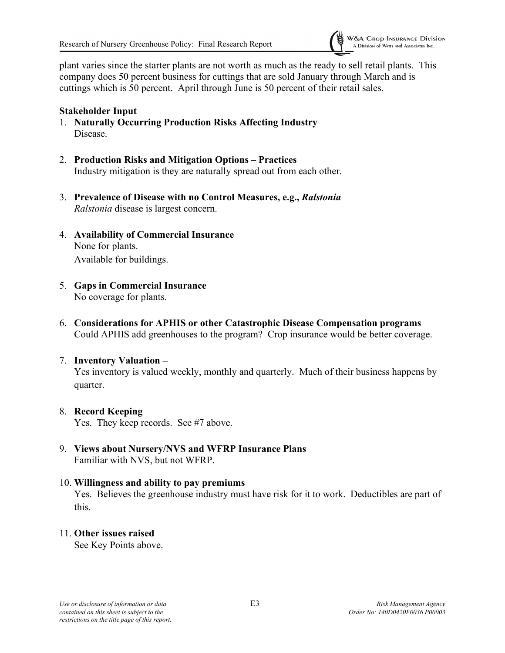

plant varies since the starter plants are not worth as much as the ready to sell retail plants. This company does 50 percent business for cuttings that are sold January through March and is cuttings which is 50 percent. April through June is 50 percent of their retail sales.

#### **Stakeholder Input**

- 1. **Naturally Occurring Production Risks Affecting Industry** Disease.
- 2. **Production Risks and Mitigation Options – Practices** Industry mitigation is they are naturally spread out from each other.
- 3. **Prevalence of Disease with no Control Measures, e.g.,** *Ralstonia Ralstonia* disease is largest concern.
- 4. **Availability of Commercial Insurance** None for plants. Available for buildings.
- 5. **Gaps in Commercial Insurance** No coverage for plants.
- 6. **Considerations for APHIS or other Catastrophic Disease Compensation programs** Could APHIS add greenhouses to the program? Crop insurance would be better coverage.

#### 7. **Inventory Valuation –**

Yes inventory is valued weekly, monthly and quarterly. Much of their business happens by quarter.

#### 8. **Record Keeping**

Yes. They keep records. See #7 above.

9. **Views about Nursery/NVS and WFRP Insurance Plans** Familiar with NVS, but not WFRP.

#### 10. **Willingness and ability to pay premiums**

Yes. Believes the greenhouse industry must have risk for it to work. Deductibles are part of this.

#### 11. **Other issues raised**

See Key Points above.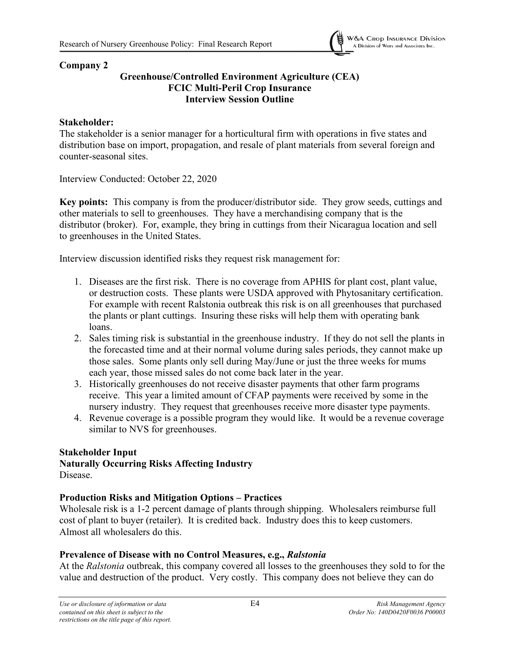

### **Company 2**

### **Greenhouse/Controlled Environment Agriculture (CEA) FCIC Multi-Peril Crop Insurance Interview Session Outline**

### **Stakeholder:**

The stakeholder is a senior manager for a horticultural firm with operations in five states and distribution base on import, propagation, and resale of plant materials from several foreign and counter-seasonal sites.

Interview Conducted: October 22, 2020

**Key points:** This company is from the producer/distributor side. They grow seeds, cuttings and other materials to sell to greenhouses. They have a merchandising company that is the distributor (broker). For, example, they bring in cuttings from their Nicaragua location and sell to greenhouses in the United States.

Interview discussion identified risks they request risk management for:

- 1. Diseases are the first risk. There is no coverage from APHIS for plant cost, plant value, or destruction costs. These plants were USDA approved with Phytosanitary certification. For example with recent Ralstonia outbreak this risk is on all greenhouses that purchased the plants or plant cuttings. Insuring these risks will help them with operating bank loans.
- 2. Sales timing risk is substantial in the greenhouse industry. If they do not sell the plants in the forecasted time and at their normal volume during sales periods, they cannot make up those sales. Some plants only sell during May/June or just the three weeks for mums each year, those missed sales do not come back later in the year.
- 3. Historically greenhouses do not receive disaster payments that other farm programs receive. This year a limited amount of CFAP payments were received by some in the nursery industry. They request that greenhouses receive more disaster type payments.
- 4. Revenue coverage is a possible program they would like. It would be a revenue coverage similar to NVS for greenhouses.

# **Stakeholder Input**

**Naturally Occurring Risks Affecting Industry** Disease.

# **Production Risks and Mitigation Options – Practices**

Wholesale risk is a 1-2 percent damage of plants through shipping. Wholesalers reimburse full cost of plant to buyer (retailer). It is credited back. Industry does this to keep customers. Almost all wholesalers do this.

# **Prevalence of Disease with no Control Measures, e.g.,** *Ralstonia*

At the *Ralstonia* outbreak, this company covered all losses to the greenhouses they sold to for the value and destruction of the product. Very costly. This company does not believe they can do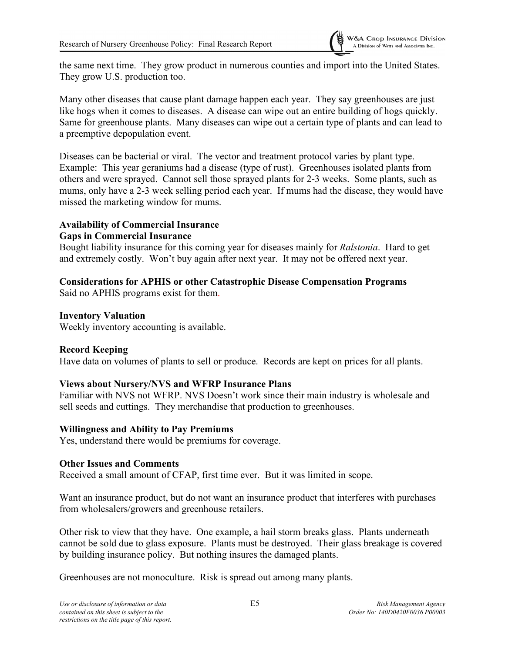

the same next time. They grow product in numerous counties and import into the United States. They grow U.S. production too.

Many other diseases that cause plant damage happen each year. They say greenhouses are just like hogs when it comes to diseases. A disease can wipe out an entire building of hogs quickly. Same for greenhouse plants. Many diseases can wipe out a certain type of plants and can lead to a preemptive depopulation event.

Diseases can be bacterial or viral. The vector and treatment protocol varies by plant type. Example: This year geraniums had a disease (type of rust). Greenhouses isolated plants from others and were sprayed. Cannot sell those sprayed plants for 2-3 weeks. Some plants, such as mums, only have a 2-3 week selling period each year. If mums had the disease, they would have missed the marketing window for mums.

## **Availability of Commercial Insurance**

## **Gaps in Commercial Insurance**

Bought liability insurance for this coming year for diseases mainly for *Ralstonia*. Hard to get and extremely costly. Won't buy again after next year. It may not be offered next year.

# **Considerations for APHIS or other Catastrophic Disease Compensation Programs**

Said no APHIS programs exist for them.

## **Inventory Valuation**

Weekly inventory accounting is available.

# **Record Keeping**

Have data on volumes of plants to sell or produce. Records are kept on prices for all plants.

# **Views about Nursery/NVS and WFRP Insurance Plans**

Familiar with NVS not WFRP. NVS Doesn't work since their main industry is wholesale and sell seeds and cuttings. They merchandise that production to greenhouses.

# **Willingness and Ability to Pay Premiums**

Yes, understand there would be premiums for coverage.

# **Other Issues and Comments**

Received a small amount of CFAP, first time ever. But it was limited in scope.

Want an insurance product, but do not want an insurance product that interferes with purchases from wholesalers/growers and greenhouse retailers.

Other risk to view that they have. One example, a hail storm breaks glass. Plants underneath cannot be sold due to glass exposure. Plants must be destroyed. Their glass breakage is covered by building insurance policy. But nothing insures the damaged plants.

Greenhouses are not monoculture. Risk is spread out among many plants.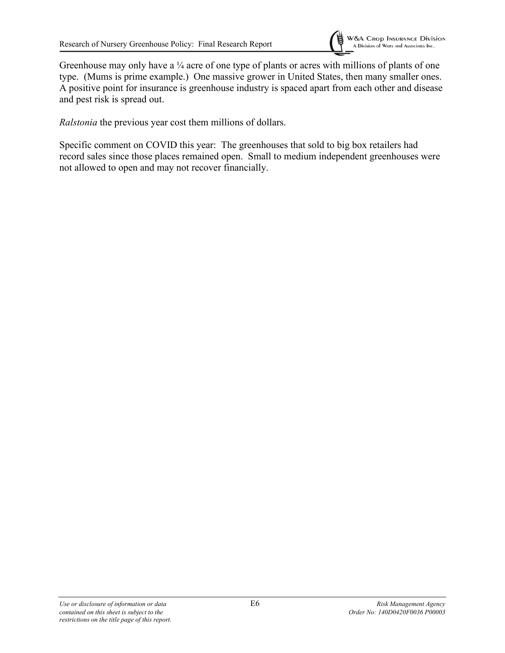

*Ralstonia* the previous year cost them millions of dollars.

Specific comment on COVID this year: The greenhouses that sold to big box retailers had record sales since those places remained open. Small to medium independent greenhouses were not allowed to open and may not recover financially.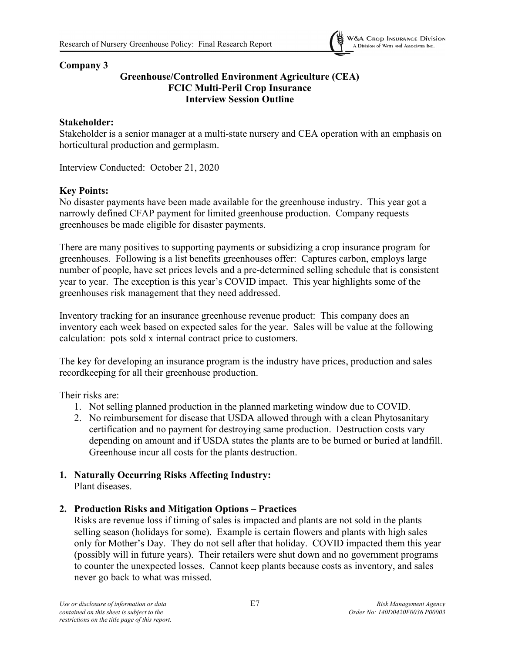

#### **Company 3**

## **Greenhouse/Controlled Environment Agriculture (CEA) FCIC Multi-Peril Crop Insurance Interview Session Outline**

### **Stakeholder:**

Stakeholder is a senior manager at a multi-state nursery and CEA operation with an emphasis on horticultural production and germplasm.

Interview Conducted: October 21, 2020

## **Key Points:**

No disaster payments have been made available for the greenhouse industry. This year got a narrowly defined CFAP payment for limited greenhouse production. Company requests greenhouses be made eligible for disaster payments.

There are many positives to supporting payments or subsidizing a crop insurance program for greenhouses. Following is a list benefits greenhouses offer: Captures carbon, employs large number of people, have set prices levels and a pre-determined selling schedule that is consistent year to year. The exception is this year's COVID impact. This year highlights some of the greenhouses risk management that they need addressed.

Inventory tracking for an insurance greenhouse revenue product: This company does an inventory each week based on expected sales for the year. Sales will be value at the following calculation: pots sold x internal contract price to customers.

The key for developing an insurance program is the industry have prices, production and sales recordkeeping for all their greenhouse production.

Their risks are:

- 1. Not selling planned production in the planned marketing window due to COVID.
- 2. No reimbursement for disease that USDA allowed through with a clean Phytosanitary certification and no payment for destroying same production. Destruction costs vary depending on amount and if USDA states the plants are to be burned or buried at landfill. Greenhouse incur all costs for the plants destruction.
- **1. Naturally Occurring Risks Affecting Industry:** Plant diseases.

#### **2. Production Risks and Mitigation Options – Practices**

Risks are revenue loss if timing of sales is impacted and plants are not sold in the plants selling season (holidays for some). Example is certain flowers and plants with high sales only for Mother's Day. They do not sell after that holiday. COVID impacted them this year (possibly will in future years). Their retailers were shut down and no government programs to counter the unexpected losses. Cannot keep plants because costs as inventory, and sales never go back to what was missed.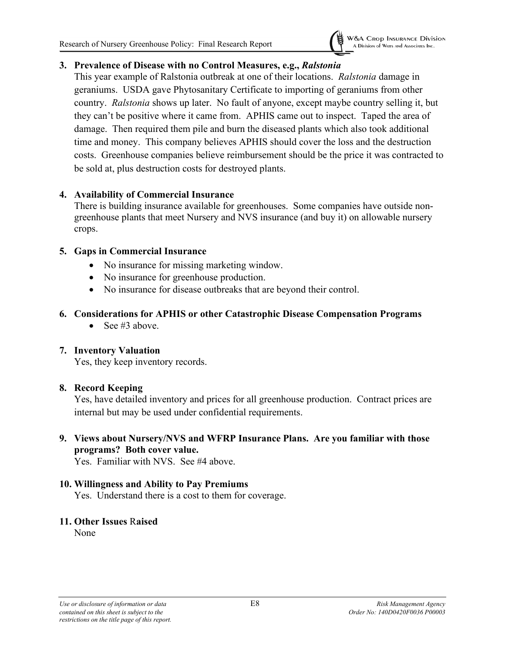

## **3. Prevalence of Disease with no Control Measures, e.g.,** *Ralstonia*

This year example of Ralstonia outbreak at one of their locations. *Ralstonia* damage in geraniums. USDA gave Phytosanitary Certificate to importing of geraniums from other country. *Ralstonia* shows up later. No fault of anyone, except maybe country selling it, but they can't be positive where it came from. APHIS came out to inspect. Taped the area of damage. Then required them pile and burn the diseased plants which also took additional time and money. This company believes APHIS should cover the loss and the destruction costs. Greenhouse companies believe reimbursement should be the price it was contracted to be sold at, plus destruction costs for destroyed plants.

## **4. Availability of Commercial Insurance**

There is building insurance available for greenhouses. Some companies have outside nongreenhouse plants that meet Nursery and NVS insurance (and buy it) on allowable nursery crops.

## **5. Gaps in Commercial Insurance**

- No insurance for missing marketing window.
- No insurance for greenhouse production.
- No insurance for disease outbreaks that are beyond their control.

## **6. Considerations for APHIS or other Catastrophic Disease Compensation Programs**

• See #3 above.

# **7. Inventory Valuation**

Yes, they keep inventory records.

#### **8. Record Keeping**

Yes, have detailed inventory and prices for all greenhouse production. Contract prices are internal but may be used under confidential requirements.

## **9. Views about Nursery/NVS and WFRP Insurance Plans. Are you familiar with those programs? Both cover value.**

Yes. Familiar with NVS. See #4 above.

#### **10. Willingness and Ability to Pay Premiums**

Yes. Understand there is a cost to them for coverage.

# **11. Other Issues** R**aised**

None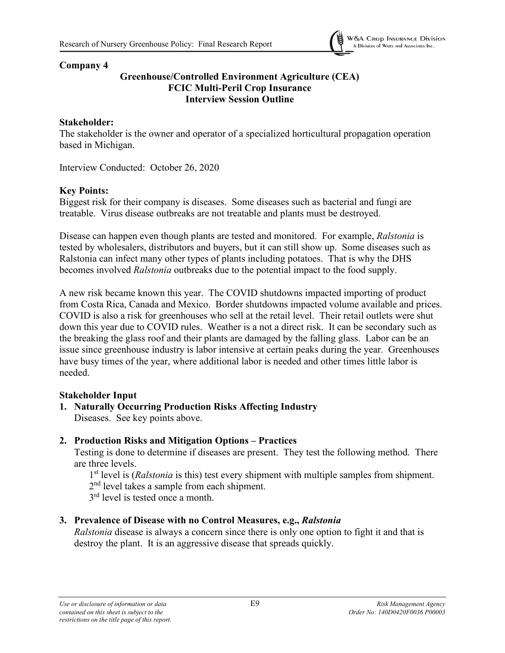

## **Greenhouse/Controlled Environment Agriculture (CEA) FCIC Multi-Peril Crop Insurance Interview Session Outline**

#### **Stakeholder:**

The stakeholder is the owner and operator of a specialized horticultural propagation operation based in Michigan.

Interview Conducted: October 26, 2020

## **Key Points:**

Biggest risk for their company is diseases. Some diseases such as bacterial and fungi are treatable. Virus disease outbreaks are not treatable and plants must be destroyed.

Disease can happen even though plants are tested and monitored. For example, *Ralstonia* is tested by wholesalers, distributors and buyers, but it can still show up. Some diseases such as Ralstonia can infect many other types of plants including potatoes. That is why the DHS becomes involved *Ralstonia* outbreaks due to the potential impact to the food supply.

A new risk became known this year. The COVID shutdowns impacted importing of product from Costa Rica, Canada and Mexico. Border shutdowns impacted volume available and prices. COVID is also a risk for greenhouses who sell at the retail level. Their retail outlets were shut down this year due to COVID rules. Weather is a not a direct risk. It can be secondary such as the breaking the glass roof and their plants are damaged by the falling glass. Labor can be an issue since greenhouse industry is labor intensive at certain peaks during the year. Greenhouses have busy times of the year, where additional labor is needed and other times little labor is needed.

#### **Stakeholder Input**

**1. Naturally Occurring Production Risks Affecting Industry** Diseases. See key points above.

#### **2. Production Risks and Mitigation Options – Practices**

Testing is done to determine if diseases are present. They test the following method. There are three levels.

1<sup>st</sup> level is (*Ralstonia* is this) test every shipment with multiple samples from shipment.

2<sup>nd</sup> level takes a sample from each shipment.

3<sup>rd</sup> level is tested once a month.

# **3. Prevalence of Disease with no Control Measures, e.g.,** *Ralstonia*

*Ralstonia* disease is always a concern since there is only one option to fight it and that is destroy the plant. It is an aggressive disease that spreads quickly.

**W&A CROP INSURANCE Division** A Division of WATTS ANd Associates Inc.